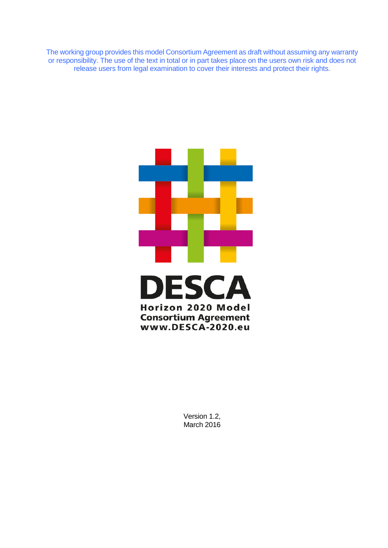The working group provides this model Consortium Agreement as draft without assuming any warranty or responsibility. The use of the text in total or in part takes place on the users own risk and does not release users from legal examination to cover their interests and protect their rights.



Version 1.2, March 2016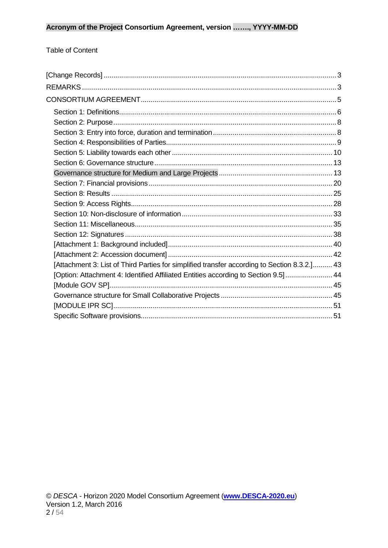#### **Table of Content**

| [Attachment 3: List of Third Parties for simplified transfer according to Section 8.3.2.] 43 |  |
|----------------------------------------------------------------------------------------------|--|
| [Option: Attachment 4: Identified Affiliated Entities according to Section 9.5] 44           |  |
|                                                                                              |  |
|                                                                                              |  |
|                                                                                              |  |
|                                                                                              |  |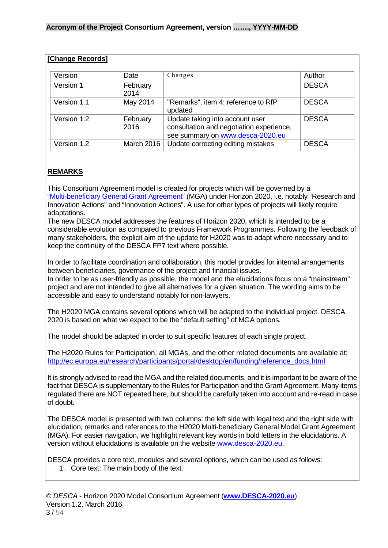<span id="page-2-0"></span>

| [Change Records] |                  |                                                                                                                 |              |
|------------------|------------------|-----------------------------------------------------------------------------------------------------------------|--------------|
| Version          | Date             | Changes                                                                                                         | Author       |
| Version 1        | February<br>2014 |                                                                                                                 | <b>DESCA</b> |
| Version 1.1      | May 2014         | "Remarks", item 4: reference to RfP<br>updated                                                                  | <b>DESCA</b> |
| Version 1.2      | February<br>2016 | Update taking into account user<br>consultation and negotiation experience,<br>see summary on www.desca-2020.eu | <b>DESCA</b> |
| Version 1.2      | March 2016       | Update correcting editing mistakes                                                                              | <b>DESCA</b> |

#### <span id="page-2-1"></span>**REMARKS**

This Consortium Agreement model is created for projects which will be governed by a ["Multi-beneficiary General Grant Agreement"](http://ec.europa.eu/research/participants/data/ref/h2020/mga/gga/h2020-mga-gga-multi_en.pdf) (MGA) under Horizon 2020, i.e. notably "Research and Innovation Actions" and "Innovation Actions". A use for other types of projects will likely require adaptations.

The new DESCA model addresses the features of Horizon 2020, which is intended to be a considerable evolution as compared to previous Framework Programmes. Following the feedback of many stakeholders, the explicit aim of the update for H2020 was to adapt where necessary and to keep the continuity of the DESCA FP7 text where possible.

In order to facilitate coordination and collaboration, this model provides for internal arrangements between beneficiaries, governance of the project and financial issues.

In order to be as user-friendly as possible, the model and the elucidations focus on a "mainstream" project and are not intended to give all alternatives for a given situation. The wording aims to be accessible and easy to understand notably for non-lawyers.

The H2020 MGA contains several options which will be adapted to the individual project. DESCA 2020 is based on what we expect to be the "default setting" of MGA options.

The model should be adapted in order to suit specific features of each single project.

The H2020 Rules for Participation, all MGAs, and the other related documents are available at: [http://ec.europa.eu/research/participants/portal/desktop/en/funding/reference\\_docs.html](http://ec.europa.eu/research/participants/portal/desktop/en/funding/reference_docs.html)

It is strongly advised to read the MGA and the related documents, and it is important to be aware of the fact that DESCA is supplementary to the Rules for Participation and the Grant Agreement. Many items regulated there are NOT repeated here, but should be carefully taken into account and re-read in case of doubt.

The DESCA model is presented with two columns: the left side with legal text and the right side with elucidation, remarks and references to the H2020 Multi-beneficiary General Model Grant Agreement (MGA). For easier navigation, we highlight relevant key words in bold letters in the elucidations. A version without elucidations is available on the website [www.desca-2020.eu.](http://www.desca-2020.eu/)

DESCA provides a core text, modules and several options, which can be used as follows:

1. Core text: The main body of the text.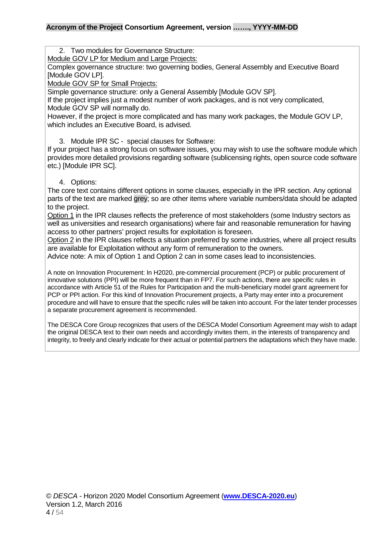2. Two modules for Governance Structure:

Module GOV LP for Medium and Large Projects:

Complex governance structure: two governing bodies, General Assembly and Executive Board [Module GOV LP].

Module GOV SP for Small Projects:

Simple governance structure: only a General Assembly [Module GOV SP].

If the project implies just a modest number of work packages, and is not very complicated, Module GOV SP will normally do.

However, if the project is more complicated and has many work packages, the Module GOV LP, which includes an Executive Board, is advised.

3. Module IPR SC - special clauses for Software:

If your project has a strong focus on software issues, you may wish to use the software module which provides more detailed provisions regarding software (sublicensing rights, open source code software etc.) [Module IPR SC].

4. Options:

The core text contains different options in some clauses, especially in the IPR section. Any optional parts of the text are marked grey; so are other items where variable numbers/data should be adapted to the project.

Option 1 in the IPR clauses reflects the preference of most stakeholders (some Industry sectors as well as universities and research organisations) where fair and reasonable remuneration for having access to other partners' project results for exploitation is foreseen.

Option 2 in the IPR clauses reflects a situation preferred by some industries, where all project results are available for Exploitation without any form of remuneration to the owners.

Advice note: A mix of Option 1 and Option 2 can in some cases lead to inconsistencies.

A note on Innovation Procurement: In H2020, pre-commercial procurement (PCP) or public procurement of innovative solutions (PPI) will be more frequent than in FP7. For such actions, there are specific rules in accordance with Article 51 of the Rules for Participation and the multi-beneficiary model grant agreement for PCP or PPI action. For this kind of Innovation Procurement projects, a Party may enter into a procurement procedure and will have to ensure that the specific rules will be taken into account. For the later tender processes a separate procurement agreement is recommended.

The DESCA Core Group recognizes that users of the DESCA Model Consortium Agreement may wish to adapt the original DESCA text to their own needs and accordingly invites them, in the interests of transparency and integrity, to freely and clearly indicate for their actual or potential partners the adaptations which they have made.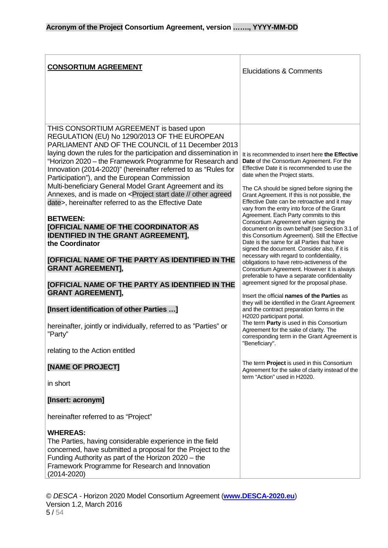<span id="page-4-0"></span>

| <b>CONSORTIUM AGREEMENT</b>                                                                                                                                                                                                                                                                                                                                                                                                                                                                                                                                                                                                                                                                                                                                                                                                                                                                                | <b>Elucidations &amp; Comments</b>                                                                                                                                                                                                                                                                                                                                                                                                                                                                                                                                                                                                                                                                                                                                                                                                                                                                                                                   |
|------------------------------------------------------------------------------------------------------------------------------------------------------------------------------------------------------------------------------------------------------------------------------------------------------------------------------------------------------------------------------------------------------------------------------------------------------------------------------------------------------------------------------------------------------------------------------------------------------------------------------------------------------------------------------------------------------------------------------------------------------------------------------------------------------------------------------------------------------------------------------------------------------------|------------------------------------------------------------------------------------------------------------------------------------------------------------------------------------------------------------------------------------------------------------------------------------------------------------------------------------------------------------------------------------------------------------------------------------------------------------------------------------------------------------------------------------------------------------------------------------------------------------------------------------------------------------------------------------------------------------------------------------------------------------------------------------------------------------------------------------------------------------------------------------------------------------------------------------------------------|
|                                                                                                                                                                                                                                                                                                                                                                                                                                                                                                                                                                                                                                                                                                                                                                                                                                                                                                            |                                                                                                                                                                                                                                                                                                                                                                                                                                                                                                                                                                                                                                                                                                                                                                                                                                                                                                                                                      |
| THIS CONSORTIUM AGREEMENT is based upon<br>REGULATION (EU) No 1290/2013 OF THE EUROPEAN<br>PARLIAMENT AND OF THE COUNCIL of 11 December 2013<br>laying down the rules for the participation and dissemination in<br>"Horizon 2020 – the Framework Programme for Research and<br>Innovation (2014-2020)" (hereinafter referred to as "Rules for<br>Participation"), and the European Commission<br>Multi-beneficiary General Model Grant Agreement and its<br>Annexes, and is made on <project agreed<br="" date="" other="" start="">date&gt;, hereinafter referred to as the Effective Date<br/><b>BETWEEN:</b><br/>[OFFICIAL NAME OF THE COORDINATOR AS<br/><b>IDENTIFIED IN THE GRANT AGREEMENT],</b><br/>the Coordinator<br/>[OFFICIAL NAME OF THE PARTY AS IDENTIFIED IN THE<br/><b>GRANT AGREEMENT],</b><br/>[OFFICIAL NAME OF THE PARTY AS IDENTIFIED IN THE<br/><b>GRANT AGREEMENT],</b></project> | It is recommended to insert here the Effective<br>Date of the Consortium Agreement. For the<br>Effective Date it is recommended to use the<br>date when the Project starts.<br>The CA should be signed before signing the<br>Grant Agreement. If this is not possible, the<br>Effective Date can be retroactive and it may<br>vary from the entry into force of the Grant<br>Agreement. Each Party commits to this<br>Consortium Agreement when signing the<br>document on its own behalf (see Section 3.1 of<br>this Consortium Agreement). Still the Effective<br>Date is the same for all Parties that have<br>signed the document. Consider also, if it is<br>necessary with regard to confidentiality,<br>obligations to have retro-activeness of the<br>Consortium Agreement. However it is always<br>preferable to have a separate confidentiality<br>agreement signed for the proposal phase.<br>Insert the official names of the Parties as |
| [Insert identification of other Parties ]                                                                                                                                                                                                                                                                                                                                                                                                                                                                                                                                                                                                                                                                                                                                                                                                                                                                  | they will be identified in the Grant Agreement<br>and the contract preparation forms in the<br>H2020 participant portal.                                                                                                                                                                                                                                                                                                                                                                                                                                                                                                                                                                                                                                                                                                                                                                                                                             |
| hereinafter, jointly or individually, referred to as "Parties" or<br>"Party"                                                                                                                                                                                                                                                                                                                                                                                                                                                                                                                                                                                                                                                                                                                                                                                                                               | The term Party is used in this Consortium<br>Agreement for the sake of clarity. The<br>corresponding term in the Grant Agreement is<br>"Beneficiary".                                                                                                                                                                                                                                                                                                                                                                                                                                                                                                                                                                                                                                                                                                                                                                                                |
| relating to the Action entitled                                                                                                                                                                                                                                                                                                                                                                                                                                                                                                                                                                                                                                                                                                                                                                                                                                                                            |                                                                                                                                                                                                                                                                                                                                                                                                                                                                                                                                                                                                                                                                                                                                                                                                                                                                                                                                                      |
| [NAME OF PROJECT]                                                                                                                                                                                                                                                                                                                                                                                                                                                                                                                                                                                                                                                                                                                                                                                                                                                                                          | The term Project is used in this Consortium<br>Agreement for the sake of clarity instead of the<br>term "Action" used in H2020.                                                                                                                                                                                                                                                                                                                                                                                                                                                                                                                                                                                                                                                                                                                                                                                                                      |
| in short                                                                                                                                                                                                                                                                                                                                                                                                                                                                                                                                                                                                                                                                                                                                                                                                                                                                                                   |                                                                                                                                                                                                                                                                                                                                                                                                                                                                                                                                                                                                                                                                                                                                                                                                                                                                                                                                                      |
| [Insert: acronym]                                                                                                                                                                                                                                                                                                                                                                                                                                                                                                                                                                                                                                                                                                                                                                                                                                                                                          |                                                                                                                                                                                                                                                                                                                                                                                                                                                                                                                                                                                                                                                                                                                                                                                                                                                                                                                                                      |
| hereinafter referred to as "Project"                                                                                                                                                                                                                                                                                                                                                                                                                                                                                                                                                                                                                                                                                                                                                                                                                                                                       |                                                                                                                                                                                                                                                                                                                                                                                                                                                                                                                                                                                                                                                                                                                                                                                                                                                                                                                                                      |
| <b>WHEREAS:</b><br>The Parties, having considerable experience in the field<br>concerned, have submitted a proposal for the Project to the<br>Funding Authority as part of the Horizon 2020 – the<br>Framework Programme for Research and Innovation<br>$(2014 - 2020)$                                                                                                                                                                                                                                                                                                                                                                                                                                                                                                                                                                                                                                    |                                                                                                                                                                                                                                                                                                                                                                                                                                                                                                                                                                                                                                                                                                                                                                                                                                                                                                                                                      |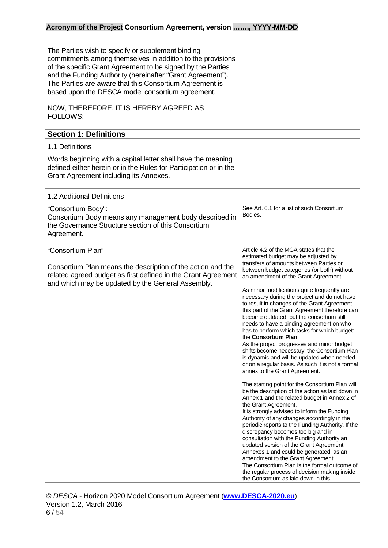<span id="page-5-0"></span>

| The Parties wish to specify or supplement binding<br>commitments among themselves in addition to the provisions<br>of the specific Grant Agreement to be signed by the Parties<br>and the Funding Authority (hereinafter "Grant Agreement").<br>The Parties are aware that this Consortium Agreement is<br>based upon the DESCA model consortium agreement. |                                                                                                                                                                                                                                                                                                                                                                                                                                                                                                                                                                                                                                                                                                                                                                                                                                                                                                                                                                                                                                                                                                                                                                                                                                                                                                                                                                                                                                                                                                              |
|-------------------------------------------------------------------------------------------------------------------------------------------------------------------------------------------------------------------------------------------------------------------------------------------------------------------------------------------------------------|--------------------------------------------------------------------------------------------------------------------------------------------------------------------------------------------------------------------------------------------------------------------------------------------------------------------------------------------------------------------------------------------------------------------------------------------------------------------------------------------------------------------------------------------------------------------------------------------------------------------------------------------------------------------------------------------------------------------------------------------------------------------------------------------------------------------------------------------------------------------------------------------------------------------------------------------------------------------------------------------------------------------------------------------------------------------------------------------------------------------------------------------------------------------------------------------------------------------------------------------------------------------------------------------------------------------------------------------------------------------------------------------------------------------------------------------------------------------------------------------------------------|
| NOW, THEREFORE, IT IS HEREBY AGREED AS<br>FOLLOWS:                                                                                                                                                                                                                                                                                                          |                                                                                                                                                                                                                                                                                                                                                                                                                                                                                                                                                                                                                                                                                                                                                                                                                                                                                                                                                                                                                                                                                                                                                                                                                                                                                                                                                                                                                                                                                                              |
| <b>Section 1: Definitions</b>                                                                                                                                                                                                                                                                                                                               |                                                                                                                                                                                                                                                                                                                                                                                                                                                                                                                                                                                                                                                                                                                                                                                                                                                                                                                                                                                                                                                                                                                                                                                                                                                                                                                                                                                                                                                                                                              |
|                                                                                                                                                                                                                                                                                                                                                             |                                                                                                                                                                                                                                                                                                                                                                                                                                                                                                                                                                                                                                                                                                                                                                                                                                                                                                                                                                                                                                                                                                                                                                                                                                                                                                                                                                                                                                                                                                              |
| 1.1 Definitions                                                                                                                                                                                                                                                                                                                                             |                                                                                                                                                                                                                                                                                                                                                                                                                                                                                                                                                                                                                                                                                                                                                                                                                                                                                                                                                                                                                                                                                                                                                                                                                                                                                                                                                                                                                                                                                                              |
| Words beginning with a capital letter shall have the meaning<br>defined either herein or in the Rules for Participation or in the<br>Grant Agreement including its Annexes.                                                                                                                                                                                 |                                                                                                                                                                                                                                                                                                                                                                                                                                                                                                                                                                                                                                                                                                                                                                                                                                                                                                                                                                                                                                                                                                                                                                                                                                                                                                                                                                                                                                                                                                              |
| 1.2 Additional Definitions                                                                                                                                                                                                                                                                                                                                  |                                                                                                                                                                                                                                                                                                                                                                                                                                                                                                                                                                                                                                                                                                                                                                                                                                                                                                                                                                                                                                                                                                                                                                                                                                                                                                                                                                                                                                                                                                              |
| "Consortium Body":<br>Consortium Body means any management body described in<br>the Governance Structure section of this Consortium<br>Agreement.                                                                                                                                                                                                           | See Art. 6.1 for a list of such Consortium<br>Bodies.                                                                                                                                                                                                                                                                                                                                                                                                                                                                                                                                                                                                                                                                                                                                                                                                                                                                                                                                                                                                                                                                                                                                                                                                                                                                                                                                                                                                                                                        |
| "Consortium Plan"<br>Consortium Plan means the description of the action and the<br>related agreed budget as first defined in the Grant Agreement<br>and which may be updated by the General Assembly.                                                                                                                                                      | Article 4.2 of the MGA states that the<br>estimated budget may be adjusted by<br>transfers of amounts between Parties or<br>between budget categories (or both) without<br>an amendment of the Grant Agreement.<br>As minor modifications quite frequently are<br>necessary during the project and do not have<br>to result in changes of the Grant Agreement,<br>this part of the Grant Agreement therefore can<br>become outdated, but the consortium still<br>needs to have a binding agreement on who<br>has to perform which tasks for which budget:<br>the Consortium Plan.<br>As the project progresses and minor budget<br>shifts become necessary, the Consortium Plan<br>is dynamic and will be updated when needed<br>or on a regular basis. As such it is not a formal<br>annex to the Grant Agreement.<br>The starting point for the Consortium Plan will<br>be the description of the action as laid down in<br>Annex 1 and the related budget in Annex 2 of<br>the Grant Agreement.<br>It is strongly advised to inform the Funding<br>Authority of any changes accordingly in the<br>periodic reports to the Funding Authority. If the<br>discrepancy becomes too big and in<br>consultation with the Funding Authority an<br>updated version of the Grant Agreement<br>Annexes 1 and could be generated, as an<br>amendment to the Grant Agreement.<br>The Consortium Plan is the formal outcome of<br>the regular process of decision making inside<br>the Consortium as laid down in this |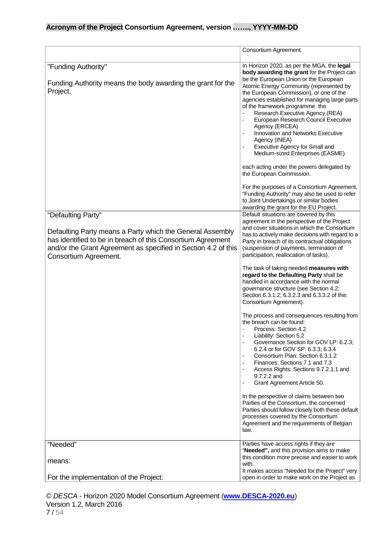|                                                                                                                                                                                                                                           | Consortium Agreement.                                                                                                                                                                                                                                                                                                                                                                                                                                                                                                                                                                                        |
|-------------------------------------------------------------------------------------------------------------------------------------------------------------------------------------------------------------------------------------------|--------------------------------------------------------------------------------------------------------------------------------------------------------------------------------------------------------------------------------------------------------------------------------------------------------------------------------------------------------------------------------------------------------------------------------------------------------------------------------------------------------------------------------------------------------------------------------------------------------------|
| "Funding Authority"<br>Funding Authority means the body awarding the grant for the<br>Project.                                                                                                                                            | In Horizon 2020, as per the MGA, the legal<br>body awarding the grant for the Project can<br>be the European Union or the European<br>Atomic Energy Community (represented by<br>the European Commission), or one of the<br>agencies established for managing large parts<br>of the framework programme the<br>Research Executive Agency (REA)<br>European Research Council Executive<br>Agency (ERCEA)<br>Innovation and Networks Executive<br>Agency (INEA)<br>Executive Agency for Small and<br>Medium-sized Enterprises (EASME)<br>each acting under the powers delegated by<br>the European Commission. |
|                                                                                                                                                                                                                                           | For the purposes of a Consortium Agreement,<br>"Funding Authority" may also be used to refer<br>to Joint Undertakings or similar bodies<br>awarding the grant for the EU Project.                                                                                                                                                                                                                                                                                                                                                                                                                            |
| "Defaulting Party"<br>Defaulting Party means a Party which the General Assembly<br>has identified to be in breach of this Consortium Agreement<br>and/or the Grant Agreement as specified in Section 4.2 of this<br>Consortium Agreement. | Default situations are covered by this<br>agreement in the perspective of the Project<br>and cover situations in which the Consortium<br>has to actively make decisions with regard to a<br>Party in breach of its contractual obligations<br>(suspension of payments, termination of<br>participation, reallocation of tasks).                                                                                                                                                                                                                                                                              |
|                                                                                                                                                                                                                                           | The task of taking needed measures with<br>regard to the Defaulting Party shall be<br>handled in accordance with the normal<br>governance structure (see Section 4.2;<br>Section 6.3.1.2; 6.3.2.3 and 6.3.3.2 of this<br>Consortium Agreement).                                                                                                                                                                                                                                                                                                                                                              |
|                                                                                                                                                                                                                                           | The process and consequences resulting from<br>the breach can be found:<br>Process: Section 4.2<br>Liability: Section 5.2<br>Governance Section for GOV LP: 6.2.3;<br>6.2.4 or for GOV SP: 6.3.3; 6.3.4<br>Consortium Plan: Section 6.3.1.2<br>Finances: Sections 7.1 and 7.3<br>Access Rights: Sections 9.7.2.1.1 and<br>9.7.2.2 and<br>Grant Agreement Article 50.                                                                                                                                                                                                                                         |
|                                                                                                                                                                                                                                           | In the perspective of claims between two<br>Parties of the Consortium, the concerned<br>Parties should follow closely both these default<br>processes covered by the Consortium<br>Agreement and the requirements of Belgian<br>law.                                                                                                                                                                                                                                                                                                                                                                         |
| "Needed"                                                                                                                                                                                                                                  | Parties have access rights if they are<br>"Needed", and this provision aims to make<br>this condition more precise and easier to work                                                                                                                                                                                                                                                                                                                                                                                                                                                                        |
| means:<br>For the implementation of the Project:                                                                                                                                                                                          | with.<br>It makes access "Needed for the Project" very<br>open in order to make work on the Project as                                                                                                                                                                                                                                                                                                                                                                                                                                                                                                       |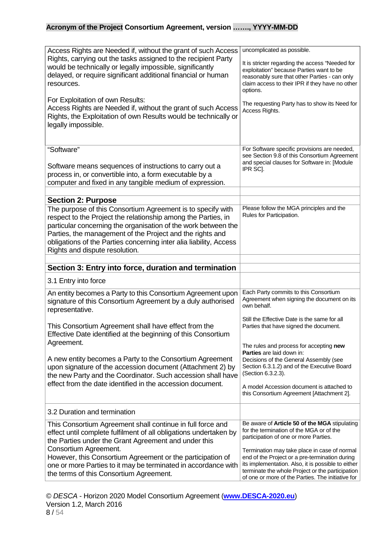<span id="page-7-1"></span><span id="page-7-0"></span>

| Access Rights are Needed if, without the grant of such Access<br>Rights, carrying out the tasks assigned to the recipient Party<br>would be technically or legally impossible, significantly<br>delayed, or require significant additional financial or human<br>resources.<br>For Exploitation of own Results:<br>Access Rights are Needed if, without the grant of such Access<br>Rights, the Exploitation of own Results would be technically or<br>legally impossible. | uncomplicated as possible.<br>It is stricter regarding the access "Needed for<br>exploitation" because Parties want to be<br>reasonably sure that other Parties - can only<br>claim access to their IPR if they have no other<br>options.<br>The requesting Party has to show its Need for<br>Access Rights. |
|----------------------------------------------------------------------------------------------------------------------------------------------------------------------------------------------------------------------------------------------------------------------------------------------------------------------------------------------------------------------------------------------------------------------------------------------------------------------------|--------------------------------------------------------------------------------------------------------------------------------------------------------------------------------------------------------------------------------------------------------------------------------------------------------------|
| "Software"<br>Software means sequences of instructions to carry out a<br>process in, or convertible into, a form executable by a<br>computer and fixed in any tangible medium of expression.                                                                                                                                                                                                                                                                               | For Software specific provisions are needed,<br>see Section 9.8 of this Consortium Agreement<br>and special clauses for Software in: [Module<br>IPR SC].                                                                                                                                                     |
| <b>Section 2: Purpose</b>                                                                                                                                                                                                                                                                                                                                                                                                                                                  |                                                                                                                                                                                                                                                                                                              |
| The purpose of this Consortium Agreement is to specify with<br>respect to the Project the relationship among the Parties, in<br>particular concerning the organisation of the work between the<br>Parties, the management of the Project and the rights and<br>obligations of the Parties concerning inter alia liability, Access<br>Rights and dispute resolution.                                                                                                        | Please follow the MGA principles and the<br>Rules for Participation.                                                                                                                                                                                                                                         |
| Section 3: Entry into force, duration and termination                                                                                                                                                                                                                                                                                                                                                                                                                      |                                                                                                                                                                                                                                                                                                              |
| 3.1 Entry into force                                                                                                                                                                                                                                                                                                                                                                                                                                                       |                                                                                                                                                                                                                                                                                                              |
| An entity becomes a Party to this Consortium Agreement upon<br>signature of this Consortium Agreement by a duly authorised<br>representative.                                                                                                                                                                                                                                                                                                                              | Each Party commits to this Consortium<br>Agreement when signing the document on its<br>own behalf.                                                                                                                                                                                                           |
| This Consortium Agreement shall have effect from the<br>Effective Date identified at the beginning of this Consortium<br>Agreement.                                                                                                                                                                                                                                                                                                                                        | Still the Effective Date is the same for all<br>Parties that have signed the document.                                                                                                                                                                                                                       |
|                                                                                                                                                                                                                                                                                                                                                                                                                                                                            | The rules and process for accepting new<br><b>Parties</b> are laid down in:                                                                                                                                                                                                                                  |
| A new entity becomes a Party to the Consortium Agreement<br>upon signature of the accession document (Attachment 2) by<br>the new Party and the Coordinator. Such accession shall have                                                                                                                                                                                                                                                                                     | Decisions of the General Assembly (see<br>Section 6.3.1.2) and of the Executive Board<br>(Section 6.3.2.3).                                                                                                                                                                                                  |
| effect from the date identified in the accession document.                                                                                                                                                                                                                                                                                                                                                                                                                 | A model Accession document is attached to<br>this Consortium Agreement [Attachment 2].                                                                                                                                                                                                                       |
| 3.2 Duration and termination                                                                                                                                                                                                                                                                                                                                                                                                                                               |                                                                                                                                                                                                                                                                                                              |
| This Consortium Agreement shall continue in full force and<br>effect until complete fulfilment of all obligations undertaken by<br>the Parties under the Grant Agreement and under this                                                                                                                                                                                                                                                                                    | Be aware of Article 50 of the MGA stipulating<br>for the termination of the MGA or of the<br>participation of one or more Parties.                                                                                                                                                                           |
| Consortium Agreement.<br>However, this Consortium Agreement or the participation of<br>one or more Parties to it may be terminated in accordance with<br>the terms of this Consortium Agreement.                                                                                                                                                                                                                                                                           | Termination may take place in case of normal<br>end of the Project or a pre-termination during<br>its implementation. Also, it is possible to either<br>terminate the whole Project or the participation<br>of one or more of the Parties. The initiative for                                                |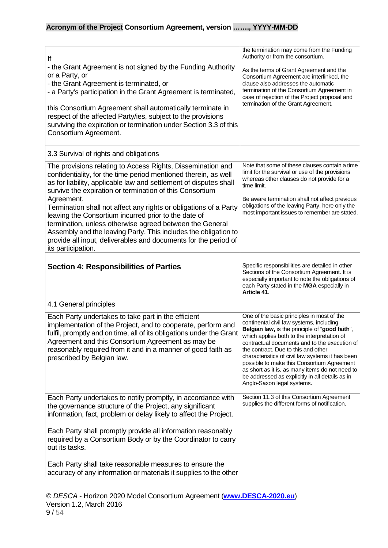<span id="page-8-0"></span>

| lf<br>- the Grant Agreement is not signed by the Funding Authority<br>or a Party, or<br>- the Grant Agreement is terminated, or<br>- a Party's participation in the Grant Agreement is terminated,<br>this Consortium Agreement shall automatically terminate in<br>respect of the affected Party/ies, subject to the provisions<br>surviving the expiration or termination under Section 3.3 of this<br>Consortium Agreement.                                                                                                                                                                                                     | the termination may come from the Funding<br>Authority or from the consortium.<br>As the terms of Grant Agreement and the<br>Consortium Agreement are interlinked, the<br>clause also addresses the automatic<br>termination of the Consortium Agreement in<br>case of rejection of the Project proposal and<br>termination of the Grant Agreement.                                                                                                                                                                   |
|------------------------------------------------------------------------------------------------------------------------------------------------------------------------------------------------------------------------------------------------------------------------------------------------------------------------------------------------------------------------------------------------------------------------------------------------------------------------------------------------------------------------------------------------------------------------------------------------------------------------------------|-----------------------------------------------------------------------------------------------------------------------------------------------------------------------------------------------------------------------------------------------------------------------------------------------------------------------------------------------------------------------------------------------------------------------------------------------------------------------------------------------------------------------|
| 3.3 Survival of rights and obligations                                                                                                                                                                                                                                                                                                                                                                                                                                                                                                                                                                                             |                                                                                                                                                                                                                                                                                                                                                                                                                                                                                                                       |
| The provisions relating to Access Rights, Dissemination and<br>confidentiality, for the time period mentioned therein, as well<br>as for liability, applicable law and settlement of disputes shall<br>survive the expiration or termination of this Consortium<br>Agreement.<br>Termination shall not affect any rights or obligations of a Party<br>leaving the Consortium incurred prior to the date of<br>termination, unless otherwise agreed between the General<br>Assembly and the leaving Party. This includes the obligation to<br>provide all input, deliverables and documents for the period of<br>its participation. | Note that some of these clauses contain a time<br>limit for the survival or use of the provisions<br>whereas other clauses do not provide for a<br>time limit.<br>Be aware termination shall not affect previous<br>obligations of the leaving Party, here only the<br>most important issues to remember are stated.                                                                                                                                                                                                  |
| <b>Section 4: Responsibilities of Parties</b>                                                                                                                                                                                                                                                                                                                                                                                                                                                                                                                                                                                      | Specific responsibilities are detailed in other                                                                                                                                                                                                                                                                                                                                                                                                                                                                       |
|                                                                                                                                                                                                                                                                                                                                                                                                                                                                                                                                                                                                                                    | Sections of the Consortium Agreement. It is<br>especially important to note the obligations of<br>each Party stated in the MGA especially in                                                                                                                                                                                                                                                                                                                                                                          |
|                                                                                                                                                                                                                                                                                                                                                                                                                                                                                                                                                                                                                                    | Article 41.                                                                                                                                                                                                                                                                                                                                                                                                                                                                                                           |
| 4.1 General principles                                                                                                                                                                                                                                                                                                                                                                                                                                                                                                                                                                                                             |                                                                                                                                                                                                                                                                                                                                                                                                                                                                                                                       |
| Each Party undertakes to take part in the efficient<br>implementation of the Project, and to cooperate, perform and<br>fulfil, promptly and on time, all of its obligations under the Grant<br>Agreement and this Consortium Agreement as may be<br>reasonably required from it and in a manner of good faith as<br>prescribed by Belgian law.                                                                                                                                                                                                                                                                                     | One of the basic principles in most of the<br>continental civil law systems, including<br>Belgian law, is the principle of "good faith",<br>which applies both to the interpretation of<br>contractual documents and to the execution of<br>the contract. Due to this and other<br>characteristics of civil law systems it has been<br>possible to make this Consortium Agreement<br>as short as it is, as many items do not need to<br>be addressed as explicitly in all details as in<br>Anglo-Saxon legal systems. |
| Each Party undertakes to notify promptly, in accordance with<br>the governance structure of the Project, any significant<br>information, fact, problem or delay likely to affect the Project.                                                                                                                                                                                                                                                                                                                                                                                                                                      | Section 11.3 of this Consortium Agreement<br>supplies the different forms of notification.                                                                                                                                                                                                                                                                                                                                                                                                                            |
| Each Party shall promptly provide all information reasonably<br>required by a Consortium Body or by the Coordinator to carry<br>out its tasks.                                                                                                                                                                                                                                                                                                                                                                                                                                                                                     |                                                                                                                                                                                                                                                                                                                                                                                                                                                                                                                       |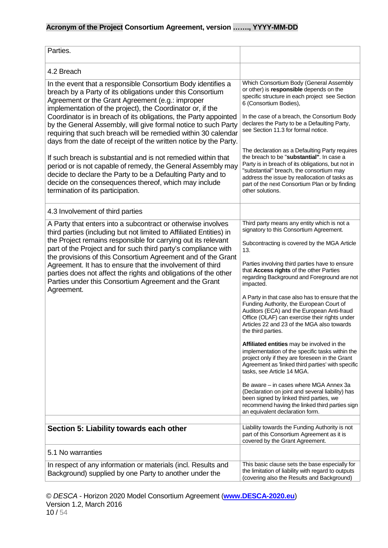<span id="page-9-0"></span>

| Parties.                                                                                                                                                                                                                                                                                                                                                                                                                                                                                                                                      |                                                                                                                                                                                                                                                                                                                                                                                                                                                                                                                                                                                                                                                                                                                                                                                                                                                                                                                                                                                                                                               |
|-----------------------------------------------------------------------------------------------------------------------------------------------------------------------------------------------------------------------------------------------------------------------------------------------------------------------------------------------------------------------------------------------------------------------------------------------------------------------------------------------------------------------------------------------|-----------------------------------------------------------------------------------------------------------------------------------------------------------------------------------------------------------------------------------------------------------------------------------------------------------------------------------------------------------------------------------------------------------------------------------------------------------------------------------------------------------------------------------------------------------------------------------------------------------------------------------------------------------------------------------------------------------------------------------------------------------------------------------------------------------------------------------------------------------------------------------------------------------------------------------------------------------------------------------------------------------------------------------------------|
| 4.2 Breach                                                                                                                                                                                                                                                                                                                                                                                                                                                                                                                                    |                                                                                                                                                                                                                                                                                                                                                                                                                                                                                                                                                                                                                                                                                                                                                                                                                                                                                                                                                                                                                                               |
| In the event that a responsible Consortium Body identifies a<br>breach by a Party of its obligations under this Consortium<br>Agreement or the Grant Agreement (e.g.: improper<br>implementation of the project), the Coordinator or, if the<br>Coordinator is in breach of its obligations, the Party appointed<br>by the General Assembly, will give formal notice to such Party<br>requiring that such breach will be remedied within 30 calendar<br>days from the date of receipt of the written notice by the Party.                     | Which Consortium Body (General Assembly<br>or other) is responsible depends on the<br>specific structure in each project see Section<br>6 (Consortium Bodies),<br>In the case of a breach, the Consortium Body<br>declares the Party to be a Defaulting Party,<br>see Section 11.3 for formal notice.                                                                                                                                                                                                                                                                                                                                                                                                                                                                                                                                                                                                                                                                                                                                         |
| If such breach is substantial and is not remedied within that<br>period or is not capable of remedy, the General Assembly may<br>decide to declare the Party to be a Defaulting Party and to<br>decide on the consequences thereof, which may include<br>termination of its participation.                                                                                                                                                                                                                                                    | The declaration as a Defaulting Party requires<br>the breach to be "substantial". In case a<br>Party is in breach of its obligations, but not in<br>"substantial" breach, the consortium may<br>address the issue by reallocation of tasks as<br>part of the next Consortium Plan or by finding<br>other solutions.                                                                                                                                                                                                                                                                                                                                                                                                                                                                                                                                                                                                                                                                                                                           |
| 4.3 Involvement of third parties                                                                                                                                                                                                                                                                                                                                                                                                                                                                                                              |                                                                                                                                                                                                                                                                                                                                                                                                                                                                                                                                                                                                                                                                                                                                                                                                                                                                                                                                                                                                                                               |
| A Party that enters into a subcontract or otherwise involves<br>third parties (including but not limited to Affiliated Entities) in<br>the Project remains responsible for carrying out its relevant<br>part of the Project and for such third party's compliance with<br>the provisions of this Consortium Agreement and of the Grant<br>Agreement. It has to ensure that the involvement of third<br>parties does not affect the rights and obligations of the other<br>Parties under this Consortium Agreement and the Grant<br>Agreement. | Third party means any entity which is not a<br>signatory to this Consortium Agreement.<br>Subcontracting is covered by the MGA Article<br>13.<br>Parties involving third parties have to ensure<br>that Access rights of the other Parties<br>regarding Background and Foreground are not<br>impacted.<br>A Party in that case also has to ensure that the<br>Funding Authority, the European Court of<br>Auditors (ECA) and the European Anti-fraud<br>Office (OLAF) can exercise their rights under<br>Articles 22 and 23 of the MGA also towards<br>the third parties.<br>Affiliated entities may be involved in the<br>implementation of the specific tasks within the<br>project only if they are foreseen in the Grant<br>Agreement as 'linked third parties' with specific<br>tasks, see Article 14 MGA.<br>Be aware - in cases where MGA Annex 3a<br>(Declaration on joint and several liability) has<br>been signed by linked third parties, we<br>recommend having the linked third parties sign<br>an equivalent declaration form. |
| Section 5: Liability towards each other                                                                                                                                                                                                                                                                                                                                                                                                                                                                                                       | Liability towards the Funding Authority is not<br>part of this Consortium Agreement as it is                                                                                                                                                                                                                                                                                                                                                                                                                                                                                                                                                                                                                                                                                                                                                                                                                                                                                                                                                  |
| 5.1 No warranties                                                                                                                                                                                                                                                                                                                                                                                                                                                                                                                             | covered by the Grant Agreement.                                                                                                                                                                                                                                                                                                                                                                                                                                                                                                                                                                                                                                                                                                                                                                                                                                                                                                                                                                                                               |
| In respect of any information or materials (incl. Results and<br>Background) supplied by one Party to another under the                                                                                                                                                                                                                                                                                                                                                                                                                       | This basic clause sets the base especially for<br>the limitation of liability with regard to outputs<br>(covering also the Results and Background)                                                                                                                                                                                                                                                                                                                                                                                                                                                                                                                                                                                                                                                                                                                                                                                                                                                                                            |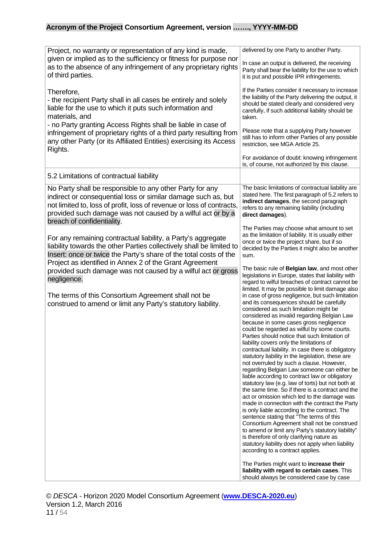| Project, no warranty or representation of any kind is made,<br>given or implied as to the sufficiency or fitness for purpose nor<br>as to the absence of any infringement of any proprietary rights<br>of third parties.                                                                        | delivered by one Party to another Party.<br>In case an output is delivered, the receiving<br>Party shall bear the liability for the use to which<br>it is put and possible IPR infringements.                                                                                                                                                                                                                                                                                                                                                                                                                                                                                                                                                                                                                                                                                                                                                                                                                                                                                                                                                                                                                                     |
|-------------------------------------------------------------------------------------------------------------------------------------------------------------------------------------------------------------------------------------------------------------------------------------------------|-----------------------------------------------------------------------------------------------------------------------------------------------------------------------------------------------------------------------------------------------------------------------------------------------------------------------------------------------------------------------------------------------------------------------------------------------------------------------------------------------------------------------------------------------------------------------------------------------------------------------------------------------------------------------------------------------------------------------------------------------------------------------------------------------------------------------------------------------------------------------------------------------------------------------------------------------------------------------------------------------------------------------------------------------------------------------------------------------------------------------------------------------------------------------------------------------------------------------------------|
| Therefore,<br>- the recipient Party shall in all cases be entirely and solely<br>liable for the use to which it puts such information and<br>materials, and<br>- no Party granting Access Rights shall be liable in case of                                                                     | If the Parties consider it necessary to increase<br>the liability of the Party delivering the output, it<br>should be stated clearly and considered very<br>carefully, if such additional liability should be<br>taken.                                                                                                                                                                                                                                                                                                                                                                                                                                                                                                                                                                                                                                                                                                                                                                                                                                                                                                                                                                                                           |
| infringement of proprietary rights of a third party resulting from<br>any other Party (or its Affiliated Entities) exercising its Access<br>Rights.                                                                                                                                             | Please note that a supplying Party however<br>still has to inform other Parties of any possible<br>restriction, see MGA Article 25.                                                                                                                                                                                                                                                                                                                                                                                                                                                                                                                                                                                                                                                                                                                                                                                                                                                                                                                                                                                                                                                                                               |
|                                                                                                                                                                                                                                                                                                 | For avoidance of doubt: knowing infringement<br>is, of course, not authorized by this clause.                                                                                                                                                                                                                                                                                                                                                                                                                                                                                                                                                                                                                                                                                                                                                                                                                                                                                                                                                                                                                                                                                                                                     |
| 5.2 Limitations of contractual liability                                                                                                                                                                                                                                                        |                                                                                                                                                                                                                                                                                                                                                                                                                                                                                                                                                                                                                                                                                                                                                                                                                                                                                                                                                                                                                                                                                                                                                                                                                                   |
| No Party shall be responsible to any other Party for any<br>indirect or consequential loss or similar damage such as, but<br>not limited to, loss of profit, loss of revenue or loss of contracts,<br>provided such damage was not caused by a wilful act or by a<br>breach of confidentiality. | The basic limitations of contractual liability are<br>stated here. The first paragraph of 5.2 refers to<br>indirect damages, the second paragraph<br>refers to any remaining liability (including<br>direct damages).                                                                                                                                                                                                                                                                                                                                                                                                                                                                                                                                                                                                                                                                                                                                                                                                                                                                                                                                                                                                             |
| For any remaining contractual liability, a Party's aggregate<br>liability towards the other Parties collectively shall be limited to<br>Insert: once or twice the Party's share of the total costs of the<br>Project as identified in Annex 2 of the Grant Agreement                            | The Parties may choose what amount to set<br>as the limitation of liability. It is usually either<br>once or twice the project share, but if so<br>decided by the Parties it might also be another<br>sum.                                                                                                                                                                                                                                                                                                                                                                                                                                                                                                                                                                                                                                                                                                                                                                                                                                                                                                                                                                                                                        |
| provided such damage was not caused by a wilful act or gross<br>negligence.                                                                                                                                                                                                                     | The basic rule of Belgian law, and most other<br>legislations in Europe, states that liability with<br>regard to wilful breaches of contract cannot be<br>limited. It may be possible to limit damage also                                                                                                                                                                                                                                                                                                                                                                                                                                                                                                                                                                                                                                                                                                                                                                                                                                                                                                                                                                                                                        |
| The terms of this Consortium Agreement shall not be<br>construed to amend or limit any Party's statutory liability.                                                                                                                                                                             | in case of gross negligence, but such limitation<br>and its consequences should be carefully<br>considered as such limitation might be<br>considered as invalid regarding Belgian Law<br>because in some cases gross negligence<br>could be regarded as wilful by some courts.<br>Parties should notice that such limitation of<br>liability covers only the limitations of<br>contractual liability. In case there is obligatory<br>statutory liability in the legislation, these are<br>not overruled by such a clause. However,<br>regarding Belgian Law someone can either be<br>liable according to contract law or obligatory<br>statutory law (e.g. law of torts) but not both at<br>the same time. So if there is a contract and the<br>act or omission which led to the damage was<br>made in connection with the contract the Party<br>is only liable according to the contract. The<br>sentence stating that "The terms of this<br>Consortium Agreement shall not be construed<br>to amend or limit any Party's statutory liability"<br>is therefore of only clarifying nature as<br>statutory liability does not apply when liability<br>according to a contract applies.<br>The Parties might want to increase their |
|                                                                                                                                                                                                                                                                                                 | liability with regard to certain cases. This<br>should always be considered case by case                                                                                                                                                                                                                                                                                                                                                                                                                                                                                                                                                                                                                                                                                                                                                                                                                                                                                                                                                                                                                                                                                                                                          |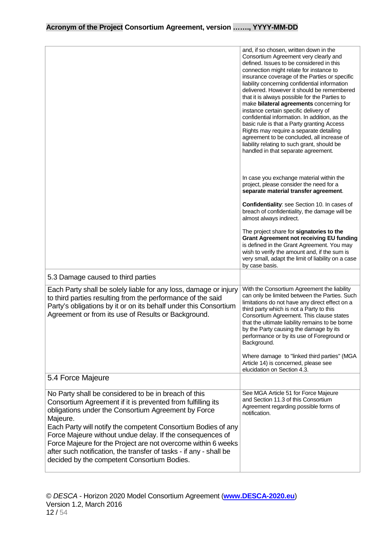|                                                                                                                                                                                                                                                                                                                                                                                                                                                                                                            | and, if so chosen, written down in the<br>Consortium Agreement very clearly and<br>defined. Issues to be considered in this<br>connection might relate for instance to<br>insurance coverage of the Parties or specific<br>liability concerning confidential information<br>delivered. However it should be remembered<br>that it is always possible for the Parties to<br>make bilateral agreements concerning for<br>instance certain specific delivery of<br>confidential information. In addition, as the<br>basic rule is that a Party granting Access<br>Rights may require a separate detailing<br>agreement to be concluded, all increase of<br>liability relating to such grant, should be<br>handled in that separate agreement. |
|------------------------------------------------------------------------------------------------------------------------------------------------------------------------------------------------------------------------------------------------------------------------------------------------------------------------------------------------------------------------------------------------------------------------------------------------------------------------------------------------------------|--------------------------------------------------------------------------------------------------------------------------------------------------------------------------------------------------------------------------------------------------------------------------------------------------------------------------------------------------------------------------------------------------------------------------------------------------------------------------------------------------------------------------------------------------------------------------------------------------------------------------------------------------------------------------------------------------------------------------------------------|
|                                                                                                                                                                                                                                                                                                                                                                                                                                                                                                            | In case you exchange material within the<br>project, please consider the need for a<br>separate material transfer agreement.                                                                                                                                                                                                                                                                                                                                                                                                                                                                                                                                                                                                               |
|                                                                                                                                                                                                                                                                                                                                                                                                                                                                                                            | Confidentiality: see Section 10. In cases of<br>breach of confidentiality, the damage will be<br>almost always indirect.                                                                                                                                                                                                                                                                                                                                                                                                                                                                                                                                                                                                                   |
|                                                                                                                                                                                                                                                                                                                                                                                                                                                                                                            | The project share for signatories to the<br><b>Grant Agreement not receiving EU funding</b><br>is defined in the Grant Agreement. You may<br>wish to verify the amount and, if the sum is<br>very small, adapt the limit of liability on a case<br>by case basis.                                                                                                                                                                                                                                                                                                                                                                                                                                                                          |
| 5.3 Damage caused to third parties                                                                                                                                                                                                                                                                                                                                                                                                                                                                         |                                                                                                                                                                                                                                                                                                                                                                                                                                                                                                                                                                                                                                                                                                                                            |
| Each Party shall be solely liable for any loss, damage or injury<br>to third parties resulting from the performance of the said<br>Party's obligations by it or on its behalf under this Consortium<br>Agreement or from its use of Results or Background.                                                                                                                                                                                                                                                 | With the Consortium Agreement the liability<br>can only be limited between the Parties. Such<br>limitations do not have any direct effect on a<br>third party which is not a Party to this<br>Consortium Agreement. This clause states<br>that the ultimate liability remains to be borne<br>by the Party causing the damage by its<br>performance or by its use of Foreground or<br>Background.<br>Where damage to "linked third parties" (MGA<br>Article 14) is concerned, please see<br>elucidation on Section 4.3.                                                                                                                                                                                                                     |
| 5.4 Force Majeure                                                                                                                                                                                                                                                                                                                                                                                                                                                                                          |                                                                                                                                                                                                                                                                                                                                                                                                                                                                                                                                                                                                                                                                                                                                            |
| No Party shall be considered to be in breach of this<br>Consortium Agreement if it is prevented from fulfilling its<br>obligations under the Consortium Agreement by Force<br>Majeure.<br>Each Party will notify the competent Consortium Bodies of any<br>Force Majeure without undue delay. If the consequences of<br>Force Majeure for the Project are not overcome within 6 weeks<br>after such notification, the transfer of tasks - if any - shall be<br>decided by the competent Consortium Bodies. | See MGA Article 51 for Force Majeure<br>and Section 11.3 of this Consortium<br>Agreement regarding possible forms of<br>notification.                                                                                                                                                                                                                                                                                                                                                                                                                                                                                                                                                                                                      |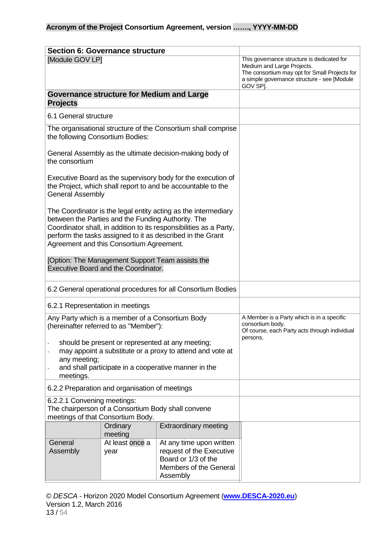<span id="page-12-1"></span><span id="page-12-0"></span>

|                                                                                                                                                                                                                                                                                                      | <b>Section 6: Governance structure</b>           |                                                                                                                                                                                      |                                                                                                                             |
|------------------------------------------------------------------------------------------------------------------------------------------------------------------------------------------------------------------------------------------------------------------------------------------------------|--------------------------------------------------|--------------------------------------------------------------------------------------------------------------------------------------------------------------------------------------|-----------------------------------------------------------------------------------------------------------------------------|
| [Module GOV LP]                                                                                                                                                                                                                                                                                      |                                                  | This governance structure is dedicated for<br>Medium and Large Projects.<br>The consortium may opt for Small Projects for<br>a simple governance structure - see [Module<br>GOV SP]. |                                                                                                                             |
| <b>Projects</b>                                                                                                                                                                                                                                                                                      | <b>Governance structure for Medium and Large</b> |                                                                                                                                                                                      |                                                                                                                             |
| 6.1 General structure                                                                                                                                                                                                                                                                                |                                                  |                                                                                                                                                                                      |                                                                                                                             |
| the following Consortium Bodies:                                                                                                                                                                                                                                                                     |                                                  | The organisational structure of the Consortium shall comprise                                                                                                                        |                                                                                                                             |
| the consortium                                                                                                                                                                                                                                                                                       |                                                  | General Assembly as the ultimate decision-making body of                                                                                                                             |                                                                                                                             |
| Executive Board as the supervisory body for the execution of<br>the Project, which shall report to and be accountable to the<br><b>General Assembly</b>                                                                                                                                              |                                                  |                                                                                                                                                                                      |                                                                                                                             |
| The Coordinator is the legal entity acting as the intermediary<br>between the Parties and the Funding Authority. The<br>Coordinator shall, in addition to its responsibilities as a Party,<br>perform the tasks assigned to it as described in the Grant<br>Agreement and this Consortium Agreement. |                                                  |                                                                                                                                                                                      |                                                                                                                             |
| [Option: The Management Support Team assists the<br><b>Executive Board and the Coordinator.</b>                                                                                                                                                                                                      |                                                  |                                                                                                                                                                                      |                                                                                                                             |
|                                                                                                                                                                                                                                                                                                      |                                                  | 6.2 General operational procedures for all Consortium Bodies                                                                                                                         |                                                                                                                             |
| 6.2.1 Representation in meetings                                                                                                                                                                                                                                                                     |                                                  |                                                                                                                                                                                      |                                                                                                                             |
| Any Party which is a member of a Consortium Body<br>(hereinafter referred to as "Member"):                                                                                                                                                                                                           |                                                  |                                                                                                                                                                                      | A Member is a Party which is in a specific<br>consortium body.<br>Of course, each Party acts through individual<br>persons. |
| should be present or represented at any meeting;<br>may appoint a substitute or a proxy to attend and vote at<br>any meeting;<br>and shall participate in a cooperative manner in the<br>meetings.                                                                                                   |                                                  |                                                                                                                                                                                      |                                                                                                                             |
| 6.2.2 Preparation and organisation of meetings                                                                                                                                                                                                                                                       |                                                  |                                                                                                                                                                                      |                                                                                                                             |
| 6.2.2.1 Convening meetings:<br>The chairperson of a Consortium Body shall convene<br>meetings of that Consortium Body.                                                                                                                                                                               |                                                  |                                                                                                                                                                                      |                                                                                                                             |
| <b>Extraordinary meeting</b><br>Ordinary<br>meeting                                                                                                                                                                                                                                                  |                                                  |                                                                                                                                                                                      |                                                                                                                             |
| General<br>At least once a<br>At any time upon written<br>request of the Executive<br>Assembly<br>year<br>Board or 1/3 of the<br>Members of the General<br>Assembly                                                                                                                                  |                                                  |                                                                                                                                                                                      |                                                                                                                             |

© *DESCA* - Horizon 2020 Model Consortium Agreement (**[www.DESCA-2020.eu](http://www.desca-2020.eu/)**) Version 1.2, March 2016 13 / 54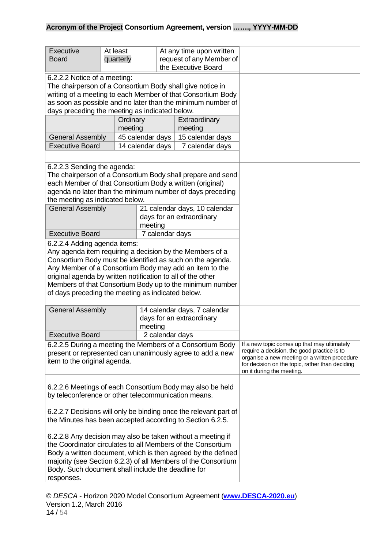| <b>Executive</b><br><b>Board</b>                                                                                                                                                                                                                                                                                                                                                                | At least<br>quarterly                                                |                 | At any time upon written<br>request of any Member of<br>the Executive Board                                                                                                                                                 |  |
|-------------------------------------------------------------------------------------------------------------------------------------------------------------------------------------------------------------------------------------------------------------------------------------------------------------------------------------------------------------------------------------------------|----------------------------------------------------------------------|-----------------|-----------------------------------------------------------------------------------------------------------------------------------------------------------------------------------------------------------------------------|--|
| 6.2.2.2 Notice of a meeting:<br>The chairperson of a Consortium Body shall give notice in<br>writing of a meeting to each Member of that Consortium Body<br>as soon as possible and no later than the minimum number of<br>days preceding the meeting as indicated below.                                                                                                                       |                                                                      |                 |                                                                                                                                                                                                                             |  |
|                                                                                                                                                                                                                                                                                                                                                                                                 | Ordinary<br>meeting                                                  |                 | Extraordinary<br>meeting                                                                                                                                                                                                    |  |
| <b>General Assembly</b>                                                                                                                                                                                                                                                                                                                                                                         | 45 calendar days                                                     |                 | 15 calendar days                                                                                                                                                                                                            |  |
| <b>Executive Board</b>                                                                                                                                                                                                                                                                                                                                                                          | 14 calendar days                                                     |                 | 7 calendar days                                                                                                                                                                                                             |  |
|                                                                                                                                                                                                                                                                                                                                                                                                 |                                                                      |                 |                                                                                                                                                                                                                             |  |
| 6.2.2.3 Sending the agenda:<br>The chairperson of a Consortium Body shall prepare and send<br>each Member of that Consortium Body a written (original)<br>agenda no later than the minimum number of days preceding<br>the meeting as indicated below.                                                                                                                                          |                                                                      |                 |                                                                                                                                                                                                                             |  |
| <b>General Assembly</b>                                                                                                                                                                                                                                                                                                                                                                         | meeting                                                              |                 | 21 calendar days, 10 calendar<br>days for an extraordinary                                                                                                                                                                  |  |
| <b>Executive Board</b>                                                                                                                                                                                                                                                                                                                                                                          |                                                                      | 7 calendar days |                                                                                                                                                                                                                             |  |
| 6.2.2.4 Adding agenda items:<br>Any agenda item requiring a decision by the Members of a<br>Consortium Body must be identified as such on the agenda.<br>Any Member of a Consortium Body may add an item to the<br>original agenda by written notification to all of the other<br>Members of that Consortium Body up to the minimum number<br>of days preceding the meeting as indicated below. |                                                                      |                 |                                                                                                                                                                                                                             |  |
| <b>General Assembly</b>                                                                                                                                                                                                                                                                                                                                                                         | 14 calendar days, 7 calendar<br>days for an extraordinary<br>meeting |                 |                                                                                                                                                                                                                             |  |
| <b>Executive Board</b>                                                                                                                                                                                                                                                                                                                                                                          |                                                                      |                 | 2 calendar days                                                                                                                                                                                                             |  |
| 6.2.2.5 During a meeting the Members of a Consortium Body<br>present or represented can unanimously agree to add a new<br>item to the original agenda.                                                                                                                                                                                                                                          |                                                                      |                 | If a new topic comes up that may ultimately<br>require a decision, the good practice is to<br>organise a new meeting or a written procedure<br>for decision on the topic, rather than deciding<br>on it during the meeting. |  |
| 6.2.2.6 Meetings of each Consortium Body may also be held<br>by teleconference or other telecommunication means.                                                                                                                                                                                                                                                                                |                                                                      |                 |                                                                                                                                                                                                                             |  |
| 6.2.2.7 Decisions will only be binding once the relevant part of<br>the Minutes has been accepted according to Section 6.2.5.                                                                                                                                                                                                                                                                   |                                                                      |                 |                                                                                                                                                                                                                             |  |
| 6.2.2.8 Any decision may also be taken without a meeting if<br>the Coordinator circulates to all Members of the Consortium<br>Body a written document, which is then agreed by the defined<br>majority (see Section 6.2.3) of all Members of the Consortium<br>Body. Such document shall include the deadline for<br>responses.                                                                 |                                                                      |                 |                                                                                                                                                                                                                             |  |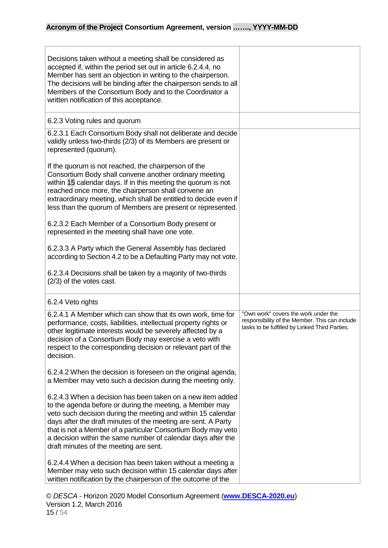| Decisions taken without a meeting shall be considered as<br>accepted if, within the period set out in article 6.2.4.4, no<br>Member has sent an objection in writing to the chairperson.<br>The decisions will be binding after the chairperson sends to all<br>Members of the Consortium Body and to the Coordinator a<br>written notification of this acceptance.                                                                |                                                                                                                                          |
|------------------------------------------------------------------------------------------------------------------------------------------------------------------------------------------------------------------------------------------------------------------------------------------------------------------------------------------------------------------------------------------------------------------------------------|------------------------------------------------------------------------------------------------------------------------------------------|
| 6.2.3 Voting rules and quorum                                                                                                                                                                                                                                                                                                                                                                                                      |                                                                                                                                          |
| 6.2.3.1 Each Consortium Body shall not deliberate and decide<br>validly unless two-thirds (2/3) of its Members are present or<br>represented (quorum).                                                                                                                                                                                                                                                                             |                                                                                                                                          |
| If the quorum is not reached, the chairperson of the<br>Consortium Body shall convene another ordinary meeting<br>within 15 calendar days. If in this meeting the quorum is not<br>reached once more, the chairperson shall convene an<br>extraordinary meeting, which shall be entitled to decide even if<br>less than the quorum of Members are present or represented.<br>6.2.3.2 Each Member of a Consortium Body present or   |                                                                                                                                          |
| represented in the meeting shall have one vote.                                                                                                                                                                                                                                                                                                                                                                                    |                                                                                                                                          |
| 6.2.3.3 A Party which the General Assembly has declared<br>according to Section 4.2 to be a Defaulting Party may not vote.                                                                                                                                                                                                                                                                                                         |                                                                                                                                          |
| 6.2.3.4 Decisions shall be taken by a majority of two-thirds<br>(2/3) of the votes cast.                                                                                                                                                                                                                                                                                                                                           |                                                                                                                                          |
| 6.2.4 Veto rights                                                                                                                                                                                                                                                                                                                                                                                                                  |                                                                                                                                          |
| 6.2.4.1 A Member which can show that its own work, time for<br>performance, costs, liabilities, intellectual property rights or<br>other legitimate interests would be severely affected by a<br>decision of a Consortium Body may exercise a veto with<br>respect to the corresponding decision or relevant part of the<br>decision.                                                                                              | "Own work" covers the work under the<br>responsibility of the Member. This can include<br>tasks to be fulfilled by Linked Third Parties. |
| 6.2.4.2 When the decision is foreseen on the original agenda,<br>a Member may veto such a decision during the meeting only.                                                                                                                                                                                                                                                                                                        |                                                                                                                                          |
| 6.2.4.3 When a decision has been taken on a new item added<br>to the agenda before or during the meeting, a Member may<br>veto such decision during the meeting and within 15 calendar<br>days after the draft minutes of the meeting are sent. A Party<br>that is not a Member of a particular Consortium Body may veto<br>a decision within the same number of calendar days after the<br>draft minutes of the meeting are sent. |                                                                                                                                          |
| 6.2.4.4 When a decision has been taken without a meeting a<br>Member may veto such decision within 15 calendar days after<br>written notification by the chairperson of the outcome of the                                                                                                                                                                                                                                         |                                                                                                                                          |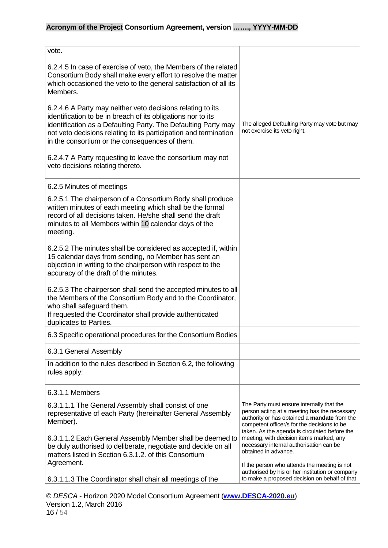| vote.                                                                                                                                                                                                                                                                                                              |                                                                                                                                                                                                                                           |
|--------------------------------------------------------------------------------------------------------------------------------------------------------------------------------------------------------------------------------------------------------------------------------------------------------------------|-------------------------------------------------------------------------------------------------------------------------------------------------------------------------------------------------------------------------------------------|
| 6.2.4.5 In case of exercise of veto, the Members of the related<br>Consortium Body shall make every effort to resolve the matter<br>which occasioned the veto to the general satisfaction of all its<br>Members.                                                                                                   |                                                                                                                                                                                                                                           |
| 6.2.4.6 A Party may neither veto decisions relating to its<br>identification to be in breach of its obligations nor to its<br>identification as a Defaulting Party. The Defaulting Party may<br>not veto decisions relating to its participation and termination<br>in the consortium or the consequences of them. | The alleged Defaulting Party may vote but may<br>not exercise its veto right.                                                                                                                                                             |
| 6.2.4.7 A Party requesting to leave the consortium may not<br>veto decisions relating thereto.                                                                                                                                                                                                                     |                                                                                                                                                                                                                                           |
| 6.2.5 Minutes of meetings                                                                                                                                                                                                                                                                                          |                                                                                                                                                                                                                                           |
| 6.2.5.1 The chairperson of a Consortium Body shall produce<br>written minutes of each meeting which shall be the formal<br>record of all decisions taken. He/she shall send the draft<br>minutes to all Members within 10 calendar days of the<br>meeting.                                                         |                                                                                                                                                                                                                                           |
| 6.2.5.2 The minutes shall be considered as accepted if, within<br>15 calendar days from sending, no Member has sent an<br>objection in writing to the chairperson with respect to the<br>accuracy of the draft of the minutes.                                                                                     |                                                                                                                                                                                                                                           |
| 6.2.5.3 The chairperson shall send the accepted minutes to all<br>the Members of the Consortium Body and to the Coordinator,<br>who shall safeguard them.<br>If requested the Coordinator shall provide authenticated<br>duplicates to Parties.                                                                    |                                                                                                                                                                                                                                           |
| 6.3 Specific operational procedures for the Consortium Bodies                                                                                                                                                                                                                                                      |                                                                                                                                                                                                                                           |
| 6.3.1 General Assembly                                                                                                                                                                                                                                                                                             |                                                                                                                                                                                                                                           |
| In addition to the rules described in Section 6.2, the following<br>rules apply:                                                                                                                                                                                                                                   |                                                                                                                                                                                                                                           |
| 6.3.1.1 Members                                                                                                                                                                                                                                                                                                    |                                                                                                                                                                                                                                           |
| 6.3.1.1.1 The General Assembly shall consist of one<br>representative of each Party (hereinafter General Assembly<br>Member).                                                                                                                                                                                      | The Party must ensure internally that the<br>person acting at a meeting has the necessary<br>authority or has obtained a mandate from the<br>competent officer/s for the decisions to be<br>taken. As the agenda is circulated before the |
| 6.3.1.1.2 Each General Assembly Member shall be deemed to<br>be duly authorised to deliberate, negotiate and decide on all<br>matters listed in Section 6.3.1.2. of this Consortium<br>Agreement.                                                                                                                  | meeting, with decision items marked, any<br>necessary internal authorisation can be<br>obtained in advance.                                                                                                                               |
| 6.3.1.1.3 The Coordinator shall chair all meetings of the                                                                                                                                                                                                                                                          | If the person who attends the meeting is not<br>authorised by his or her institution or company<br>to make a proposed decision on behalf of that                                                                                          |

© *DESCA* - Horizon 2020 Model Consortium Agreement (**[www.DESCA-2020.eu](http://www.desca-2020.eu/)**) Version 1.2, March 2016 16 / 54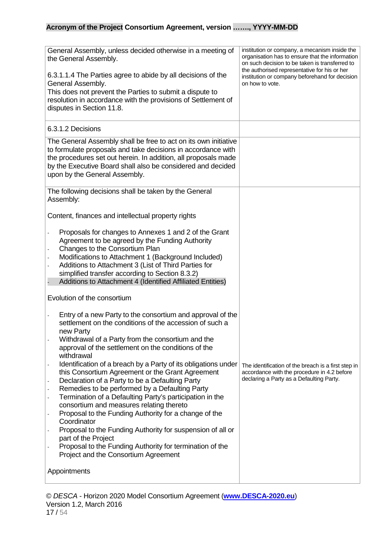| General Assembly, unless decided otherwise in a meeting of<br>the General Assembly.<br>6.3.1.1.4 The Parties agree to abide by all decisions of the<br>General Assembly.<br>This does not prevent the Parties to submit a dispute to<br>resolution in accordance with the provisions of Settlement of<br>disputes in Section 11.8.                                                                                                                                                                                                                                                                                                                                                                                                                                                                                                                               | institution or company, a mecanism inside the<br>organisation has to ensure that the information<br>on such decision to be taken is transferred to<br>the authorised representative for his or her<br>institution or company beforehand for decision<br>on how to vote. |
|------------------------------------------------------------------------------------------------------------------------------------------------------------------------------------------------------------------------------------------------------------------------------------------------------------------------------------------------------------------------------------------------------------------------------------------------------------------------------------------------------------------------------------------------------------------------------------------------------------------------------------------------------------------------------------------------------------------------------------------------------------------------------------------------------------------------------------------------------------------|-------------------------------------------------------------------------------------------------------------------------------------------------------------------------------------------------------------------------------------------------------------------------|
| 6.3.1.2 Decisions                                                                                                                                                                                                                                                                                                                                                                                                                                                                                                                                                                                                                                                                                                                                                                                                                                                |                                                                                                                                                                                                                                                                         |
| The General Assembly shall be free to act on its own initiative<br>to formulate proposals and take decisions in accordance with<br>the procedures set out herein. In addition, all proposals made<br>by the Executive Board shall also be considered and decided<br>upon by the General Assembly.                                                                                                                                                                                                                                                                                                                                                                                                                                                                                                                                                                |                                                                                                                                                                                                                                                                         |
| The following decisions shall be taken by the General<br>Assembly:                                                                                                                                                                                                                                                                                                                                                                                                                                                                                                                                                                                                                                                                                                                                                                                               |                                                                                                                                                                                                                                                                         |
| Content, finances and intellectual property rights                                                                                                                                                                                                                                                                                                                                                                                                                                                                                                                                                                                                                                                                                                                                                                                                               |                                                                                                                                                                                                                                                                         |
| Proposals for changes to Annexes 1 and 2 of the Grant<br>Agreement to be agreed by the Funding Authority<br>Changes to the Consortium Plan<br>Modifications to Attachment 1 (Background Included)<br>Additions to Attachment 3 (List of Third Parties for<br>simplified transfer according to Section 8.3.2)<br>Additions to Attachment 4 (Identified Affiliated Entities)                                                                                                                                                                                                                                                                                                                                                                                                                                                                                       |                                                                                                                                                                                                                                                                         |
| Evolution of the consortium                                                                                                                                                                                                                                                                                                                                                                                                                                                                                                                                                                                                                                                                                                                                                                                                                                      |                                                                                                                                                                                                                                                                         |
| Entry of a new Party to the consortium and approval of the<br>settlement on the conditions of the accession of such a<br>new Party<br>Withdrawal of a Party from the consortium and the<br>approval of the settlement on the conditions of the<br>withdrawal<br>Identification of a breach by a Party of its obligations under<br>this Consortium Agreement or the Grant Agreement<br>Declaration of a Party to be a Defaulting Party<br>Remedies to be performed by a Defaulting Party<br>Termination of a Defaulting Party's participation in the<br>consortium and measures relating thereto<br>Proposal to the Funding Authority for a change of the<br>Coordinator<br>Proposal to the Funding Authority for suspension of all or<br>part of the Project<br>Proposal to the Funding Authority for termination of the<br>Project and the Consortium Agreement | The identification of the breach is a first step in<br>accordance with the procedure in 4.2 before<br>declaring a Party as a Defaulting Party.                                                                                                                          |
| Appointments                                                                                                                                                                                                                                                                                                                                                                                                                                                                                                                                                                                                                                                                                                                                                                                                                                                     |                                                                                                                                                                                                                                                                         |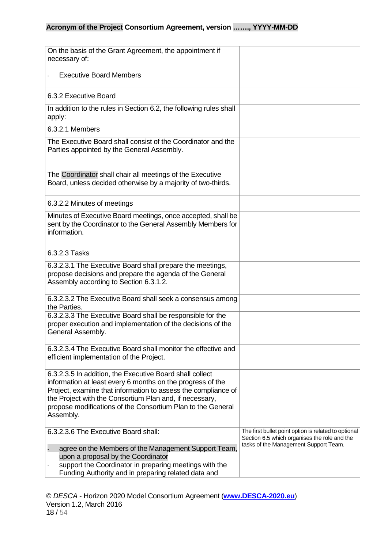| On the basis of the Grant Agreement, the appointment if<br>necessary of:                                                                                                                                                                                                                                                       |                                                                                                                                               |
|--------------------------------------------------------------------------------------------------------------------------------------------------------------------------------------------------------------------------------------------------------------------------------------------------------------------------------|-----------------------------------------------------------------------------------------------------------------------------------------------|
| <b>Executive Board Members</b>                                                                                                                                                                                                                                                                                                 |                                                                                                                                               |
| 6.3.2 Executive Board                                                                                                                                                                                                                                                                                                          |                                                                                                                                               |
| In addition to the rules in Section 6.2, the following rules shall<br>apply:                                                                                                                                                                                                                                                   |                                                                                                                                               |
| 6.3.2.1 Members                                                                                                                                                                                                                                                                                                                |                                                                                                                                               |
| The Executive Board shall consist of the Coordinator and the<br>Parties appointed by the General Assembly.                                                                                                                                                                                                                     |                                                                                                                                               |
| The Coordinator shall chair all meetings of the Executive<br>Board, unless decided otherwise by a majority of two-thirds.                                                                                                                                                                                                      |                                                                                                                                               |
| 6.3.2.2 Minutes of meetings                                                                                                                                                                                                                                                                                                    |                                                                                                                                               |
| Minutes of Executive Board meetings, once accepted, shall be<br>sent by the Coordinator to the General Assembly Members for<br>information.                                                                                                                                                                                    |                                                                                                                                               |
| 6.3.2.3 Tasks                                                                                                                                                                                                                                                                                                                  |                                                                                                                                               |
| 6.3.2.3.1 The Executive Board shall prepare the meetings,<br>propose decisions and prepare the agenda of the General<br>Assembly according to Section 6.3.1.2.                                                                                                                                                                 |                                                                                                                                               |
| 6.3.2.3.2 The Executive Board shall seek a consensus among<br>the Parties.                                                                                                                                                                                                                                                     |                                                                                                                                               |
| 6.3.2.3.3 The Executive Board shall be responsible for the<br>proper execution and implementation of the decisions of the<br>General Assembly.                                                                                                                                                                                 |                                                                                                                                               |
| 6.3.2.3.4 The Executive Board shall monitor the effective and<br>efficient implementation of the Project.                                                                                                                                                                                                                      |                                                                                                                                               |
| 6.3.2.3.5 In addition, the Executive Board shall collect<br>information at least every 6 months on the progress of the<br>Project, examine that information to assess the compliance of<br>the Project with the Consortium Plan and, if necessary,<br>propose modifications of the Consortium Plan to the General<br>Assembly. |                                                                                                                                               |
| 6.3.2.3.6 The Executive Board shall:<br>agree on the Members of the Management Support Team,<br>upon a proposal by the Coordinator<br>support the Coordinator in preparing meetings with the                                                                                                                                   | The first bullet point option is related to optional<br>Section 6.5 which organises the role and the<br>tasks of the Management Support Team. |
| Funding Authority and in preparing related data and                                                                                                                                                                                                                                                                            |                                                                                                                                               |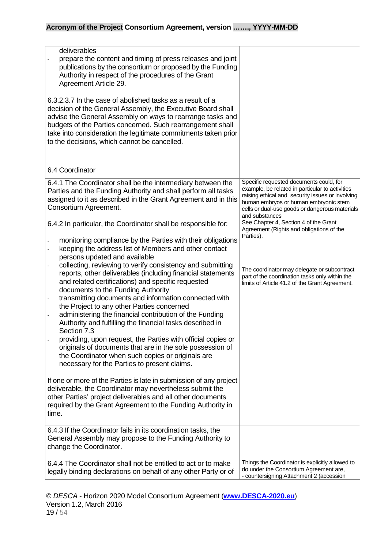| deliverables<br>prepare the content and timing of press releases and joint<br>publications by the consortium or proposed by the Funding<br>Authority in respect of the procedures of the Grant<br>Agreement Article 29.                                                                                                                                                                                                                                                                                                                                                                                                                                                                                                                                                                                                                                        |                                                                                                                                                                                                                                                                                                                                                  |
|----------------------------------------------------------------------------------------------------------------------------------------------------------------------------------------------------------------------------------------------------------------------------------------------------------------------------------------------------------------------------------------------------------------------------------------------------------------------------------------------------------------------------------------------------------------------------------------------------------------------------------------------------------------------------------------------------------------------------------------------------------------------------------------------------------------------------------------------------------------|--------------------------------------------------------------------------------------------------------------------------------------------------------------------------------------------------------------------------------------------------------------------------------------------------------------------------------------------------|
| 6.3.2.3.7 In the case of abolished tasks as a result of a<br>decision of the General Assembly, the Executive Board shall<br>advise the General Assembly on ways to rearrange tasks and<br>budgets of the Parties concerned. Such rearrangement shall<br>take into consideration the legitimate commitments taken prior<br>to the decisions, which cannot be cancelled.                                                                                                                                                                                                                                                                                                                                                                                                                                                                                         |                                                                                                                                                                                                                                                                                                                                                  |
|                                                                                                                                                                                                                                                                                                                                                                                                                                                                                                                                                                                                                                                                                                                                                                                                                                                                |                                                                                                                                                                                                                                                                                                                                                  |
| 6.4 Coordinator                                                                                                                                                                                                                                                                                                                                                                                                                                                                                                                                                                                                                                                                                                                                                                                                                                                |                                                                                                                                                                                                                                                                                                                                                  |
| 6.4.1 The Coordinator shall be the intermediary between the<br>Parties and the Funding Authority and shall perform all tasks<br>assigned to it as described in the Grant Agreement and in this<br>Consortium Agreement.<br>6.4.2 In particular, the Coordinator shall be responsible for:                                                                                                                                                                                                                                                                                                                                                                                                                                                                                                                                                                      | Specific requested documents could, for<br>example, be related in particular to activities<br>raising ethical and security issues or involving<br>human embryos or human embryonic stem<br>cells or dual-use goods or dangerous materials<br>and substances<br>See Chapter 4, Section 4 of the Grant<br>Agreement (Rights and obligations of the |
| monitoring compliance by the Parties with their obligations<br>keeping the address list of Members and other contact<br>persons updated and available<br>collecting, reviewing to verify consistency and submitting<br>reports, other deliverables (including financial statements<br>and related certifications) and specific requested<br>documents to the Funding Authority<br>transmitting documents and information connected with<br>the Project to any other Parties concerned<br>administering the financial contribution of the Funding<br>Authority and fulfilling the financial tasks described in<br>Section 7.3<br>providing, upon request, the Parties with official copies or<br>originals of documents that are in the sole possession of<br>the Coordinator when such copies or originals are<br>necessary for the Parties to present claims. | Parties).<br>The coordinator may delegate or subcontract<br>part of the coordination tasks only within the<br>limits of Article 41.2 of the Grant Agreement.                                                                                                                                                                                     |
| If one or more of the Parties is late in submission of any project<br>deliverable, the Coordinator may nevertheless submit the<br>other Parties' project deliverables and all other documents<br>required by the Grant Agreement to the Funding Authority in<br>time.                                                                                                                                                                                                                                                                                                                                                                                                                                                                                                                                                                                          |                                                                                                                                                                                                                                                                                                                                                  |
| 6.4.3 If the Coordinator fails in its coordination tasks, the<br>General Assembly may propose to the Funding Authority to<br>change the Coordinator.                                                                                                                                                                                                                                                                                                                                                                                                                                                                                                                                                                                                                                                                                                           |                                                                                                                                                                                                                                                                                                                                                  |
| 6.4.4 The Coordinator shall not be entitled to act or to make<br>legally binding declarations on behalf of any other Party or of                                                                                                                                                                                                                                                                                                                                                                                                                                                                                                                                                                                                                                                                                                                               | Things the Coordinator is explicitly allowed to<br>do under the Consortium Agreement are,<br>- countersigning Attachment 2 (accession                                                                                                                                                                                                            |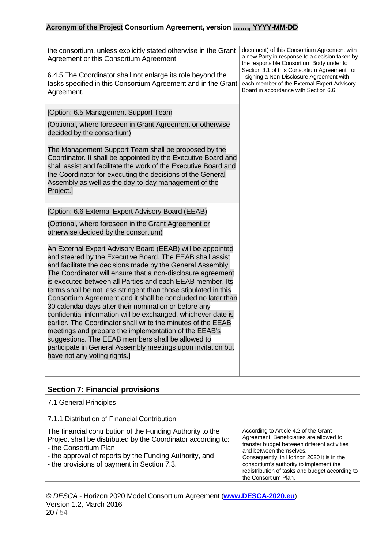| the consortium, unless explicitly stated otherwise in the Grant<br>Agreement or this Consortium Agreement<br>6.4.5 The Coordinator shall not enlarge its role beyond the<br>tasks specified in this Consortium Agreement and in the Grant<br>Agreement.                                                                                                                                                                                                                                                                                                                                                                                                                                                                                                                                                                                                      | document) of this Consortium Agreement with<br>a new Party in response to a decision taken by<br>the responsible Consortium Body under to<br>Section 3.1 of this Consortium Agreement ; or<br>- signing a Non-Disclosure Agreement with<br>each member of the External Expert Advisory<br>Board in accordance with Section 6.6. |
|--------------------------------------------------------------------------------------------------------------------------------------------------------------------------------------------------------------------------------------------------------------------------------------------------------------------------------------------------------------------------------------------------------------------------------------------------------------------------------------------------------------------------------------------------------------------------------------------------------------------------------------------------------------------------------------------------------------------------------------------------------------------------------------------------------------------------------------------------------------|---------------------------------------------------------------------------------------------------------------------------------------------------------------------------------------------------------------------------------------------------------------------------------------------------------------------------------|
| [Option: 6.5 Management Support Team                                                                                                                                                                                                                                                                                                                                                                                                                                                                                                                                                                                                                                                                                                                                                                                                                         |                                                                                                                                                                                                                                                                                                                                 |
| (Optional, where foreseen in Grant Agreement or otherwise<br>decided by the consortium)                                                                                                                                                                                                                                                                                                                                                                                                                                                                                                                                                                                                                                                                                                                                                                      |                                                                                                                                                                                                                                                                                                                                 |
| The Management Support Team shall be proposed by the<br>Coordinator. It shall be appointed by the Executive Board and<br>shall assist and facilitate the work of the Executive Board and<br>the Coordinator for executing the decisions of the General<br>Assembly as well as the day-to-day management of the<br>Project.]                                                                                                                                                                                                                                                                                                                                                                                                                                                                                                                                  |                                                                                                                                                                                                                                                                                                                                 |
| [Option: 6.6 External Expert Advisory Board (EEAB)                                                                                                                                                                                                                                                                                                                                                                                                                                                                                                                                                                                                                                                                                                                                                                                                           |                                                                                                                                                                                                                                                                                                                                 |
| (Optional, where foreseen in the Grant Agreement or<br>otherwise decided by the consortium)                                                                                                                                                                                                                                                                                                                                                                                                                                                                                                                                                                                                                                                                                                                                                                  |                                                                                                                                                                                                                                                                                                                                 |
| An External Expert Advisory Board (EEAB) will be appointed<br>and steered by the Executive Board. The EEAB shall assist<br>and facilitate the decisions made by the General Assembly.<br>The Coordinator will ensure that a non-disclosure agreement<br>is executed between all Parties and each EEAB member. Its<br>terms shall be not less stringent than those stipulated in this<br>Consortium Agreement and it shall be concluded no later than<br>30 calendar days after their nomination or before any<br>confidential information will be exchanged, whichever date is<br>earlier. The Coordinator shall write the minutes of the EEAB<br>meetings and prepare the implementation of the EEAB's<br>suggestions. The EEAB members shall be allowed to<br>participate in General Assembly meetings upon invitation but<br>have not any voting rights.] |                                                                                                                                                                                                                                                                                                                                 |

<span id="page-19-0"></span>

| <b>Section 7: Financial provisions</b>                                                                                                                                                                                                                         |                                                                                                                                                                                                                                                                                                                                 |
|----------------------------------------------------------------------------------------------------------------------------------------------------------------------------------------------------------------------------------------------------------------|---------------------------------------------------------------------------------------------------------------------------------------------------------------------------------------------------------------------------------------------------------------------------------------------------------------------------------|
| 7.1 General Principles                                                                                                                                                                                                                                         |                                                                                                                                                                                                                                                                                                                                 |
| 7.1.1 Distribution of Financial Contribution                                                                                                                                                                                                                   |                                                                                                                                                                                                                                                                                                                                 |
| The financial contribution of the Funding Authority to the<br>Project shall be distributed by the Coordinator according to:<br>- the Consortium Plan<br>- the approval of reports by the Funding Authority, and<br>- the provisions of payment in Section 7.3. | According to Article 4.2 of the Grant<br>Agreement, Beneficiaries are allowed to<br>transfer budget between different activities<br>and between themselves.<br>Consequently, in Horizon 2020 it is in the<br>consortium's authority to implement the<br>redistribution of tasks and budget according to<br>the Consortium Plan. |

© *DESCA* - Horizon 2020 Model Consortium Agreement (**[www.DESCA-2020.eu](http://www.desca-2020.eu/)**) Version 1.2, March 2016 20 / 54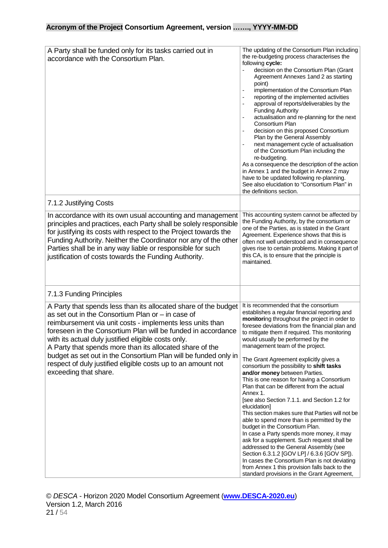| A Party shall be funded only for its tasks carried out in<br>accordance with the Consortium Plan.                                                                                                                                                                                                                                                                                                                                                                                                                                  | The updating of the Consortium Plan including<br>the re-budgeting process characterises the<br>following cycle:<br>decision on the Consortium Plan (Grant<br>Agreement Annexes 1 and 2 as starting<br>point)<br>implementation of the Consortium Plan<br>reporting of the implemented activities<br>approval of reports/deliverables by the<br><b>Funding Authority</b><br>actualisation and re-planning for the next<br>Consortium Plan<br>decision on this proposed Consortium<br>Plan by the General Assembly<br>next management cycle of actualisation<br>of the Consortium Plan including the<br>re-budgeting.<br>As a consequence the description of the action<br>in Annex 1 and the budget in Annex 2 may<br>have to be updated following re-planning.<br>See also elucidation to "Consortium Plan" in<br>the definitions section.                                                                                                                                                                                                                                                    |
|------------------------------------------------------------------------------------------------------------------------------------------------------------------------------------------------------------------------------------------------------------------------------------------------------------------------------------------------------------------------------------------------------------------------------------------------------------------------------------------------------------------------------------|-----------------------------------------------------------------------------------------------------------------------------------------------------------------------------------------------------------------------------------------------------------------------------------------------------------------------------------------------------------------------------------------------------------------------------------------------------------------------------------------------------------------------------------------------------------------------------------------------------------------------------------------------------------------------------------------------------------------------------------------------------------------------------------------------------------------------------------------------------------------------------------------------------------------------------------------------------------------------------------------------------------------------------------------------------------------------------------------------|
| 7.1.2 Justifying Costs                                                                                                                                                                                                                                                                                                                                                                                                                                                                                                             |                                                                                                                                                                                                                                                                                                                                                                                                                                                                                                                                                                                                                                                                                                                                                                                                                                                                                                                                                                                                                                                                                               |
| In accordance with its own usual accounting and management<br>principles and practices, each Party shall be solely responsible<br>for justifying its costs with respect to the Project towards the<br>Funding Authority. Neither the Coordinator nor any of the other<br>Parties shall be in any way liable or responsible for such<br>justification of costs towards the Funding Authority.                                                                                                                                       | This accounting system cannot be affected by<br>the Funding Authority, by the consortium or<br>one of the Parties, as is stated in the Grant<br>Agreement. Experience shows that this is<br>often not well understood and in consequence<br>gives rise to certain problems. Making it part of<br>this CA, is to ensure that the principle is<br>maintained.                                                                                                                                                                                                                                                                                                                                                                                                                                                                                                                                                                                                                                                                                                                                   |
| 7.1.3 Funding Principles                                                                                                                                                                                                                                                                                                                                                                                                                                                                                                           |                                                                                                                                                                                                                                                                                                                                                                                                                                                                                                                                                                                                                                                                                                                                                                                                                                                                                                                                                                                                                                                                                               |
| A Party that spends less than its allocated share of the budget<br>as set out in the Consortium Plan or $-$ in case of<br>reimbursement via unit costs - implements less units than<br>foreseen in the Consortium Plan will be funded in accordance<br>with its actual duly justified eligible costs only.<br>A Party that spends more than its allocated share of the<br>budget as set out in the Consortium Plan will be funded only in<br>respect of duly justified eligible costs up to an amount not<br>exceeding that share. | It is recommended that the consortium<br>establishes a regular financial reporting and<br>monitoring throughout the project in order to<br>foresee deviations from the financial plan and<br>to mitigate them if required. This monitoring<br>would usually be performed by the<br>management team of the project.<br>The Grant Agreement explicitly gives a<br>consortium the possibility to shift tasks<br>and/or money between Parties.<br>This is one reason for having a Consortium<br>Plan that can be different from the actual<br>Annex 1.<br>[see also Section 7.1.1. and Section 1.2 for<br>elucidation]<br>This section makes sure that Parties will not be<br>able to spend more than is permitted by the<br>budget in the Consortium Plan.<br>In case a Party spends more money, it may<br>ask for a supplement. Such request shall be<br>addressed to the General Assembly (see<br>Section 6.3.1.2 [GOV LP] / 6.3.6 [GOV SP]).<br>In cases the Consortium Plan is not deviating<br>from Annex 1 this provision falls back to the<br>standard provisions in the Grant Agreement, |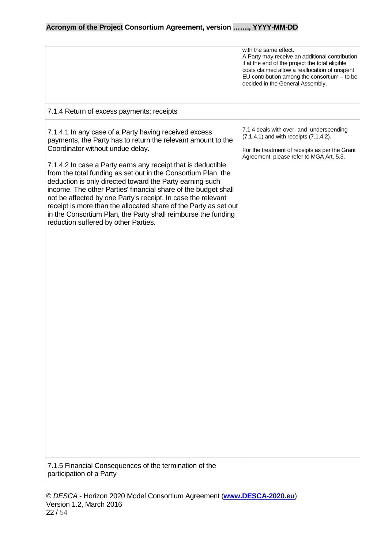|                                                                                                                                                                                                                                                                                                                                                                                                                                                                                                                                                                                                                                                                       | with the same effect.<br>A Party may receive an additional contribution<br>if at the end of the project the total eligible<br>costs claimed allow a reallocation of unspent<br>EU contribution among the consortium $-$ to be<br>decided in the General Assembly. |
|-----------------------------------------------------------------------------------------------------------------------------------------------------------------------------------------------------------------------------------------------------------------------------------------------------------------------------------------------------------------------------------------------------------------------------------------------------------------------------------------------------------------------------------------------------------------------------------------------------------------------------------------------------------------------|-------------------------------------------------------------------------------------------------------------------------------------------------------------------------------------------------------------------------------------------------------------------|
| 7.1.4 Return of excess payments; receipts                                                                                                                                                                                                                                                                                                                                                                                                                                                                                                                                                                                                                             |                                                                                                                                                                                                                                                                   |
| 7.1.4.1 In any case of a Party having received excess<br>payments, the Party has to return the relevant amount to the<br>Coordinator without undue delay.<br>7.1.4.2 In case a Party earns any receipt that is deductible<br>from the total funding as set out in the Consortium Plan, the<br>deduction is only directed toward the Party earning such<br>income. The other Parties' financial share of the budget shall<br>not be affected by one Party's receipt. In case the relevant<br>receipt is more than the allocated share of the Party as set out<br>in the Consortium Plan, the Party shall reimburse the funding<br>reduction suffered by other Parties. | 7.1.4 deals with over- and underspending<br>(7.1.4.1) and with receipts (7.1.4.2).<br>For the treatment of receipts as per the Grant<br>Agreement, please refer to MGA Art. 5.3.                                                                                  |
| 7.1.5 Financial Consequences of the termination of the<br>participation of a Party                                                                                                                                                                                                                                                                                                                                                                                                                                                                                                                                                                                    |                                                                                                                                                                                                                                                                   |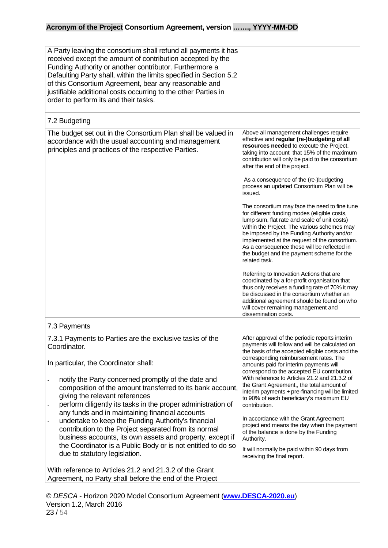| A Party leaving the consortium shall refund all payments it has<br>received except the amount of contribution accepted by the<br>Funding Authority or another contributor. Furthermore a<br>Defaulting Party shall, within the limits specified in Section 5.2<br>of this Consortium Agreement, bear any reasonable and<br>justifiable additional costs occurring to the other Parties in<br>order to perform its and their tasks.                                                                                                                                                                                                                                                                                                   |                                                                                                                                                                                                                                                                                                                                                                                                                                                                                                                                                                                                                                                                                                                                                                                                                                                                                                                                                                                                                                                                                                  |
|--------------------------------------------------------------------------------------------------------------------------------------------------------------------------------------------------------------------------------------------------------------------------------------------------------------------------------------------------------------------------------------------------------------------------------------------------------------------------------------------------------------------------------------------------------------------------------------------------------------------------------------------------------------------------------------------------------------------------------------|--------------------------------------------------------------------------------------------------------------------------------------------------------------------------------------------------------------------------------------------------------------------------------------------------------------------------------------------------------------------------------------------------------------------------------------------------------------------------------------------------------------------------------------------------------------------------------------------------------------------------------------------------------------------------------------------------------------------------------------------------------------------------------------------------------------------------------------------------------------------------------------------------------------------------------------------------------------------------------------------------------------------------------------------------------------------------------------------------|
| 7.2 Budgeting                                                                                                                                                                                                                                                                                                                                                                                                                                                                                                                                                                                                                                                                                                                        |                                                                                                                                                                                                                                                                                                                                                                                                                                                                                                                                                                                                                                                                                                                                                                                                                                                                                                                                                                                                                                                                                                  |
| The budget set out in the Consortium Plan shall be valued in<br>accordance with the usual accounting and management<br>principles and practices of the respective Parties.                                                                                                                                                                                                                                                                                                                                                                                                                                                                                                                                                           | Above all management challenges require<br>effective and regular (re-)budgeting of all<br>resources needed to execute the Project,<br>taking into account that 15% of the maximum<br>contribution will only be paid to the consortium<br>after the end of the project.<br>As a consequence of the (re-)budgeting<br>process an updated Consortium Plan will be<br>issued.<br>The consortium may face the need to fine tune<br>for different funding modes (eligible costs,<br>lump sum, flat rate and scale of unit costs)<br>within the Project. The various schemes may<br>be imposed by the Funding Authority and/or<br>implemented at the request of the consortium.<br>As a consequence these will be reflected in<br>the budget and the payment scheme for the<br>related task.<br>Referring to Innovation Actions that are<br>coordinated by a for-profit organisation that<br>thus only receives a funding rate of 70% it may<br>be discussed in the consortium whether an<br>additional agreement should be found on who<br>will cover remaining management and<br>dissemination costs. |
| 7.3 Payments                                                                                                                                                                                                                                                                                                                                                                                                                                                                                                                                                                                                                                                                                                                         |                                                                                                                                                                                                                                                                                                                                                                                                                                                                                                                                                                                                                                                                                                                                                                                                                                                                                                                                                                                                                                                                                                  |
| 7.3.1 Payments to Parties are the exclusive tasks of the<br>Coordinator.<br>In particular, the Coordinator shall:<br>notify the Party concerned promptly of the date and<br>composition of the amount transferred to its bank account,<br>giving the relevant references<br>perform diligently its tasks in the proper administration of<br>any funds and in maintaining financial accounts<br>undertake to keep the Funding Authority's financial<br>contribution to the Project separated from its normal<br>business accounts, its own assets and property, except if<br>the Coordinator is a Public Body or is not entitled to do so<br>due to statutory legislation.<br>With reference to Articles 21.2 and 21.3.2 of the Grant | After approval of the periodic reports interim<br>payments will follow and will be calculated on<br>the basis of the accepted eligible costs and the<br>corresponding reimbursement rates. The<br>amounts paid for interim payments will<br>correspond to the accepted EU contribution.<br>With reference to Articles 21.2 and 21.3.2 of<br>the Grant Agreement,, the total amount of<br>interim payments + pre-financing will be limited<br>to 90% of each beneficiary's maximum EU<br>contribution.<br>In accordance with the Grant Agreement<br>project end means the day when the payment<br>of the balance is done by the Funding<br>Authority.<br>It will normally be paid within 90 days from<br>receiving the final report.                                                                                                                                                                                                                                                                                                                                                              |
| Agreement, no Party shall before the end of the Project                                                                                                                                                                                                                                                                                                                                                                                                                                                                                                                                                                                                                                                                              |                                                                                                                                                                                                                                                                                                                                                                                                                                                                                                                                                                                                                                                                                                                                                                                                                                                                                                                                                                                                                                                                                                  |

© *DESCA* - Horizon 2020 Model Consortium Agreement (**[www.DESCA-2020.eu](http://www.desca-2020.eu/)**) Version 1.2, March 2016 23 / 54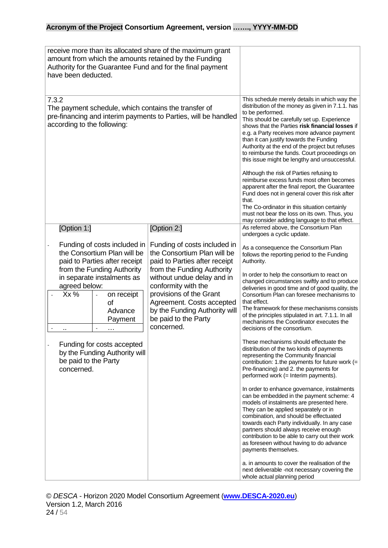| receive more than its allocated share of the maximum grant<br>amount from which the amounts retained by the Funding<br>Authority for the Guarantee Fund and for the final payment<br>have been deducted.                                                                                                                                          |                                                                                                                                                                                                                                                                                                                               |                                                                                                                                                                                                                                                                                                                                                                                                                                                                                                                                                                                                                                                                                                                                                                                                                                                                                                                                                                                                                                                                                                                                                                                                                                                                                                                                          |
|---------------------------------------------------------------------------------------------------------------------------------------------------------------------------------------------------------------------------------------------------------------------------------------------------------------------------------------------------|-------------------------------------------------------------------------------------------------------------------------------------------------------------------------------------------------------------------------------------------------------------------------------------------------------------------------------|------------------------------------------------------------------------------------------------------------------------------------------------------------------------------------------------------------------------------------------------------------------------------------------------------------------------------------------------------------------------------------------------------------------------------------------------------------------------------------------------------------------------------------------------------------------------------------------------------------------------------------------------------------------------------------------------------------------------------------------------------------------------------------------------------------------------------------------------------------------------------------------------------------------------------------------------------------------------------------------------------------------------------------------------------------------------------------------------------------------------------------------------------------------------------------------------------------------------------------------------------------------------------------------------------------------------------------------|
| 7.3.2<br>The payment schedule, which contains the transfer of<br>pre-financing and interim payments to Parties, will be handled<br>according to the following:                                                                                                                                                                                    |                                                                                                                                                                                                                                                                                                                               | This schedule merely details in which way the<br>distribution of the money as given in 7.1.1. has<br>to be performed.<br>This should be carefully set up. Experience<br>shows that the Parties risk financial losses if<br>e.g. a Party receives more advance payment<br>than it can justify towards the Funding<br>Authority at the end of the project but refuses<br>to reimburse the funds. Court proceedings on<br>this issue might be lengthy and unsuccessful.<br>Although the risk of Parties refusing to<br>reimburse excess funds most often becomes<br>apparent after the final report, the Guarantee<br>Fund does not in general cover this risk after<br>that.<br>The Co-ordinator in this situation certainly<br>must not bear the loss on its own. Thus, you<br>may consider adding language to that effect.                                                                                                                                                                                                                                                                                                                                                                                                                                                                                                               |
| [Option 1:]<br>Funding of costs included in<br>the Consortium Plan will be<br>paid to Parties after receipt<br>from the Funding Authority<br>in separate instalments as<br>agreed below:<br>$Xx\%$<br>on receipt<br>οf<br>Advance<br>Payment<br>Funding for costs accepted<br>by the Funding Authority will<br>be paid to the Party<br>concerned. | [Option 2:]<br>Funding of costs included in<br>the Consortium Plan will be<br>paid to Parties after receipt<br>from the Funding Authority<br>without undue delay and in<br>conformity with the<br>provisions of the Grant<br>Agreement. Costs accepted<br>by the Funding Authority will<br>be paid to the Party<br>concerned. | As referred above, the Consortium Plan<br>undergoes a cyclic update.<br>As a consequence the Consortium Plan<br>follows the reporting period to the Funding<br>Authority.<br>In order to help the consortium to react on<br>changed circumstances swiftly and to produce<br>deliveries in good time and of good quality, the<br>Consortium Plan can foresee mechanisms to<br>that effect.<br>The framework for these mechanisms consists<br>of the principles stipulated in art. 7.1.1. In all<br>mechanisms the Coordinator executes the<br>decisions of the consortium.<br>These mechanisms should effectuate the<br>distribution of the two kinds of payments<br>representing the Community financial<br>contribution: 1.the payments for future work (=<br>Pre-financing) and 2. the payments for<br>performed work (= Interim payments).<br>In order to enhance governance, instalments<br>can be embedded in the payment scheme: 4<br>models of instalments are presented here.<br>They can be applied separately or in<br>combination, and should be effectuated<br>towards each Party individually. In any case<br>partners should always receive enough<br>contribution to be able to carry out their work<br>as foreseen without having to do advance<br>payments themselves.<br>a. in amounts to cover the realisation of the |
|                                                                                                                                                                                                                                                                                                                                                   |                                                                                                                                                                                                                                                                                                                               | next deliverable -not necessary covering the<br>whole actual planning period                                                                                                                                                                                                                                                                                                                                                                                                                                                                                                                                                                                                                                                                                                                                                                                                                                                                                                                                                                                                                                                                                                                                                                                                                                                             |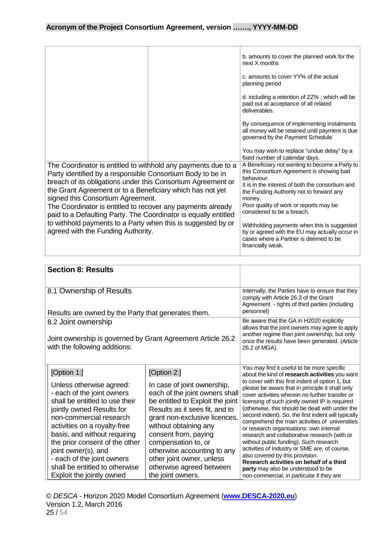|                                                                                                                                                                                                                                                                                                                                                                                                                                                                                                                                       |  | b. amounts to cover the planned work for the<br>next X months<br>c. amounts to cover YY% of the actual<br>planning period                                                                                                                                                                                                                                                                                                            |
|---------------------------------------------------------------------------------------------------------------------------------------------------------------------------------------------------------------------------------------------------------------------------------------------------------------------------------------------------------------------------------------------------------------------------------------------------------------------------------------------------------------------------------------|--|--------------------------------------------------------------------------------------------------------------------------------------------------------------------------------------------------------------------------------------------------------------------------------------------------------------------------------------------------------------------------------------------------------------------------------------|
|                                                                                                                                                                                                                                                                                                                                                                                                                                                                                                                                       |  | d. including a retention of ZZ%; which will be<br>paid out at acceptance of all related<br>deliverables.                                                                                                                                                                                                                                                                                                                             |
|                                                                                                                                                                                                                                                                                                                                                                                                                                                                                                                                       |  | By consequence of implementing instalments<br>all money will be retained until payment is due<br>governed by the Payment Schedule                                                                                                                                                                                                                                                                                                    |
|                                                                                                                                                                                                                                                                                                                                                                                                                                                                                                                                       |  | You may wish to replace "undue delay" by a<br>fixed number of calendar days.                                                                                                                                                                                                                                                                                                                                                         |
| The Coordinator is entitled to withhold any payments due to a<br>Party identified by a responsible Consortium Body to be in<br>breach of its obligations under this Consortium Agreement or<br>the Grant Agreement or to a Beneficiary which has not yet<br>signed this Consortium Agreement.<br>The Coordinator is entitled to recover any payments already<br>paid to a Defaulting Party. The Coordinator is equally entitled<br>to withhold payments to a Party when this is suggested by or<br>agreed with the Funding Authority. |  | A Beneficiary not wanting to become a Party to<br>this Consortium Agreement is showing bad<br>behaviour.<br>It is in the interest of both the consortium and<br>the Funding Authority not to forward any<br>money.<br>Poor quality of work or reports may be<br>considered to be a breach.<br>Withholding payments when this is suggested<br>by or agreed with the EU may actually occur in<br>cases where a Partner is deemed to be |
|                                                                                                                                                                                                                                                                                                                                                                                                                                                                                                                                       |  | financially weak.                                                                                                                                                                                                                                                                                                                                                                                                                    |

<span id="page-24-0"></span>

| <b>Section 8: Results</b>                                                                                                                                                                                                                                                                                                                                                             |                                                                                                                                                                                                                                                                                                                                                                          |                                                                                                                                                                                                                                                                                                                                                                                                                                                                                                                                                                                                                                                                                                                                                                                                                              |
|---------------------------------------------------------------------------------------------------------------------------------------------------------------------------------------------------------------------------------------------------------------------------------------------------------------------------------------------------------------------------------------|--------------------------------------------------------------------------------------------------------------------------------------------------------------------------------------------------------------------------------------------------------------------------------------------------------------------------------------------------------------------------|------------------------------------------------------------------------------------------------------------------------------------------------------------------------------------------------------------------------------------------------------------------------------------------------------------------------------------------------------------------------------------------------------------------------------------------------------------------------------------------------------------------------------------------------------------------------------------------------------------------------------------------------------------------------------------------------------------------------------------------------------------------------------------------------------------------------------|
| 8.1 Ownership of Results<br>Results are owned by the Party that generates them.                                                                                                                                                                                                                                                                                                       |                                                                                                                                                                                                                                                                                                                                                                          | Internally, the Parties have to ensure that they<br>comply with Article 26.3 of the Grant<br>Agreement - rights of third parties (including<br>personnel)                                                                                                                                                                                                                                                                                                                                                                                                                                                                                                                                                                                                                                                                    |
| 8.2 Joint ownership<br>Joint ownership is governed by Grant Agreement Article 26.2<br>with the following additions:                                                                                                                                                                                                                                                                   |                                                                                                                                                                                                                                                                                                                                                                          | Be aware that the GA in H2020 explicitly<br>allows that the joint owners may agree to apply<br>another regime than joint ownership, but only<br>once the results have been generated. (Article<br>26.2 of MGA).                                                                                                                                                                                                                                                                                                                                                                                                                                                                                                                                                                                                              |
| [Option 1:]<br>Unless otherwise agreed:<br>- each of the joint owners<br>shall be entitled to use their<br>jointly owned Results for<br>non-commercial research<br>activities on a royalty-free<br>basis, and without requiring<br>the prior consent of the other<br>joint owner(s), and<br>- each of the joint owners<br>shall be entitled to otherwise<br>Exploit the jointly owned | [Option 2:]<br>In case of joint ownership,<br>each of the joint owners shall<br>be entitled to Exploit the joint<br>Results as it sees fit, and to<br>grant non-exclusive licences,<br>without obtaining any<br>consent from, paying<br>compensation to, or<br>otherwise accounting to any<br>other joint owner, unless<br>otherwise agreed between<br>the joint owners. | You may find it useful to be more specific<br>about the kind of research activities you want<br>to cover with this first indent of option 1, but<br>please be aware that in principle it shall only<br>cover activities wherein no further transfer or<br>licensing of such jointly owned IP is required<br>(otherwise, this should be dealt with under the<br>second indent). So, the first indent will typically<br>comprehend the main activities of universities<br>or research organisations: own internal<br>research and collaborative research (with or<br>without public funding). Such research<br>activities of Industry or SME are, of course,<br>also covered by this provision.<br>Research activities on behalf of a third<br>party may also be understood to be<br>non-commercial, in particular if they are |

© *DESCA* - Horizon 2020 Model Consortium Agreement (**[www.DESCA-2020.eu](http://www.desca-2020.eu/)**) Version 1.2, March 2016 25 / 54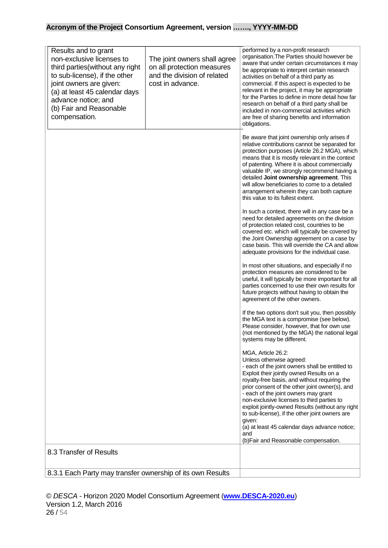| Results and to grant<br>non-exclusive licenses to<br>third parties (without any right<br>to sub-license), if the other<br>joint owners are given:<br>(a) at least 45 calendar days<br>advance notice; and<br>(b) Fair and Reasonable<br>compensation. | The joint owners shall agree<br>on all protection measures<br>and the division of related<br>cost in advance. | performed by a non-profit research<br>organisation. The Parties should however be<br>aware that under certain circumstances it may<br>be appropriate to interpret certain research<br>activities on behalf of a third party as<br>commercial. If this aspect is expected to be<br>relevant in the project, it may be appropriate<br>for the Parties to define in more detail how far<br>research on behalf of a third party shall be<br>included in non-commercial activities which<br>are free of sharing benefits and information<br>obligations.     |
|-------------------------------------------------------------------------------------------------------------------------------------------------------------------------------------------------------------------------------------------------------|---------------------------------------------------------------------------------------------------------------|---------------------------------------------------------------------------------------------------------------------------------------------------------------------------------------------------------------------------------------------------------------------------------------------------------------------------------------------------------------------------------------------------------------------------------------------------------------------------------------------------------------------------------------------------------|
|                                                                                                                                                                                                                                                       |                                                                                                               | Be aware that joint ownership only arises if<br>relative contributions cannot be separated for<br>protection purposes (Article 26.2 MGA), which<br>means that it is mostly relevant in the context<br>of patenting. Where it is about commercially<br>valuable IP, we strongly recommend having a<br>detailed Joint ownership agreement. This<br>will allow beneficiaries to come to a detailed<br>arrangement wherein they can both capture<br>this value to its fullest extent.                                                                       |
|                                                                                                                                                                                                                                                       |                                                                                                               | In such a context, there will in any case be a<br>need for detailed agreements on the division<br>of protection related cost, countries to be<br>covered etc. which will typically be covered by<br>the Joint Ownership agreement on a case by<br>case basis. This will override the CA and allow<br>adequate provisions for the individual case.                                                                                                                                                                                                       |
|                                                                                                                                                                                                                                                       |                                                                                                               | In most other situations, and especially if no<br>protection measures are considered to be<br>useful, it will typically be more important for all<br>parties concerned to use their own results for<br>future projects without having to obtain the<br>agreement of the other owners.                                                                                                                                                                                                                                                                   |
|                                                                                                                                                                                                                                                       |                                                                                                               | If the two options don't suit you, then possibly<br>the MGA text is a compromise (see below).<br>Please consider, however, that for own use<br>(not mentioned by the MGA) the national legal<br>systems may be different.                                                                                                                                                                                                                                                                                                                               |
|                                                                                                                                                                                                                                                       |                                                                                                               | MGA, Article 26.2:<br>Unless otherwise agreed:<br>- each of the joint owners shall be entitled to<br>Exploit their jointly owned Results on a<br>royalty-free basis, and without requiring the<br>prior consent of the other joint owner(s), and<br>- each of the joint owners may grant<br>non-exclusive licenses to third parties to<br>exploit jointly-owned Results (without any right<br>to sub-license), if the other joint owners are<br>given:<br>(a) at least 45 calendar days advance notice;<br>and<br>(b) Fair and Reasonable compensation. |
| 8.3 Transfer of Results                                                                                                                                                                                                                               |                                                                                                               |                                                                                                                                                                                                                                                                                                                                                                                                                                                                                                                                                         |
| 8.3.1 Each Party may transfer ownership of its own Results                                                                                                                                                                                            |                                                                                                               |                                                                                                                                                                                                                                                                                                                                                                                                                                                                                                                                                         |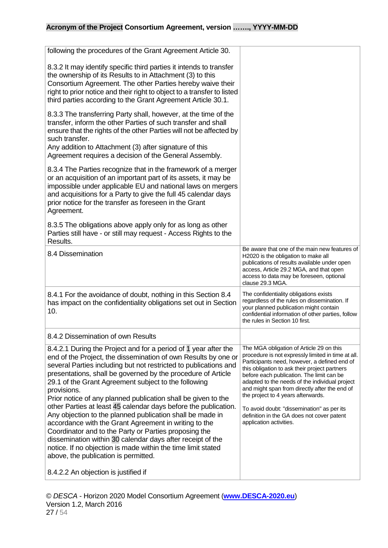| following the procedures of the Grant Agreement Article 30.                                                                                                                                                                                                                                                                                                                                                                                                                                                                                                                                                                                                                                                                                                                                                                           |                                                                                                                                                                                                                                                                                                                                                                                                                                                                                                              |
|---------------------------------------------------------------------------------------------------------------------------------------------------------------------------------------------------------------------------------------------------------------------------------------------------------------------------------------------------------------------------------------------------------------------------------------------------------------------------------------------------------------------------------------------------------------------------------------------------------------------------------------------------------------------------------------------------------------------------------------------------------------------------------------------------------------------------------------|--------------------------------------------------------------------------------------------------------------------------------------------------------------------------------------------------------------------------------------------------------------------------------------------------------------------------------------------------------------------------------------------------------------------------------------------------------------------------------------------------------------|
| 8.3.2 It may identify specific third parties it intends to transfer<br>the ownership of its Results to in Attachment (3) to this<br>Consortium Agreement. The other Parties hereby waive their<br>right to prior notice and their right to object to a transfer to listed<br>third parties according to the Grant Agreement Article 30.1.                                                                                                                                                                                                                                                                                                                                                                                                                                                                                             |                                                                                                                                                                                                                                                                                                                                                                                                                                                                                                              |
| 8.3.3 The transferring Party shall, however, at the time of the<br>transfer, inform the other Parties of such transfer and shall<br>ensure that the rights of the other Parties will not be affected by<br>such transfer.<br>Any addition to Attachment (3) after signature of this<br>Agreement requires a decision of the General Assembly.                                                                                                                                                                                                                                                                                                                                                                                                                                                                                         |                                                                                                                                                                                                                                                                                                                                                                                                                                                                                                              |
| 8.3.4 The Parties recognize that in the framework of a merger<br>or an acquisition of an important part of its assets, it may be<br>impossible under applicable EU and national laws on mergers<br>and acquisitions for a Party to give the full 45 calendar days<br>prior notice for the transfer as foreseen in the Grant<br>Agreement.                                                                                                                                                                                                                                                                                                                                                                                                                                                                                             |                                                                                                                                                                                                                                                                                                                                                                                                                                                                                                              |
| 8.3.5 The obligations above apply only for as long as other<br>Parties still have - or still may request - Access Rights to the<br>Results.                                                                                                                                                                                                                                                                                                                                                                                                                                                                                                                                                                                                                                                                                           |                                                                                                                                                                                                                                                                                                                                                                                                                                                                                                              |
| 8.4 Dissemination                                                                                                                                                                                                                                                                                                                                                                                                                                                                                                                                                                                                                                                                                                                                                                                                                     | Be aware that one of the main new features of<br>H2020 is the obligation to make all<br>publications of results available under open<br>access, Article 29.2 MGA, and that open<br>access to data may be foreseen, optional<br>clause 29.3 MGA.                                                                                                                                                                                                                                                              |
| 8.4.1 For the avoidance of doubt, nothing in this Section 8.4<br>has impact on the confidentiality obligations set out in Section<br>10.                                                                                                                                                                                                                                                                                                                                                                                                                                                                                                                                                                                                                                                                                              | The confidentiality obligations exists<br>regardless of the rules on dissemination. If<br>your planned publication might contain<br>confidential information of other parties, follow<br>the rules in Section 10 first.                                                                                                                                                                                                                                                                                      |
| 8.4.2 Dissemination of own Results                                                                                                                                                                                                                                                                                                                                                                                                                                                                                                                                                                                                                                                                                                                                                                                                    |                                                                                                                                                                                                                                                                                                                                                                                                                                                                                                              |
| 8.4.2.1 During the Project and for a period of 1 year after the<br>end of the Project, the dissemination of own Results by one or<br>several Parties including but not restricted to publications and<br>presentations, shall be governed by the procedure of Article<br>29.1 of the Grant Agreement subject to the following<br>provisions.<br>Prior notice of any planned publication shall be given to the<br>other Parties at least 45 calendar days before the publication.<br>Any objection to the planned publication shall be made in<br>accordance with the Grant Agreement in writing to the<br>Coordinator and to the Party or Parties proposing the<br>dissemination within 30 calendar days after receipt of the<br>notice. If no objection is made within the time limit stated<br>above, the publication is permitted. | The MGA obligation of Article 29 on this<br>procedure is not expressly limited in time at all.<br>Participants need, however, a defined end of<br>this obligation to ask their project partners<br>before each publication. The limit can be<br>adapted to the needs of the individual project<br>and might span from directly after the end of<br>the project to 4 years afterwards.<br>To avoid doubt: "dissemination" as per its<br>definition in the GA does not cover patent<br>application activities. |
| 8.4.2.2 An objection is justified if                                                                                                                                                                                                                                                                                                                                                                                                                                                                                                                                                                                                                                                                                                                                                                                                  |                                                                                                                                                                                                                                                                                                                                                                                                                                                                                                              |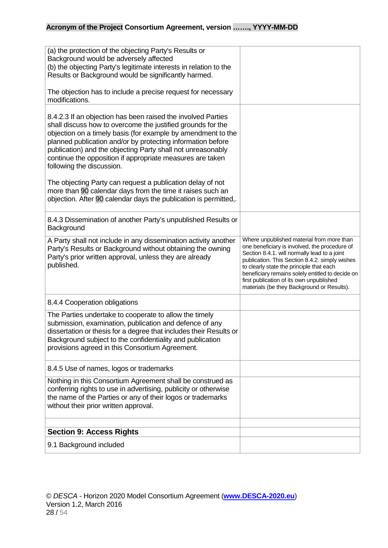<span id="page-27-0"></span>

| 9.1 Background included                                                                                                                                                                                                                                                                                                                                                                                             |                                                                                                                                                                                                                                          |
|---------------------------------------------------------------------------------------------------------------------------------------------------------------------------------------------------------------------------------------------------------------------------------------------------------------------------------------------------------------------------------------------------------------------|------------------------------------------------------------------------------------------------------------------------------------------------------------------------------------------------------------------------------------------|
| <b>Section 9: Access Rights</b>                                                                                                                                                                                                                                                                                                                                                                                     |                                                                                                                                                                                                                                          |
| 8.4.5 Use of names, logos or trademarks<br>Nothing in this Consortium Agreement shall be construed as<br>conferring rights to use in advertising, publicity or otherwise<br>the name of the Parties or any of their logos or trademarks<br>without their prior written approval.                                                                                                                                    |                                                                                                                                                                                                                                          |
| 8.4.4 Cooperation obligations<br>The Parties undertake to cooperate to allow the timely<br>submission, examination, publication and defence of any<br>dissertation or thesis for a degree that includes their Results or<br>Background subject to the confidentiality and publication<br>provisions agreed in this Consortium Agreement.                                                                            |                                                                                                                                                                                                                                          |
| published.                                                                                                                                                                                                                                                                                                                                                                                                          | publication. This Section 8.4.2. simply wishes<br>to clearly state the principle that each<br>beneficiary remains solely entitled to decide on<br>first publication of its own unpublished<br>materials (be they Background or Results). |
| 8.4.3 Dissemination of another Party's unpublished Results or<br>Background<br>A Party shall not include in any dissemination activity another<br>Party's Results or Background without obtaining the owning<br>Party's prior written approval, unless they are already                                                                                                                                             | Where unpublished material from more than<br>one beneficiary is involved, the procedure of<br>Section 8.4.1. will normally lead to a joint                                                                                               |
| The objecting Party can request a publication delay of not<br>more than 90 calendar days from the time it raises such an<br>objection. After 90 calendar days the publication is permitted,.                                                                                                                                                                                                                        |                                                                                                                                                                                                                                          |
| 8.4.2.3 If an objection has been raised the involved Parties<br>shall discuss how to overcome the justified grounds for the<br>objection on a timely basis (for example by amendment to the<br>planned publication and/or by protecting information before<br>publication) and the objecting Party shall not unreasonably<br>continue the opposition if appropriate measures are taken<br>following the discussion. |                                                                                                                                                                                                                                          |
| The objection has to include a precise request for necessary<br>modifications.                                                                                                                                                                                                                                                                                                                                      |                                                                                                                                                                                                                                          |
| (a) the protection of the objecting Party's Results or<br>Background would be adversely affected<br>(b) the objecting Party's legitimate interests in relation to the<br>Results or Background would be significantly harmed.                                                                                                                                                                                       |                                                                                                                                                                                                                                          |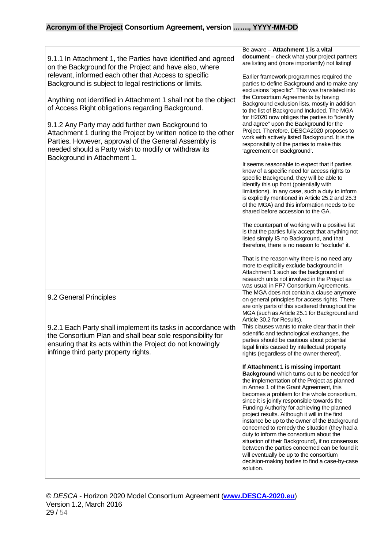| 9.1.1 In Attachment 1, the Parties have identified and agreed<br>on the Background for the Project and have also, where<br>relevant, informed each other that Access to specific<br>Background is subject to legal restrictions or limits.<br>Anything not identified in Attachment 1 shall not be the object<br>of Access Right obligations regarding Background.<br>9.1.2 Any Party may add further own Background to<br>Attachment 1 during the Project by written notice to the other<br>Parties. However, approval of the General Assembly is<br>needed should a Party wish to modify or withdraw its<br>Background in Attachment 1. | Be aware - Attachment 1 is a vital<br>document - check what your project partners<br>are listing and (more importantly) not listing!<br>Earlier framework programmes required the<br>parties to define Background and to make any<br>exclusions "specific". This was translated into<br>the Consortium Agreements by having<br>Background exclusion lists, mostly in addition<br>to the list of Background Included. The MGA<br>for H2020 now obliges the parties to "identify<br>and agree" upon the Background for the<br>Project. Therefore, DESCA2020 proposes to<br>work with actively listed Background. It is the<br>responsibility of the parties to make this<br>'agreement on Background'.<br>It seems reasonable to expect that if parties<br>know of a specific need for access rights to<br>specific Background, they will be able to<br>identify this up front (potentially with<br>limitations). In any case, such a duty to inform<br>is explicitly mentioned in Article 25.2 and 25.3<br>of the MGA) and this information needs to be<br>shared before accession to the GA.<br>The counterpart of working with a positive list<br>is that the parties fully accept that anything not<br>listed simply IS no Background, and that<br>therefore, there is no reason to "exclude" it.<br>That is the reason why there is no need any<br>more to explicitly exclude background in<br>Attachment 1 such as the background of |
|-------------------------------------------------------------------------------------------------------------------------------------------------------------------------------------------------------------------------------------------------------------------------------------------------------------------------------------------------------------------------------------------------------------------------------------------------------------------------------------------------------------------------------------------------------------------------------------------------------------------------------------------|------------------------------------------------------------------------------------------------------------------------------------------------------------------------------------------------------------------------------------------------------------------------------------------------------------------------------------------------------------------------------------------------------------------------------------------------------------------------------------------------------------------------------------------------------------------------------------------------------------------------------------------------------------------------------------------------------------------------------------------------------------------------------------------------------------------------------------------------------------------------------------------------------------------------------------------------------------------------------------------------------------------------------------------------------------------------------------------------------------------------------------------------------------------------------------------------------------------------------------------------------------------------------------------------------------------------------------------------------------------------------------------------------------------------------------------|
|                                                                                                                                                                                                                                                                                                                                                                                                                                                                                                                                                                                                                                           | research units not involved in the Project as<br>was usual in FP7 Consortium Agreements.<br>The MGA does not contain a clause anymore                                                                                                                                                                                                                                                                                                                                                                                                                                                                                                                                                                                                                                                                                                                                                                                                                                                                                                                                                                                                                                                                                                                                                                                                                                                                                                    |
| 9.2 General Principles                                                                                                                                                                                                                                                                                                                                                                                                                                                                                                                                                                                                                    | on general principles for access rights. There<br>are only parts of this scattered throughout the<br>MGA (such as Article 25.1 for Background and<br>Article 30.2 for Results).                                                                                                                                                                                                                                                                                                                                                                                                                                                                                                                                                                                                                                                                                                                                                                                                                                                                                                                                                                                                                                                                                                                                                                                                                                                          |
| 9.2.1 Each Party shall implement its tasks in accordance with                                                                                                                                                                                                                                                                                                                                                                                                                                                                                                                                                                             | This clauses wants to make clear that in their                                                                                                                                                                                                                                                                                                                                                                                                                                                                                                                                                                                                                                                                                                                                                                                                                                                                                                                                                                                                                                                                                                                                                                                                                                                                                                                                                                                           |
| the Consortium Plan and shall bear sole responsibility for                                                                                                                                                                                                                                                                                                                                                                                                                                                                                                                                                                                | scientific and technological exchanges, the                                                                                                                                                                                                                                                                                                                                                                                                                                                                                                                                                                                                                                                                                                                                                                                                                                                                                                                                                                                                                                                                                                                                                                                                                                                                                                                                                                                              |
| ensuring that its acts within the Project do not knowingly                                                                                                                                                                                                                                                                                                                                                                                                                                                                                                                                                                                | parties should be cautious about potential                                                                                                                                                                                                                                                                                                                                                                                                                                                                                                                                                                                                                                                                                                                                                                                                                                                                                                                                                                                                                                                                                                                                                                                                                                                                                                                                                                                               |
| infringe third party property rights.                                                                                                                                                                                                                                                                                                                                                                                                                                                                                                                                                                                                     | legal limits caused by intellectual property<br>rights (regardless of the owner thereof).                                                                                                                                                                                                                                                                                                                                                                                                                                                                                                                                                                                                                                                                                                                                                                                                                                                                                                                                                                                                                                                                                                                                                                                                                                                                                                                                                |
|                                                                                                                                                                                                                                                                                                                                                                                                                                                                                                                                                                                                                                           | If Attachment 1 is missing important<br>Background which turns out to be needed for<br>the implementation of the Project as planned<br>in Annex 1 of the Grant Agreement, this<br>becomes a problem for the whole consortium,<br>since it is jointly responsible towards the<br>Funding Authority for achieving the planned<br>project results. Although it will in the first<br>instance be up to the owner of the Background<br>concerned to remedy the situation (they had a<br>duty to inform the consortium about the<br>situation of their Background), if no consensus<br>between the parties concerned can be found it<br>will eventually be up to the consortium<br>decision-making bodies to find a case-by-case<br>solution.                                                                                                                                                                                                                                                                                                                                                                                                                                                                                                                                                                                                                                                                                                  |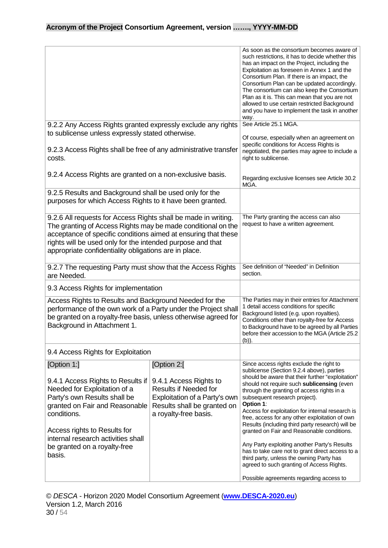|                                                                                                                                                                                                                                                                                                                         |                                                                                                                                                                | As soon as the consortium becomes aware of<br>such restrictions, it has to decide whether this<br>has an impact on the Project, including the<br>Exploitation as foreseen in Annex 1 and the<br>Consortium Plan. If there is an impact, the<br>Consortium Plan can be updated accordingly.<br>The consortium can also keep the Consortium<br>Plan as it is. This can mean that you are not<br>allowed to use certain restricted Background<br>and you have to implement the task in another<br>way.                                                                                                                                                                                                                                  |
|-------------------------------------------------------------------------------------------------------------------------------------------------------------------------------------------------------------------------------------------------------------------------------------------------------------------------|----------------------------------------------------------------------------------------------------------------------------------------------------------------|--------------------------------------------------------------------------------------------------------------------------------------------------------------------------------------------------------------------------------------------------------------------------------------------------------------------------------------------------------------------------------------------------------------------------------------------------------------------------------------------------------------------------------------------------------------------------------------------------------------------------------------------------------------------------------------------------------------------------------------|
| 9.2.2 Any Access Rights granted expressly exclude any rights<br>to sublicense unless expressly stated otherwise.                                                                                                                                                                                                        |                                                                                                                                                                | See Article 25.1 MGA.<br>Of course, especially when an agreement on<br>specific conditions for Access Rights is                                                                                                                                                                                                                                                                                                                                                                                                                                                                                                                                                                                                                      |
| 9.2.3 Access Rights shall be free of any administrative transfer<br>costs.                                                                                                                                                                                                                                              |                                                                                                                                                                | negotiated, the parties may agree to include a<br>right to sublicense.                                                                                                                                                                                                                                                                                                                                                                                                                                                                                                                                                                                                                                                               |
| 9.2.4 Access Rights are granted on a non-exclusive basis.                                                                                                                                                                                                                                                               |                                                                                                                                                                | Regarding exclusive licenses see Article 30.2<br>MGA.                                                                                                                                                                                                                                                                                                                                                                                                                                                                                                                                                                                                                                                                                |
| 9.2.5 Results and Background shall be used only for the<br>purposes for which Access Rights to it have been granted.                                                                                                                                                                                                    |                                                                                                                                                                |                                                                                                                                                                                                                                                                                                                                                                                                                                                                                                                                                                                                                                                                                                                                      |
| 9.2.6 All requests for Access Rights shall be made in writing.<br>The granting of Access Rights may be made conditional on the<br>acceptance of specific conditions aimed at ensuring that these<br>rights will be used only for the intended purpose and that<br>appropriate confidentiality obligations are in place. |                                                                                                                                                                | The Party granting the access can also<br>request to have a written agreement.                                                                                                                                                                                                                                                                                                                                                                                                                                                                                                                                                                                                                                                       |
| 9.2.7 The requesting Party must show that the Access Rights<br>are Needed.                                                                                                                                                                                                                                              |                                                                                                                                                                | See definition of "Needed" in Definition<br>section.                                                                                                                                                                                                                                                                                                                                                                                                                                                                                                                                                                                                                                                                                 |
| 9.3 Access Rights for implementation                                                                                                                                                                                                                                                                                    |                                                                                                                                                                |                                                                                                                                                                                                                                                                                                                                                                                                                                                                                                                                                                                                                                                                                                                                      |
| Access Rights to Results and Background Needed for the<br>performance of the own work of a Party under the Project shall<br>be granted on a royalty-free basis, unless otherwise agreed for<br>Background in Attachment 1.                                                                                              |                                                                                                                                                                | The Parties may in their entries for Attachment<br>1 detail access conditions for specific<br>Background listed (e.g. upon royalties).<br>Conditions other than royalty-free for Access<br>to Background have to be agreed by all Parties<br>before their accession to the MGA (Article 25.2<br>(b)).                                                                                                                                                                                                                                                                                                                                                                                                                                |
| 9.4 Access Rights for Exploitation                                                                                                                                                                                                                                                                                      |                                                                                                                                                                |                                                                                                                                                                                                                                                                                                                                                                                                                                                                                                                                                                                                                                                                                                                                      |
| [Option 1:]<br>9.4.1 Access Rights to Results if<br>Needed for Exploitation of a<br>Party's own Results shall be<br>granted on Fair and Reasonable<br>conditions.<br>Access rights to Results for<br>internal research activities shall<br>be granted on a royalty-free<br>basis.                                       | [Option 2:[<br>9.4.1 Access Rights to<br><b>Results if Needed for</b><br>Exploitation of a Party's own<br>Results shall be granted on<br>a royalty-free basis. | Since access rights exclude the right to<br>sublicense (Section 9.2.4 above), parties<br>should be aware that their further "exploitation"<br>should not require such sublicensing (even<br>through the granting of access rights in a<br>subsequent research project).<br>Option 1:<br>Access for exploitation for internal research is<br>free, access for any other exploitation of own<br>Results (including third party research) will be<br>granted on Fair and Reasonable conditions.<br>Any Party exploiting another Party's Results<br>has to take care not to grant direct access to a<br>third party, unless the owning Party has<br>agreed to such granting of Access Rights.<br>Possible agreements regarding access to |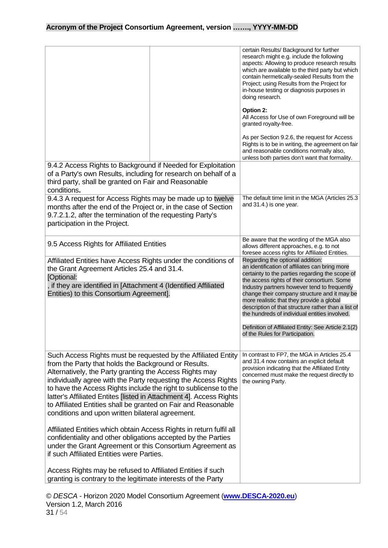|                                                                                                                                                                                                                                                                                                                                                                                                                                                                                                                     |  | certain Results/ Background for further<br>research might e.g. include the following<br>aspects: Allowing to produce research results<br>which are available to the third party but which<br>contain hermetically-sealed Results from the<br>Project; using Results from the Project for<br>in-house testing or diagnosis purposes in<br>doing research.<br>Option 2:<br>All Access for Use of own Foreground will be<br>granted royalty-free.<br>As per Section 9.2.6, the request for Access<br>Rights is to be in writing, the agreement on fair<br>and reasonable conditions normally also,<br>unless both parties don't want that formality. |
|---------------------------------------------------------------------------------------------------------------------------------------------------------------------------------------------------------------------------------------------------------------------------------------------------------------------------------------------------------------------------------------------------------------------------------------------------------------------------------------------------------------------|--|---------------------------------------------------------------------------------------------------------------------------------------------------------------------------------------------------------------------------------------------------------------------------------------------------------------------------------------------------------------------------------------------------------------------------------------------------------------------------------------------------------------------------------------------------------------------------------------------------------------------------------------------------|
| 9.4.2 Access Rights to Background if Needed for Exploitation<br>of a Party's own Results, including for research on behalf of a<br>third party, shall be granted on Fair and Reasonable                                                                                                                                                                                                                                                                                                                             |  |                                                                                                                                                                                                                                                                                                                                                                                                                                                                                                                                                                                                                                                   |
| conditions.<br>9.4.3 A request for Access Rights may be made up to twelve<br>months after the end of the Project or, in the case of Section<br>9.7.2.1.2, after the termination of the requesting Party's<br>participation in the Project.                                                                                                                                                                                                                                                                          |  | The default time limit in the MGA (Articles 25.3<br>and 31.4.) is one year.                                                                                                                                                                                                                                                                                                                                                                                                                                                                                                                                                                       |
| 9.5 Access Rights for Affiliated Entities                                                                                                                                                                                                                                                                                                                                                                                                                                                                           |  | Be aware that the wording of the MGA also<br>allows different approaches, e.g. to not<br>foresee access rights for Affiliated Entities.                                                                                                                                                                                                                                                                                                                                                                                                                                                                                                           |
| Affiliated Entities have Access Rights under the conditions of<br>the Grant Agreement Articles 25.4 and 31.4.<br>[Optional:<br>, if they are identified in [Attachment 4 (Identified Affiliated<br>Entities) to this Consortium Agreement].                                                                                                                                                                                                                                                                         |  | Regarding the optional addition:<br>an identification of affiliates can bring more<br>certainty to the parties regarding the scope of<br>the access rights of their consortium. Some<br>Industry partners however tend to frequently<br>change their company structure and it may be<br>more realistic that they provide a global<br>description of that structure rather than a list of<br>the hundreds of individual entities involved.<br>Definition of Affiliated Entity: See Article 2.1(2)<br>of the Rules for Participation.                                                                                                               |
| Such Access Rights must be requested by the Affiliated Entity<br>from the Party that holds the Background or Results.<br>Alternatively, the Party granting the Access Rights may<br>individually agree with the Party requesting the Access Rights<br>to have the Access Rights include the right to sublicense to the<br>latter's Affiliated Entites [listed in Attachment 4]. Access Rights<br>to Affiliated Entities shall be granted on Fair and Reasonable<br>conditions and upon written bilateral agreement. |  | In contrast to FP7, the MGA in Articles 25.4<br>and 31.4 now contains an explicit default<br>provision indicating that the Affiliated Entity<br>concerned must make the request directly to<br>the owning Party.                                                                                                                                                                                                                                                                                                                                                                                                                                  |
| Affiliated Entities which obtain Access Rights in return fulfil all<br>confidentiality and other obligations accepted by the Parties<br>under the Grant Agreement or this Consortium Agreement as<br>if such Affiliated Entities were Parties.                                                                                                                                                                                                                                                                      |  |                                                                                                                                                                                                                                                                                                                                                                                                                                                                                                                                                                                                                                                   |
| Access Rights may be refused to Affiliated Entities if such<br>granting is contrary to the legitimate interests of the Party                                                                                                                                                                                                                                                                                                                                                                                        |  |                                                                                                                                                                                                                                                                                                                                                                                                                                                                                                                                                                                                                                                   |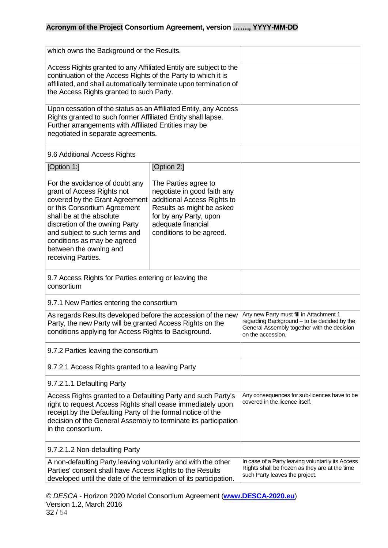| which owns the Background or the Results.                                                                                                                                                                                                                                                                    |                                                                                                                                                                                             |                                                                                                                                                            |
|--------------------------------------------------------------------------------------------------------------------------------------------------------------------------------------------------------------------------------------------------------------------------------------------------------------|---------------------------------------------------------------------------------------------------------------------------------------------------------------------------------------------|------------------------------------------------------------------------------------------------------------------------------------------------------------|
| Access Rights granted to any Affiliated Entity are subject to the<br>continuation of the Access Rights of the Party to which it is<br>affiliated, and shall automatically terminate upon termination of<br>the Access Rights granted to such Party.                                                          |                                                                                                                                                                                             |                                                                                                                                                            |
| Upon cessation of the status as an Affiliated Entity, any Access<br>Rights granted to such former Affiliated Entity shall lapse.<br>Further arrangements with Affiliated Entities may be<br>negotiated in separate agreements.                                                                               |                                                                                                                                                                                             |                                                                                                                                                            |
| 9.6 Additional Access Rights                                                                                                                                                                                                                                                                                 |                                                                                                                                                                                             |                                                                                                                                                            |
| [Option 1:]                                                                                                                                                                                                                                                                                                  | [Option 2:]                                                                                                                                                                                 |                                                                                                                                                            |
| For the avoidance of doubt any<br>grant of Access Rights not<br>covered by the Grant Agreement<br>or this Consortium Agreement<br>shall be at the absolute<br>discretion of the owning Party<br>and subject to such terms and<br>conditions as may be agreed<br>between the owning and<br>receiving Parties. | The Parties agree to<br>negotiate in good faith any<br>additional Access Rights to<br>Results as might be asked<br>for by any Party, upon<br>adequate financial<br>conditions to be agreed. |                                                                                                                                                            |
| 9.7 Access Rights for Parties entering or leaving the<br>consortium                                                                                                                                                                                                                                          |                                                                                                                                                                                             |                                                                                                                                                            |
| 9.7.1 New Parties entering the consortium                                                                                                                                                                                                                                                                    |                                                                                                                                                                                             |                                                                                                                                                            |
| As regards Results developed before the accession of the new<br>Party, the new Party will be granted Access Rights on the<br>conditions applying for Access Rights to Background.                                                                                                                            |                                                                                                                                                                                             | Any new Party must fill in Attachment 1<br>regarding Background - to be decided by the<br>General Assembly together with the decision<br>on the accession. |
| 9.7.2 Parties leaving the consortium                                                                                                                                                                                                                                                                         |                                                                                                                                                                                             |                                                                                                                                                            |
| 9.7.2.1 Access Rights granted to a leaving Party                                                                                                                                                                                                                                                             |                                                                                                                                                                                             |                                                                                                                                                            |
| 9.7.2.1.1 Defaulting Party                                                                                                                                                                                                                                                                                   |                                                                                                                                                                                             |                                                                                                                                                            |
| Access Rights granted to a Defaulting Party and such Party's<br>right to request Access Rights shall cease immediately upon<br>receipt by the Defaulting Party of the formal notice of the<br>decision of the General Assembly to terminate its participation<br>in the consortium.                          |                                                                                                                                                                                             | Any consequences for sub-licences have to be<br>covered in the licence itself.                                                                             |
| 9.7.2.1.2 Non-defaulting Party                                                                                                                                                                                                                                                                               |                                                                                                                                                                                             |                                                                                                                                                            |
| A non-defaulting Party leaving voluntarily and with the other<br>Parties' consent shall have Access Rights to the Results<br>developed until the date of the termination of its participation.                                                                                                               |                                                                                                                                                                                             | In case of a Party leaving voluntarily its Access<br>Rights shall be frozen as they are at the time<br>such Party leaves the project.                      |

© *DESCA* - Horizon 2020 Model Consortium Agreement (**[www.DESCA-2020.eu](http://www.desca-2020.eu/)**) Version 1.2, March 2016 32 / 54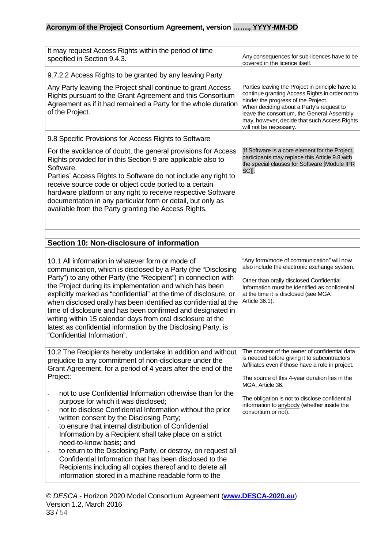<span id="page-32-0"></span>

| It may request Access Rights within the period of time<br>specified in Section 9.4.3.                                                                                                                                                                                                                                                                                                                                                                                                                                                                                                                                                                                                                                                                                                                                                | Any consequences for sub-licences have to be<br>covered in the licence itself.                                                                                                                                                                                                                                                                  |
|--------------------------------------------------------------------------------------------------------------------------------------------------------------------------------------------------------------------------------------------------------------------------------------------------------------------------------------------------------------------------------------------------------------------------------------------------------------------------------------------------------------------------------------------------------------------------------------------------------------------------------------------------------------------------------------------------------------------------------------------------------------------------------------------------------------------------------------|-------------------------------------------------------------------------------------------------------------------------------------------------------------------------------------------------------------------------------------------------------------------------------------------------------------------------------------------------|
| 9.7.2.2 Access Rights to be granted by any leaving Party                                                                                                                                                                                                                                                                                                                                                                                                                                                                                                                                                                                                                                                                                                                                                                             |                                                                                                                                                                                                                                                                                                                                                 |
| Any Party leaving the Project shall continue to grant Access<br>Rights pursuant to the Grant Agreement and this Consortium<br>Agreement as if it had remained a Party for the whole duration<br>of the Project.                                                                                                                                                                                                                                                                                                                                                                                                                                                                                                                                                                                                                      | Parties leaving the Project in principle have to<br>continue granting Access Rights in order not to<br>hinder the progress of the Project.<br>When deciding about a Party's request to<br>leave the consortium, the General Assembly<br>may, however, decide that such Access Rights<br>will not be necessary.                                  |
| 9.8 Specific Provisions for Access Rights to Software                                                                                                                                                                                                                                                                                                                                                                                                                                                                                                                                                                                                                                                                                                                                                                                |                                                                                                                                                                                                                                                                                                                                                 |
| For the avoidance of doubt, the general provisions for Access<br>Rights provided for in this Section 9 are applicable also to<br>Software.<br>Parties' Access Rights to Software do not include any right to<br>receive source code or object code ported to a certain<br>hardware platform or any right to receive respective Software<br>documentation in any particular form or detail, but only as<br>available from the Party granting the Access Rights.                                                                                                                                                                                                                                                                                                                                                                       | [If Software is a core element for the Project,<br>participants may replace this Article 9.8 with<br>the special clauses for Software [Module IPR<br>SC]].                                                                                                                                                                                      |
| Section 10: Non-disclosure of information                                                                                                                                                                                                                                                                                                                                                                                                                                                                                                                                                                                                                                                                                                                                                                                            |                                                                                                                                                                                                                                                                                                                                                 |
| 10.1 All information in whatever form or mode of<br>communication, which is disclosed by a Party (the "Disclosing<br>Party") to any other Party (the "Recipient") in connection with<br>the Project during its implementation and which has been<br>explicitly marked as "confidential" at the time of disclosure, or<br>when disclosed orally has been identified as confidential at the<br>time of disclosure and has been confirmed and designated in<br>writing within 15 calendar days from oral disclosure at the<br>latest as confidential information by the Disclosing Party, is<br>"Confidential Information".                                                                                                                                                                                                             | "Any form/mode of communication" will now<br>also include the electronic exchange system.<br>Other than orally disclosed Confidential<br>Information must be identified as confidential<br>at the time it is disclosed (see MGA<br>Article 36.1).                                                                                               |
| 10.2 The Recipients hereby undertake in addition and without<br>prejudice to any commitment of non-disclosure under the<br>Grant Agreement, for a period of 4 years after the end of the<br>Project:<br>not to use Confidential Information otherwise than for the<br>purpose for which it was disclosed;<br>not to disclose Confidential Information without the prior<br>$\blacksquare$<br>written consent by the Disclosing Party;<br>to ensure that internal distribution of Confidential<br>Information by a Recipient shall take place on a strict<br>need-to-know basis; and<br>to return to the Disclosing Party, or destroy, on request all<br>Confidential Information that has been disclosed to the<br>Recipients including all copies thereof and to delete all<br>information stored in a machine readable form to the | The consent of the owner of confidential data<br>is needed before giving it to subcontractors<br>/affiliates even if those have a role in project.<br>The source of this 4-year duration lies in the<br>MGA, Article 36.<br>The obligation is not to disclose confidential<br>information to anybody (whether inside the<br>consortium or not). |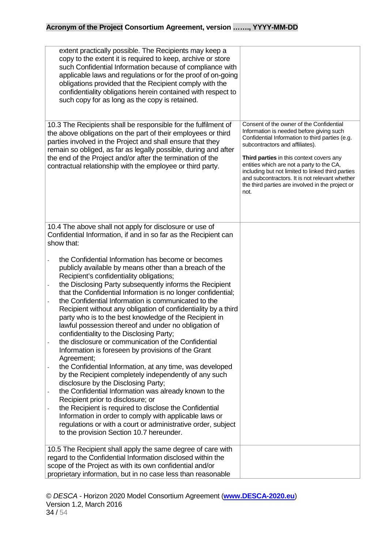| extent practically possible. The Recipients may keep a<br>copy to the extent it is required to keep, archive or store<br>such Confidential Information because of compliance with<br>applicable laws and regulations or for the proof of on-going<br>obligations provided that the Recipient comply with the<br>confidentiality obligations herein contained with respect to<br>such copy for as long as the copy is retained.                                                                                                                                                                                                                                                                                                                                                                                                                                                                                                                                                                                                                                                                                                                                                                                                                          |                                                                                                                                                                                                                                                                                                                                                                                                                                               |
|---------------------------------------------------------------------------------------------------------------------------------------------------------------------------------------------------------------------------------------------------------------------------------------------------------------------------------------------------------------------------------------------------------------------------------------------------------------------------------------------------------------------------------------------------------------------------------------------------------------------------------------------------------------------------------------------------------------------------------------------------------------------------------------------------------------------------------------------------------------------------------------------------------------------------------------------------------------------------------------------------------------------------------------------------------------------------------------------------------------------------------------------------------------------------------------------------------------------------------------------------------|-----------------------------------------------------------------------------------------------------------------------------------------------------------------------------------------------------------------------------------------------------------------------------------------------------------------------------------------------------------------------------------------------------------------------------------------------|
| 10.3 The Recipients shall be responsible for the fulfilment of<br>the above obligations on the part of their employees or third<br>parties involved in the Project and shall ensure that they<br>remain so obliged, as far as legally possible, during and after<br>the end of the Project and/or after the termination of the<br>contractual relationship with the employee or third party.                                                                                                                                                                                                                                                                                                                                                                                                                                                                                                                                                                                                                                                                                                                                                                                                                                                            | Consent of the owner of the Confidential<br>Information is needed before giving such<br>Confidential Information to third parties (e.g.<br>subcontractors and affiliates).<br><b>Third parties</b> in this context covers any<br>entities which are not a party to the CA,<br>including but not limited to linked third parties<br>and subcontractors. It is not relevant whether<br>the third parties are involved in the project or<br>not. |
|                                                                                                                                                                                                                                                                                                                                                                                                                                                                                                                                                                                                                                                                                                                                                                                                                                                                                                                                                                                                                                                                                                                                                                                                                                                         |                                                                                                                                                                                                                                                                                                                                                                                                                                               |
| 10.4 The above shall not apply for disclosure or use of<br>Confidential Information, if and in so far as the Recipient can<br>show that:                                                                                                                                                                                                                                                                                                                                                                                                                                                                                                                                                                                                                                                                                                                                                                                                                                                                                                                                                                                                                                                                                                                |                                                                                                                                                                                                                                                                                                                                                                                                                                               |
| the Confidential Information has become or becomes<br>publicly available by means other than a breach of the<br>Recipient's confidentiality obligations;<br>the Disclosing Party subsequently informs the Recipient<br>that the Confidential Information is no longer confidential;<br>the Confidential Information is communicated to the<br>Recipient without any obligation of confidentiality by a third<br>party who is to the best knowledge of the Recipient in<br>lawful possession thereof and under no obligation of<br>confidentiality to the Disclosing Party;<br>the disclosure or communication of the Confidential<br>Information is foreseen by provisions of the Grant<br>Agreement;<br>the Confidential Information, at any time, was developed<br>by the Recipient completely independently of any such<br>disclosure by the Disclosing Party;<br>the Confidential Information was already known to the<br>$\overline{\phantom{a}}$<br>Recipient prior to disclosure; or<br>the Recipient is required to disclose the Confidential<br>$\overline{\phantom{a}}$<br>Information in order to comply with applicable laws or<br>regulations or with a court or administrative order, subject<br>to the provision Section 10.7 hereunder. |                                                                                                                                                                                                                                                                                                                                                                                                                                               |
| 10.5 The Recipient shall apply the same degree of care with<br>regard to the Confidential Information disclosed within the<br>scope of the Project as with its own confidential and/or<br>proprietary information, but in no case less than reasonable                                                                                                                                                                                                                                                                                                                                                                                                                                                                                                                                                                                                                                                                                                                                                                                                                                                                                                                                                                                                  |                                                                                                                                                                                                                                                                                                                                                                                                                                               |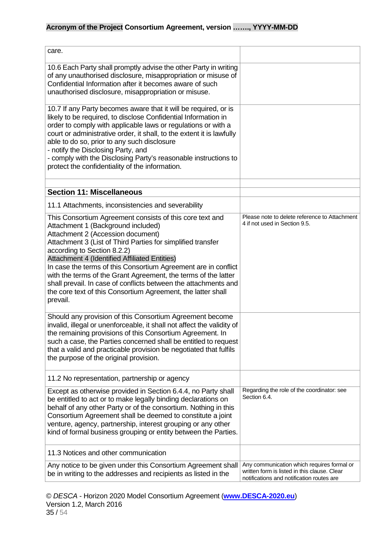<span id="page-34-0"></span>

| care.                                                                                                                                                                                                                                                                                                                                                                                                                                                                                                                                                                 |                                                                                                                                         |
|-----------------------------------------------------------------------------------------------------------------------------------------------------------------------------------------------------------------------------------------------------------------------------------------------------------------------------------------------------------------------------------------------------------------------------------------------------------------------------------------------------------------------------------------------------------------------|-----------------------------------------------------------------------------------------------------------------------------------------|
| 10.6 Each Party shall promptly advise the other Party in writing<br>of any unauthorised disclosure, misappropriation or misuse of<br>Confidential Information after it becomes aware of such<br>unauthorised disclosure, misappropriation or misuse.                                                                                                                                                                                                                                                                                                                  |                                                                                                                                         |
| 10.7 If any Party becomes aware that it will be required, or is<br>likely to be required, to disclose Confidential Information in<br>order to comply with applicable laws or regulations or with a<br>court or administrative order, it shall, to the extent it is lawfully<br>able to do so, prior to any such disclosure<br>- notify the Disclosing Party, and<br>- comply with the Disclosing Party's reasonable instructions to<br>protect the confidentiality of the information.                                                                                |                                                                                                                                         |
| <b>Section 11: Miscellaneous</b>                                                                                                                                                                                                                                                                                                                                                                                                                                                                                                                                      |                                                                                                                                         |
| 11.1 Attachments, inconsistencies and severability                                                                                                                                                                                                                                                                                                                                                                                                                                                                                                                    |                                                                                                                                         |
| This Consortium Agreement consists of this core text and<br>Attachment 1 (Background included)<br>Attachment 2 (Accession document)<br>Attachment 3 (List of Third Parties for simplified transfer<br>according to Section 8.2.2)<br>Attachment 4 (Identified Affiliated Entities)<br>In case the terms of this Consortium Agreement are in conflict<br>with the terms of the Grant Agreement, the terms of the latter<br>shall prevail. In case of conflicts between the attachments and<br>the core text of this Consortium Agreement, the latter shall<br>prevail. | Please note to delete reference to Attachment<br>4 if not used in Section 9.5.                                                          |
| Should any provision of this Consortium Agreement become<br>invalid, illegal or unenforceable, it shall not affect the validity of<br>the remaining provisions of this Consortium Agreement. In<br>such a case, the Parties concerned shall be entitled to request<br>that a valid and practicable provision be negotiated that fulfils<br>the purpose of the original provision.                                                                                                                                                                                     |                                                                                                                                         |
| 11.2 No representation, partnership or agency                                                                                                                                                                                                                                                                                                                                                                                                                                                                                                                         |                                                                                                                                         |
| Except as otherwise provided in Section 6.4.4, no Party shall<br>be entitled to act or to make legally binding declarations on<br>behalf of any other Party or of the consortium. Nothing in this<br>Consortium Agreement shall be deemed to constitute a joint<br>venture, agency, partnership, interest grouping or any other<br>kind of formal business grouping or entity between the Parties.                                                                                                                                                                    | Regarding the role of the coordinator: see<br>Section 6.4.                                                                              |
| 11.3 Notices and other communication                                                                                                                                                                                                                                                                                                                                                                                                                                                                                                                                  |                                                                                                                                         |
| Any notice to be given under this Consortium Agreement shall<br>be in writing to the addresses and recipients as listed in the                                                                                                                                                                                                                                                                                                                                                                                                                                        | Any communication which requires formal or<br>written form is listed in this clause. Clear<br>notifications and notification routes are |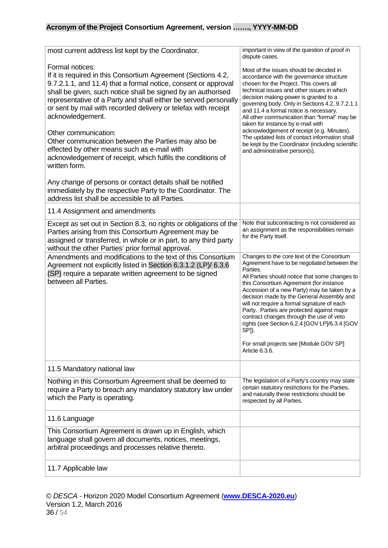| most current address list kept by the Coordinator.                                                                                                                                                                                                                                                                                                                                                                                                                                                                                                                                                                                                      | important in view of the question of proof in<br>dispute cases.                                                                                                                                                                                                                                                                                                                                                                                                                                                                                                                              |
|---------------------------------------------------------------------------------------------------------------------------------------------------------------------------------------------------------------------------------------------------------------------------------------------------------------------------------------------------------------------------------------------------------------------------------------------------------------------------------------------------------------------------------------------------------------------------------------------------------------------------------------------------------|----------------------------------------------------------------------------------------------------------------------------------------------------------------------------------------------------------------------------------------------------------------------------------------------------------------------------------------------------------------------------------------------------------------------------------------------------------------------------------------------------------------------------------------------------------------------------------------------|
| Formal notices:<br>If it is required in this Consortium Agreement (Sections 4.2,<br>9.7.2.1.1, and 11.4) that a formal notice, consent or approval<br>shall be given, such notice shall be signed by an authorised<br>representative of a Party and shall either be served personally<br>or sent by mail with recorded delivery or telefax with receipt<br>acknowledgement.<br>Other communication:<br>Other communication between the Parties may also be<br>effected by other means such as e-mail with<br>acknowledgement of receipt, which fulfils the conditions of<br>written form.<br>Any change of persons or contact details shall be notified | Most of the issues should be decided in<br>accordance with the governance structure<br>chosen for the Project. This covers all<br>technical issues and other issues in which<br>decision making power is granted to a<br>governing body. Only in Sections 4.2, 9.7.2.1.1<br>and 11.4 a formal notice is necessary.<br>All other communication than "formal" may be<br>taken for instance by e-mail with<br>acknowledgement of receipt (e.g. Minutes).<br>The updated lists of contact information shall<br>be kept by the Coordinator (including scientific<br>and administrative person(s). |
| immediately by the respective Party to the Coordinator. The<br>address list shall be accessible to all Parties.                                                                                                                                                                                                                                                                                                                                                                                                                                                                                                                                         |                                                                                                                                                                                                                                                                                                                                                                                                                                                                                                                                                                                              |
| 11.4 Assignment and amendments                                                                                                                                                                                                                                                                                                                                                                                                                                                                                                                                                                                                                          |                                                                                                                                                                                                                                                                                                                                                                                                                                                                                                                                                                                              |
| Except as set out in Section 8.3, no rights or obligations of the<br>Parties arising from this Consortium Agreement may be<br>assigned or transferred, in whole or in part, to any third party<br>without the other Parties' prior formal approval.                                                                                                                                                                                                                                                                                                                                                                                                     | Note that subcontracting is not considered as<br>an assignment as the responsibilities remain<br>for the Party itself.                                                                                                                                                                                                                                                                                                                                                                                                                                                                       |
| Amendments and modifications to the text of this Consortium<br>Agreement not explicitly listed in Section 6.3.1.2 (LP)/ 6.3.6<br>(SP) require a separate written agreement to be signed<br>between all Parties.                                                                                                                                                                                                                                                                                                                                                                                                                                         | Changes to the core text of the Consortium<br>Agreement have to be negotiated between the<br>Parties.<br>All Parties should notice that some changes to<br>this Consortium Agreement (for instance<br>Accession of a new Party) may be taken by a<br>decision made by the General Assembly and<br>will not require a formal signature of each<br>Party. Parties are protected against major<br>contract changes through the use of veto<br>rights (see Section 6.2.4 [GOV LP]/6.3.4 [GOV<br>SP]).<br>For small projects see [Module GOV SP]<br>Article 6.3.6.                                |
| 11.5 Mandatory national law                                                                                                                                                                                                                                                                                                                                                                                                                                                                                                                                                                                                                             |                                                                                                                                                                                                                                                                                                                                                                                                                                                                                                                                                                                              |
| Nothing in this Consortium Agreement shall be deemed to<br>require a Party to breach any mandatory statutory law under<br>which the Party is operating.                                                                                                                                                                                                                                                                                                                                                                                                                                                                                                 | The legislation of a Party's country may state<br>certain statutory restrictions for the Parties,<br>and naturally these restrictions should be<br>respected by all Parties.                                                                                                                                                                                                                                                                                                                                                                                                                 |
| 11.6 Language                                                                                                                                                                                                                                                                                                                                                                                                                                                                                                                                                                                                                                           |                                                                                                                                                                                                                                                                                                                                                                                                                                                                                                                                                                                              |
| This Consortium Agreement is drawn up in English, which<br>language shall govern all documents, notices, meetings,<br>arbitral proceedings and processes relative thereto.                                                                                                                                                                                                                                                                                                                                                                                                                                                                              |                                                                                                                                                                                                                                                                                                                                                                                                                                                                                                                                                                                              |
| 11.7 Applicable law                                                                                                                                                                                                                                                                                                                                                                                                                                                                                                                                                                                                                                     |                                                                                                                                                                                                                                                                                                                                                                                                                                                                                                                                                                                              |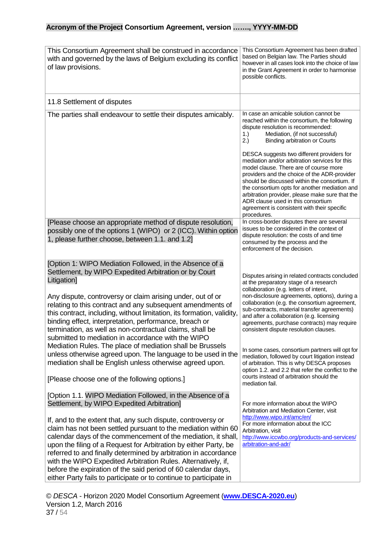| This Consortium Agreement shall be construed in accordance<br>with and governed by the laws of Belgium excluding its conflict<br>of law provisions.                                                                                                                                                                                                                                                                                                                                                                                                                                                                                                                                                                                                                                                                                                                    | This Consortium Agreement has been drafted<br>based on Belgian law. The Parties should<br>however in all cases look into the choice of law<br>in the Grant Agreement in order to harmonise<br>possible conflicts.                                                                                                                                                                                                                                                                                                                                                                                                                                                                                                                                                                                                     |
|------------------------------------------------------------------------------------------------------------------------------------------------------------------------------------------------------------------------------------------------------------------------------------------------------------------------------------------------------------------------------------------------------------------------------------------------------------------------------------------------------------------------------------------------------------------------------------------------------------------------------------------------------------------------------------------------------------------------------------------------------------------------------------------------------------------------------------------------------------------------|-----------------------------------------------------------------------------------------------------------------------------------------------------------------------------------------------------------------------------------------------------------------------------------------------------------------------------------------------------------------------------------------------------------------------------------------------------------------------------------------------------------------------------------------------------------------------------------------------------------------------------------------------------------------------------------------------------------------------------------------------------------------------------------------------------------------------|
| 11.8 Settlement of disputes                                                                                                                                                                                                                                                                                                                                                                                                                                                                                                                                                                                                                                                                                                                                                                                                                                            |                                                                                                                                                                                                                                                                                                                                                                                                                                                                                                                                                                                                                                                                                                                                                                                                                       |
| The parties shall endeavour to settle their disputes amicably.                                                                                                                                                                                                                                                                                                                                                                                                                                                                                                                                                                                                                                                                                                                                                                                                         | In case an amicable solution cannot be<br>reached within the consortium, the following<br>dispute resolution is recommended:<br>Mediation, (if not successful)<br>1.)<br>2.)<br><b>Binding arbitration or Courts</b>                                                                                                                                                                                                                                                                                                                                                                                                                                                                                                                                                                                                  |
|                                                                                                                                                                                                                                                                                                                                                                                                                                                                                                                                                                                                                                                                                                                                                                                                                                                                        | DESCA suggests two different providers for<br>mediation and/or arbitration services for this<br>model clause. There are of course more<br>providers and the choice of the ADR-provider<br>should be discussed within the consortium. If<br>the consortium opts for another mediation and<br>arbitration provider, please make sure that the<br>ADR clause used in this consortium<br>agreement is consistent with their specific<br>procedures.                                                                                                                                                                                                                                                                                                                                                                       |
| [Please choose an appropriate method of dispute resolution,<br>possibly one of the options 1 (WIPO) or 2 (ICC). Within option<br>1, please further choose, between 1.1. and 1.2]                                                                                                                                                                                                                                                                                                                                                                                                                                                                                                                                                                                                                                                                                       | In cross-border disputes there are several<br>issues to be considered in the context of<br>dispute resolution: the costs of and time<br>consumed by the process and the<br>enforcement of the decision.                                                                                                                                                                                                                                                                                                                                                                                                                                                                                                                                                                                                               |
| [Option 1: WIPO Mediation Followed, in the Absence of a<br>Settlement, by WIPO Expedited Arbitration or by Court<br>Litigation]<br>Any dispute, controversy or claim arising under, out of or<br>relating to this contract and any subsequent amendments of<br>this contract, including, without limitation, its formation, validity,<br>binding effect, interpretation, performance, breach or<br>termination, as well as non-contractual claims, shall be<br>submitted to mediation in accordance with the WIPO<br>Mediation Rules. The place of mediation shall be Brussels<br>unless otherwise agreed upon. The language to be used in the<br>mediation shall be English unless otherwise agreed upon.<br>[Please choose one of the following options.]<br>[Option 1.1. WIPO Mediation Followed, in the Absence of a<br>Settlement, by WIPO Expedited Arbitration] | Disputes arising in related contracts concluded<br>at the preparatory stage of a research<br>collaboration (e.g. letters of intent,<br>non-disclosure agreements, options), during a<br>collaboration (e.g. the consortium agreement,<br>sub-contracts, material transfer agreements)<br>and after a collaboration (e.g. licensing<br>agreements, purchase contracts) may require<br>consistent dispute resolution clauses.<br>In some cases, consortium partners will opt for<br>mediation, followed by court litigation instead<br>of arbitration. This is why DESCA proposes<br>option 1.2. and 2.2 that refer the conflict to the<br>courts instead of arbitration should the<br>mediation fail.<br>For more information about the WIPO<br>Arbitration and Mediation Center, visit<br>http://www.wipo.int/amc/en/ |
| If, and to the extent that, any such dispute, controversy or<br>claim has not been settled pursuant to the mediation within 60<br>calendar days of the commencement of the mediation, it shall,<br>upon the filing of a Request for Arbitration by either Party, be<br>referred to and finally determined by arbitration in accordance<br>with the WIPO Expedited Arbitration Rules. Alternatively, if,<br>before the expiration of the said period of 60 calendar days,<br>either Party fails to participate or to continue to participate in                                                                                                                                                                                                                                                                                                                         | For more information about the ICC<br>Arbitration, visit<br>http://www.iccwbo.org/products-and-services/<br>arbitration-and-adr/                                                                                                                                                                                                                                                                                                                                                                                                                                                                                                                                                                                                                                                                                      |

© *DESCA* - Horizon 2020 Model Consortium Agreement (**[www.DESCA-2020.eu](http://www.desca-2020.eu/)**) Version 1.2, March 2016 37 / 54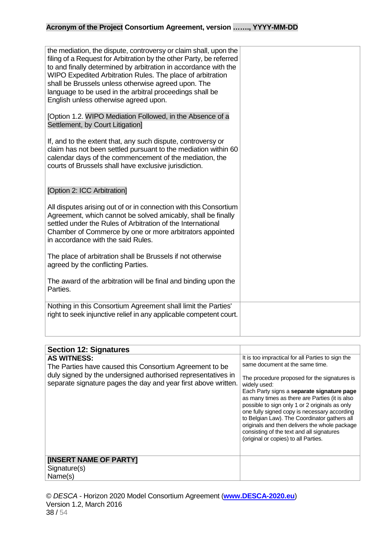| the mediation, the dispute, controversy or claim shall, upon the<br>filing of a Request for Arbitration by the other Party, be referred<br>to and finally determined by arbitration in accordance with the<br>WIPO Expedited Arbitration Rules. The place of arbitration<br>shall be Brussels unless otherwise agreed upon. The<br>language to be used in the arbitral proceedings shall be<br>English unless otherwise agreed upon. |  |
|--------------------------------------------------------------------------------------------------------------------------------------------------------------------------------------------------------------------------------------------------------------------------------------------------------------------------------------------------------------------------------------------------------------------------------------|--|
| [Option 1.2. WIPO Mediation Followed, in the Absence of a<br>Settlement, by Court Litigation]                                                                                                                                                                                                                                                                                                                                        |  |
| If, and to the extent that, any such dispute, controversy or<br>claim has not been settled pursuant to the mediation within 60<br>calendar days of the commencement of the mediation, the<br>courts of Brussels shall have exclusive jurisdiction.                                                                                                                                                                                   |  |
| [Option 2: ICC Arbitration]                                                                                                                                                                                                                                                                                                                                                                                                          |  |
| All disputes arising out of or in connection with this Consortium<br>Agreement, which cannot be solved amicably, shall be finally<br>settled under the Rules of Arbitration of the International<br>Chamber of Commerce by one or more arbitrators appointed<br>in accordance with the said Rules.                                                                                                                                   |  |
| The place of arbitration shall be Brussels if not otherwise<br>agreed by the conflicting Parties.                                                                                                                                                                                                                                                                                                                                    |  |
| The award of the arbitration will be final and binding upon the<br>Parties.                                                                                                                                                                                                                                                                                                                                                          |  |
| Nothing in this Consortium Agreement shall limit the Parties'<br>right to seek injunctive relief in any applicable competent court.                                                                                                                                                                                                                                                                                                  |  |

<span id="page-37-0"></span>

| <b>Section 12: Signatures</b>                                                                                                                                                                                   |                                                                                                                                                                                                                                                                                                                                                                                                                                                                                                                                              |
|-----------------------------------------------------------------------------------------------------------------------------------------------------------------------------------------------------------------|----------------------------------------------------------------------------------------------------------------------------------------------------------------------------------------------------------------------------------------------------------------------------------------------------------------------------------------------------------------------------------------------------------------------------------------------------------------------------------------------------------------------------------------------|
| <b>AS WITNESS:</b><br>The Parties have caused this Consortium Agreement to be<br>duly signed by the undersigned authorised representatives in<br>separate signature pages the day and year first above written. | It is too impractical for all Parties to sign the<br>same document at the same time.<br>The procedure proposed for the signatures is<br>widely used:<br>Each Party signs a separate signature page<br>as many times as there are Parties (it is also<br>possible to sign only 1 or 2 originals as only<br>one fully signed copy is necessary according<br>to Belgian Law). The Coordinator gathers all<br>originals and then delivers the whole package<br>consisting of the text and all signatures<br>(original or copies) to all Parties. |
| [INSERT NAME OF PARTY]<br>Signature(s)                                                                                                                                                                          |                                                                                                                                                                                                                                                                                                                                                                                                                                                                                                                                              |
| Name(s)                                                                                                                                                                                                         |                                                                                                                                                                                                                                                                                                                                                                                                                                                                                                                                              |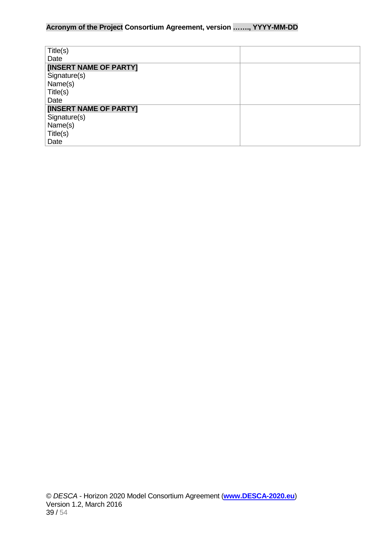| Title(s)               |  |
|------------------------|--|
| Date                   |  |
| [INSERT NAME OF PARTY] |  |
| Signature(s)           |  |
| Name(s)                |  |
| Title(s)               |  |
| Date                   |  |
| [INSERT NAME OF PARTY] |  |
| Signature(s)           |  |
| Name(s)                |  |
| Title(s)               |  |
| Date                   |  |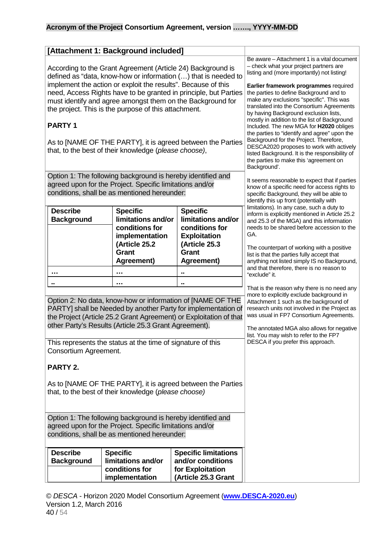<span id="page-39-0"></span>

|                                                                                                                                                                                                                                                                                                                                                                                                                                                                                                                                   | [Attachment 1: Background included]                                                                        |                                                                                                          |                                                                                                                                                                                                                                                                                                                                                                                                                                                                                                                                                                                                                                                                                                         |
|-----------------------------------------------------------------------------------------------------------------------------------------------------------------------------------------------------------------------------------------------------------------------------------------------------------------------------------------------------------------------------------------------------------------------------------------------------------------------------------------------------------------------------------|------------------------------------------------------------------------------------------------------------|----------------------------------------------------------------------------------------------------------|---------------------------------------------------------------------------------------------------------------------------------------------------------------------------------------------------------------------------------------------------------------------------------------------------------------------------------------------------------------------------------------------------------------------------------------------------------------------------------------------------------------------------------------------------------------------------------------------------------------------------------------------------------------------------------------------------------|
| According to the Grant Agreement (Article 24) Background is<br>defined as "data, know-how or information () that is needed to<br>implement the action or exploit the results". Because of this<br>need, Access Rights have to be granted in principle, but Parties<br>must identify and agree amongst them on the Background for<br>the project. This is the purpose of this attachment.<br><b>PARTY1</b><br>As to [NAME OF THE PARTY], it is agreed between the Parties<br>that, to the best of their knowledge (please choose), |                                                                                                            |                                                                                                          | Be aware - Attachment 1 is a vital document<br>- check what your project partners are<br>listing and (more importantly) not listing!<br>Earlier framework programmes required<br>the parties to define Background and to<br>make any exclusions "specific". This was<br>translated into the Consortium Agreements<br>by having Background exclusion lists,<br>mostly in addition to the list of Background<br>Included. The new MGA for H2020 obliges<br>the parties to "identify and agree" upon the<br>Background for the Project. Therefore,<br>DESCA2020 proposes to work with actively<br>listed Background. It is the responsibility of<br>the parties to make this 'agreement on<br>Background'. |
| Option 1: The following background is hereby identified and<br>agreed upon for the Project. Specific limitations and/or<br>conditions, shall be as mentioned hereunder:                                                                                                                                                                                                                                                                                                                                                           |                                                                                                            |                                                                                                          | It seems reasonable to expect that if parties<br>know of a specific need for access rights to<br>specific Background, they will be able to<br>identify this up front (potentially with                                                                                                                                                                                                                                                                                                                                                                                                                                                                                                                  |
| <b>Describe</b><br><b>Background</b>                                                                                                                                                                                                                                                                                                                                                                                                                                                                                              | <b>Specific</b><br>limitations and/or<br>conditions for<br>implementation<br>(Article 25.2<br><b>Grant</b> | <b>Specific</b><br>limitations and/or<br>conditions for<br><b>Exploitation</b><br>(Article 25.3<br>Grant | limitations). In any case, such a duty to<br>inform is explicitly mentioned in Article 25.2<br>and 25.3 of the MGA) and this information<br>needs to be shared before accession to the<br>GA.<br>The counterpart of working with a positive<br>list is that the parties fully accept that                                                                                                                                                                                                                                                                                                                                                                                                               |
|                                                                                                                                                                                                                                                                                                                                                                                                                                                                                                                                   | Agreement)<br>.                                                                                            | Agreement)<br>$\blacksquare$                                                                             | anything not listed simply IS no Background,<br>and that therefore, there is no reason to<br>"exclude" it.                                                                                                                                                                                                                                                                                                                                                                                                                                                                                                                                                                                              |
|                                                                                                                                                                                                                                                                                                                                                                                                                                                                                                                                   | .                                                                                                          | ٠.                                                                                                       |                                                                                                                                                                                                                                                                                                                                                                                                                                                                                                                                                                                                                                                                                                         |
| Option 2: No data, know-how or information of [NAME OF THE<br>PARTY] shall be Needed by another Party for implementation of<br>the Project (Article 25.2 Grant Agreement) or Exploitation of that<br>other Party's Results (Article 25.3 Grant Agreement).                                                                                                                                                                                                                                                                        |                                                                                                            |                                                                                                          | That is the reason why there is no need any<br>more to explicitly exclude background in<br>Attachment 1 such as the background of<br>research units not involved in the Project as<br>was usual in FP7 Consortium Agreements.<br>The annotated MGA also allows for negative<br>list. You may wish to refer to the FP7                                                                                                                                                                                                                                                                                                                                                                                   |
| This represents the status at the time of signature of this<br>Consortium Agreement.                                                                                                                                                                                                                                                                                                                                                                                                                                              |                                                                                                            |                                                                                                          | DESCA if you prefer this approach.                                                                                                                                                                                                                                                                                                                                                                                                                                                                                                                                                                                                                                                                      |
| PARTY 2.                                                                                                                                                                                                                                                                                                                                                                                                                                                                                                                          |                                                                                                            |                                                                                                          |                                                                                                                                                                                                                                                                                                                                                                                                                                                                                                                                                                                                                                                                                                         |
| As to [NAME OF THE PARTY], it is agreed between the Parties<br>that, to the best of their knowledge (please choose)                                                                                                                                                                                                                                                                                                                                                                                                               |                                                                                                            |                                                                                                          |                                                                                                                                                                                                                                                                                                                                                                                                                                                                                                                                                                                                                                                                                                         |
| Option 1: The following background is hereby identified and<br>agreed upon for the Project. Specific limitations and/or<br>conditions, shall be as mentioned hereunder:                                                                                                                                                                                                                                                                                                                                                           |                                                                                                            |                                                                                                          |                                                                                                                                                                                                                                                                                                                                                                                                                                                                                                                                                                                                                                                                                                         |
| <b>Describe</b><br><b>Background</b>                                                                                                                                                                                                                                                                                                                                                                                                                                                                                              | <b>Specific</b><br>limitations and/or<br>conditions for<br>implementation                                  | <b>Specific limitations</b><br>and/or conditions<br>for Exploitation<br>(Article 25.3 Grant              |                                                                                                                                                                                                                                                                                                                                                                                                                                                                                                                                                                                                                                                                                                         |

© *DESCA* - Horizon 2020 Model Consortium Agreement (**[www.DESCA-2020.eu](http://www.desca-2020.eu/)**) Version 1.2, March 2016 40 / 54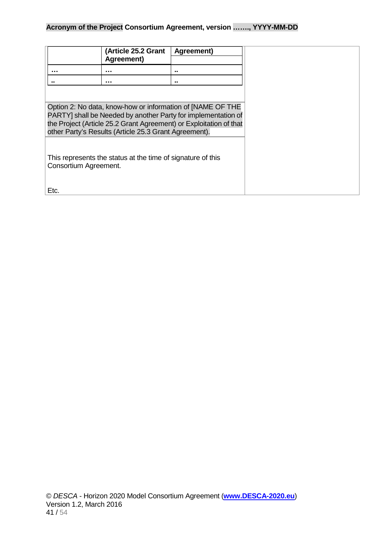|                                                                                                                                                                                                                                                            | (Article 25.2 Grant<br>Agreement) | Agreement) |
|------------------------------------------------------------------------------------------------------------------------------------------------------------------------------------------------------------------------------------------------------------|-----------------------------------|------------|
| .                                                                                                                                                                                                                                                          | .                                 |            |
|                                                                                                                                                                                                                                                            | .                                 |            |
|                                                                                                                                                                                                                                                            |                                   |            |
| Option 2: No data, know-how or information of [NAME OF THE<br>PARTY] shall be Needed by another Party for implementation of<br>the Project (Article 25.2 Grant Agreement) or Exploitation of that<br>other Party's Results (Article 25.3 Grant Agreement). |                                   |            |
| This represents the status at the time of signature of this<br>Consortium Agreement.                                                                                                                                                                       |                                   |            |
| Etc.                                                                                                                                                                                                                                                       |                                   |            |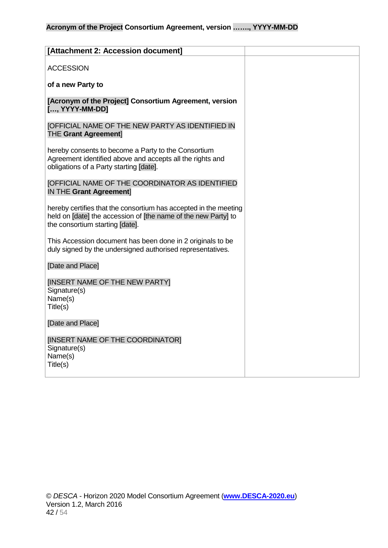<span id="page-41-0"></span>

| [Attachment 2: Accession document]                                                                                                                                    |  |
|-----------------------------------------------------------------------------------------------------------------------------------------------------------------------|--|
| <b>ACCESSION</b>                                                                                                                                                      |  |
| of a new Party to                                                                                                                                                     |  |
| [Acronym of the Project] Consortium Agreement, version<br>[, YYYY-MM-DD]                                                                                              |  |
| <b>[OFFICIAL NAME OF THE NEW PARTY AS IDENTIFIED IN</b><br><b>THE Grant Agreement]</b>                                                                                |  |
| hereby consents to become a Party to the Consortium<br>Agreement identified above and accepts all the rights and<br>obligations of a Party starting [date].           |  |
| <b>JOFFICIAL NAME OF THE COORDINATOR AS IDENTIFIED</b><br><b>IN THE Grant Agreement]</b>                                                                              |  |
| hereby certifies that the consortium has accepted in the meeting<br>held on [date] the accession of [the name of the new Party] to<br>the consortium starting [date]. |  |
| This Accession document has been done in 2 originals to be<br>duly signed by the undersigned authorised representatives.                                              |  |
| [Date and Place]                                                                                                                                                      |  |
| [INSERT NAME OF THE NEW PARTY]<br>Signature(s)<br>Name(s)<br>Title(s)                                                                                                 |  |
| [Date and Place]                                                                                                                                                      |  |
| [INSERT NAME OF THE COORDINATOR]<br>Signature(s)<br>Name(s)<br>Title(s)                                                                                               |  |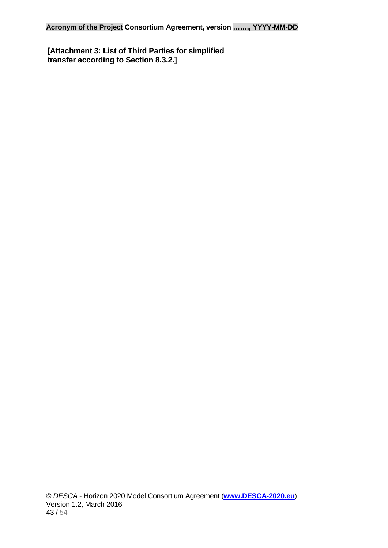<span id="page-42-0"></span>

| [Attachment 3: List of Third Parties for simplified<br>transfer according to Section 8.3.2.] |  |
|----------------------------------------------------------------------------------------------|--|
|                                                                                              |  |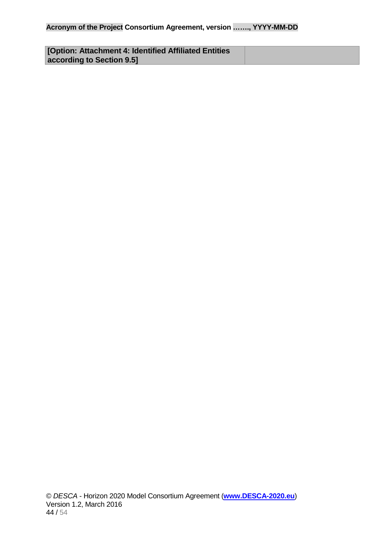<span id="page-43-0"></span>

| [Option: Attachment 4: Identified Affiliated Entities] |  |
|--------------------------------------------------------|--|
| according to Section 9.5]                              |  |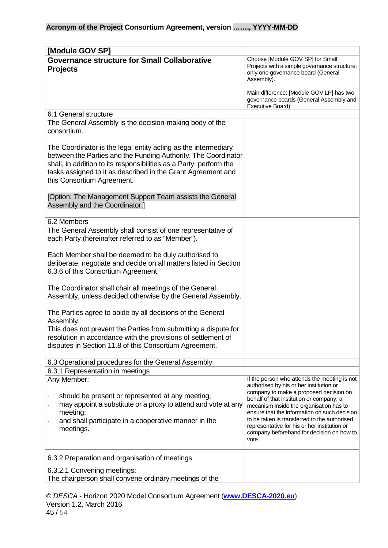<span id="page-44-1"></span><span id="page-44-0"></span>

| [Module GOV SP]                                                                                                                                                                                                                                                                                      |                                                                                                                                   |
|------------------------------------------------------------------------------------------------------------------------------------------------------------------------------------------------------------------------------------------------------------------------------------------------------|-----------------------------------------------------------------------------------------------------------------------------------|
| <b>Governance structure for Small Collaborative</b>                                                                                                                                                                                                                                                  | Choose [Module GOV SP] for Small                                                                                                  |
| <b>Projects</b>                                                                                                                                                                                                                                                                                      | Projects with a simple governance structure:<br>only one governance board (General<br>Assembly).                                  |
|                                                                                                                                                                                                                                                                                                      | Main difference: [Module GOV LP] has two<br>governance boards (General Assembly and<br>Executive Board)                           |
| 6.1 General structure                                                                                                                                                                                                                                                                                |                                                                                                                                   |
| The General Assembly is the decision-making body of the<br>consortium.                                                                                                                                                                                                                               |                                                                                                                                   |
| The Coordinator is the legal entity acting as the intermediary<br>between the Parties and the Funding Authority. The Coordinator<br>shall, in addition to its responsibilities as a Party, perform the<br>tasks assigned to it as described in the Grant Agreement and<br>this Consortium Agreement. |                                                                                                                                   |
| [Option: The Management Support Team assists the General<br>Assembly and the Coordinator.]                                                                                                                                                                                                           |                                                                                                                                   |
| 6.2 Members                                                                                                                                                                                                                                                                                          |                                                                                                                                   |
| The General Assembly shall consist of one representative of<br>each Party (hereinafter referred to as "Member").                                                                                                                                                                                     |                                                                                                                                   |
| Each Member shall be deemed to be duly authorised to                                                                                                                                                                                                                                                 |                                                                                                                                   |
| deliberate, negotiate and decide on all matters listed in Section                                                                                                                                                                                                                                    |                                                                                                                                   |
| 6.3.6 of this Consortium Agreement.                                                                                                                                                                                                                                                                  |                                                                                                                                   |
| The Coordinator shall chair all meetings of the General<br>Assembly, unless decided otherwise by the General Assembly.                                                                                                                                                                               |                                                                                                                                   |
| The Parties agree to abide by all decisions of the General                                                                                                                                                                                                                                           |                                                                                                                                   |
| Assembly.<br>This does not prevent the Parties from submitting a dispute for                                                                                                                                                                                                                         |                                                                                                                                   |
| resolution in accordance with the provisions of settlement of                                                                                                                                                                                                                                        |                                                                                                                                   |
| disputes in Section 11.8 of this Consortium Agreement.                                                                                                                                                                                                                                               |                                                                                                                                   |
| 6.3 Operational procedures for the General Assembly                                                                                                                                                                                                                                                  |                                                                                                                                   |
| 6.3.1 Representation in meetings                                                                                                                                                                                                                                                                     |                                                                                                                                   |
| Any Member:                                                                                                                                                                                                                                                                                          | If the person who attends the meeting is not<br>authorised by his or her institution or<br>company to make a proposed decision on |
| should be present or represented at any meeting;                                                                                                                                                                                                                                                     | behalf of that institution or company, a                                                                                          |
| may appoint a substitute or a proxy to attend and vote at any<br>meeting;                                                                                                                                                                                                                            | mecanism inside the organisation has to<br>ensure that the information on such decision                                           |
| and shall participate in a cooperative manner in the                                                                                                                                                                                                                                                 | to be taken is transferred to the authorised                                                                                      |
| meetings.                                                                                                                                                                                                                                                                                            | representative for his or her institution or<br>company beforehand for decision on how to<br>vote.                                |
| 6.3.2 Preparation and organisation of meetings                                                                                                                                                                                                                                                       |                                                                                                                                   |
| 6.3.2.1 Convening meetings:                                                                                                                                                                                                                                                                          |                                                                                                                                   |
| The chairperson shall convene ordinary meetings of the                                                                                                                                                                                                                                               |                                                                                                                                   |

© *DESCA* - Horizon 2020 Model Consortium Agreement (**[www.DESCA-2020.eu](http://www.desca-2020.eu/)**) Version 1.2, March 2016 45 / 54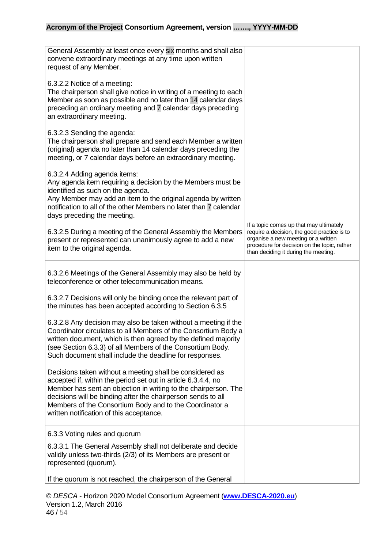| General Assembly at least once every six months and shall also<br>convene extraordinary meetings at any time upon written<br>request of any Member.                                                                                                                                                                                                                 |                                                                                                                                                                                                                      |
|---------------------------------------------------------------------------------------------------------------------------------------------------------------------------------------------------------------------------------------------------------------------------------------------------------------------------------------------------------------------|----------------------------------------------------------------------------------------------------------------------------------------------------------------------------------------------------------------------|
| 6.3.2.2 Notice of a meeting:<br>The chairperson shall give notice in writing of a meeting to each<br>Member as soon as possible and no later than 14 calendar days<br>preceding an ordinary meeting and 7 calendar days preceding<br>an extraordinary meeting.                                                                                                      |                                                                                                                                                                                                                      |
| 6.3.2.3 Sending the agenda:<br>The chairperson shall prepare and send each Member a written<br>(original) agenda no later than 14 calendar days preceding the<br>meeting, or 7 calendar days before an extraordinary meeting.                                                                                                                                       |                                                                                                                                                                                                                      |
| 6.3.2.4 Adding agenda items:<br>Any agenda item requiring a decision by the Members must be<br>identified as such on the agenda.<br>Any Member may add an item to the original agenda by written<br>notification to all of the other Members no later than 7 calendar<br>days preceding the meeting.                                                                |                                                                                                                                                                                                                      |
| 6.3.2.5 During a meeting of the General Assembly the Members<br>present or represented can unanimously agree to add a new<br>item to the original agenda.                                                                                                                                                                                                           | If a topic comes up that may ultimately<br>require a decision, the good practice is to<br>organise a new meeting or a written<br>procedure for decision on the topic, rather<br>than deciding it during the meeting. |
| 6.3.2.6 Meetings of the General Assembly may also be held by<br>teleconference or other telecommunication means.                                                                                                                                                                                                                                                    |                                                                                                                                                                                                                      |
| 6.3.2.7 Decisions will only be binding once the relevant part of<br>the minutes has been accepted according to Section 6.3.5                                                                                                                                                                                                                                        |                                                                                                                                                                                                                      |
| 6.3.2.8 Any decision may also be taken without a meeting if the<br>Coordinator circulates to all Members of the Consortium Body a<br>written document, which is then agreed by the defined majority<br>(see Section 6.3.3) of all Members of the Consortium Body.<br>Such document shall include the deadline for responses.                                        |                                                                                                                                                                                                                      |
| Decisions taken without a meeting shall be considered as<br>accepted if, within the period set out in article 6.3.4.4, no<br>Member has sent an objection in writing to the chairperson. The<br>decisions will be binding after the chairperson sends to all<br>Members of the Consortium Body and to the Coordinator a<br>written notification of this acceptance. |                                                                                                                                                                                                                      |
| 6.3.3 Voting rules and quorum                                                                                                                                                                                                                                                                                                                                       |                                                                                                                                                                                                                      |
| 6.3.3.1 The General Assembly shall not deliberate and decide<br>validly unless two-thirds (2/3) of its Members are present or<br>represented (quorum).                                                                                                                                                                                                              |                                                                                                                                                                                                                      |
| If the quorum is not reached, the chairperson of the General                                                                                                                                                                                                                                                                                                        |                                                                                                                                                                                                                      |

© *DESCA* - Horizon 2020 Model Consortium Agreement (**[www.DESCA-2020.eu](http://www.desca-2020.eu/)**) Version 1.2, March 2016 46 / 54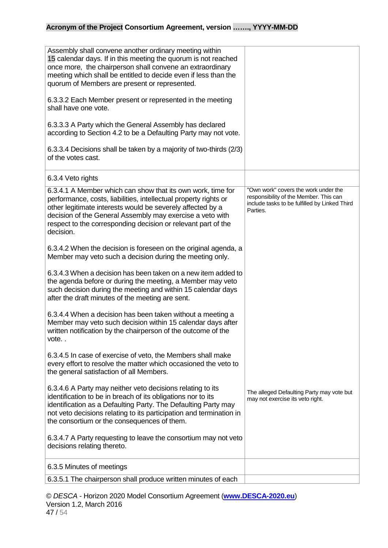| Assembly shall convene another ordinary meeting within<br>15 calendar days. If in this meeting the quorum is not reached<br>once more, the chairperson shall convene an extraordinary<br>meeting which shall be entitled to decide even if less than the<br>quorum of Members are present or represented.<br>6.3.3.2 Each Member present or represented in the meeting |                                                                                                                                             |
|------------------------------------------------------------------------------------------------------------------------------------------------------------------------------------------------------------------------------------------------------------------------------------------------------------------------------------------------------------------------|---------------------------------------------------------------------------------------------------------------------------------------------|
| shall have one vote.                                                                                                                                                                                                                                                                                                                                                   |                                                                                                                                             |
| 6.3.3.3 A Party which the General Assembly has declared<br>according to Section 4.2 to be a Defaulting Party may not vote.                                                                                                                                                                                                                                             |                                                                                                                                             |
| 6.3.3.4 Decisions shall be taken by a majority of two-thirds (2/3)<br>of the votes cast.                                                                                                                                                                                                                                                                               |                                                                                                                                             |
| 6.3.4 Veto rights                                                                                                                                                                                                                                                                                                                                                      |                                                                                                                                             |
| 6.3.4.1 A Member which can show that its own work, time for<br>performance, costs, liabilities, intellectual property rights or<br>other legitimate interests would be severely affected by a<br>decision of the General Assembly may exercise a veto with<br>respect to the corresponding decision or relevant part of the<br>decision.                               | "Own work" covers the work under the<br>responsibility of the Member. This can<br>include tasks to be fulfilled by Linked Third<br>Parties. |
| 6.3.4.2 When the decision is foreseen on the original agenda, a<br>Member may veto such a decision during the meeting only.                                                                                                                                                                                                                                            |                                                                                                                                             |
| 6.3.4.3 When a decision has been taken on a new item added to<br>the agenda before or during the meeting, a Member may veto<br>such decision during the meeting and within 15 calendar days<br>after the draft minutes of the meeting are sent.                                                                                                                        |                                                                                                                                             |
| 6.3.4.4 When a decision has been taken without a meeting a<br>Member may veto such decision within 15 calendar days after<br>written notification by the chairperson of the outcome of the<br>vote. .                                                                                                                                                                  |                                                                                                                                             |
| 6.3.4.5 In case of exercise of veto, the Members shall make<br>every effort to resolve the matter which occasioned the veto to<br>the general satisfaction of all Members.                                                                                                                                                                                             |                                                                                                                                             |
| 6.3.4.6 A Party may neither veto decisions relating to its<br>identification to be in breach of its obligations nor to its<br>identification as a Defaulting Party. The Defaulting Party may<br>not veto decisions relating to its participation and termination in<br>the consortium or the consequences of them.                                                     | The alleged Defaulting Party may vote but<br>may not exercise its veto right.                                                               |
| 6.3.4.7 A Party requesting to leave the consortium may not veto<br>decisions relating thereto.                                                                                                                                                                                                                                                                         |                                                                                                                                             |
| 6.3.5 Minutes of meetings                                                                                                                                                                                                                                                                                                                                              |                                                                                                                                             |
| 6.3.5.1 The chairperson shall produce written minutes of each                                                                                                                                                                                                                                                                                                          |                                                                                                                                             |

© *DESCA* - Horizon 2020 Model Consortium Agreement (**[www.DESCA-2020.eu](http://www.desca-2020.eu/)**) Version 1.2, March 2016 47 / 54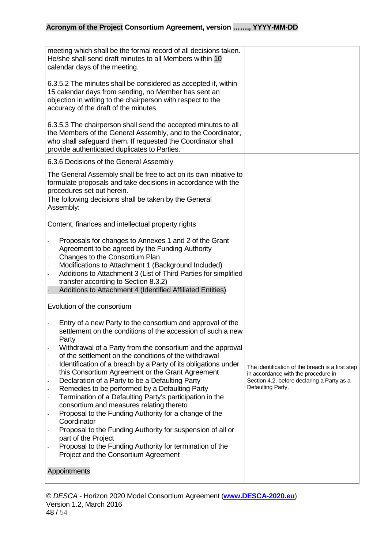| meeting which shall be the formal record of all decisions taken.<br>He/she shall send draft minutes to all Members within 10<br>calendar days of the meeting.                                                                                                                                                                                                                                                                                                                                                                                                                                                                                                                                                                                                                                                                                                                                                                                     |                                                                                                                                                            |
|---------------------------------------------------------------------------------------------------------------------------------------------------------------------------------------------------------------------------------------------------------------------------------------------------------------------------------------------------------------------------------------------------------------------------------------------------------------------------------------------------------------------------------------------------------------------------------------------------------------------------------------------------------------------------------------------------------------------------------------------------------------------------------------------------------------------------------------------------------------------------------------------------------------------------------------------------|------------------------------------------------------------------------------------------------------------------------------------------------------------|
| 6.3.5.2 The minutes shall be considered as accepted if, within<br>15 calendar days from sending, no Member has sent an<br>objection in writing to the chairperson with respect to the<br>accuracy of the draft of the minutes.                                                                                                                                                                                                                                                                                                                                                                                                                                                                                                                                                                                                                                                                                                                    |                                                                                                                                                            |
| 6.3.5.3 The chairperson shall send the accepted minutes to all<br>the Members of the General Assembly, and to the Coordinator,<br>who shall safeguard them. If requested the Coordinator shall<br>provide authenticated duplicates to Parties.                                                                                                                                                                                                                                                                                                                                                                                                                                                                                                                                                                                                                                                                                                    |                                                                                                                                                            |
| 6.3.6 Decisions of the General Assembly                                                                                                                                                                                                                                                                                                                                                                                                                                                                                                                                                                                                                                                                                                                                                                                                                                                                                                           |                                                                                                                                                            |
| The General Assembly shall be free to act on its own initiative to<br>formulate proposals and take decisions in accordance with the<br>procedures set out herein.                                                                                                                                                                                                                                                                                                                                                                                                                                                                                                                                                                                                                                                                                                                                                                                 |                                                                                                                                                            |
| The following decisions shall be taken by the General<br>Assembly:                                                                                                                                                                                                                                                                                                                                                                                                                                                                                                                                                                                                                                                                                                                                                                                                                                                                                |                                                                                                                                                            |
| Content, finances and intellectual property rights                                                                                                                                                                                                                                                                                                                                                                                                                                                                                                                                                                                                                                                                                                                                                                                                                                                                                                |                                                                                                                                                            |
| Proposals for changes to Annexes 1 and 2 of the Grant<br>Agreement to be agreed by the Funding Authority<br>Changes to the Consortium Plan<br>Modifications to Attachment 1 (Background Included)<br>Additions to Attachment 3 (List of Third Parties for simplified<br>transfer according to Section 8.3.2)<br>Additions to Attachment 4 (Identified Affiliated Entities)                                                                                                                                                                                                                                                                                                                                                                                                                                                                                                                                                                        |                                                                                                                                                            |
| Evolution of the consortium                                                                                                                                                                                                                                                                                                                                                                                                                                                                                                                                                                                                                                                                                                                                                                                                                                                                                                                       |                                                                                                                                                            |
| Entry of a new Party to the consortium and approval of the<br>settlement on the conditions of the accession of such a new<br>Party<br>Withdrawal of a Party from the consortium and the approval<br>of the settlement on the conditions of the withdrawal<br>Identification of a breach by a Party of its obligations under<br>$\overline{\phantom{a}}$<br>this Consortium Agreement or the Grant Agreement<br>Declaration of a Party to be a Defaulting Party<br>$\overline{\phantom{0}}$<br>Remedies to be performed by a Defaulting Party<br>Termination of a Defaulting Party's participation in the<br>$\overline{\phantom{0}}$<br>consortium and measures relating thereto<br>Proposal to the Funding Authority for a change of the<br>Coordinator<br>Proposal to the Funding Authority for suspension of all or<br>part of the Project<br>Proposal to the Funding Authority for termination of the<br>Project and the Consortium Agreement | The identification of the breach is a first step<br>in accordance with the procedure in<br>Section 4.2, before declaring a Party as a<br>Defaulting Party. |
| Appointments                                                                                                                                                                                                                                                                                                                                                                                                                                                                                                                                                                                                                                                                                                                                                                                                                                                                                                                                      |                                                                                                                                                            |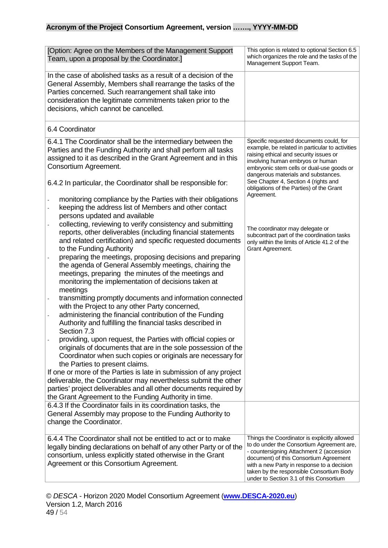| [Option: Agree on the Members of the Management Support<br>Team, upon a proposal by the Coordinator.]                                                                                                                                                                                                                                                                                                                                                                                                 | This option is related to optional Section 6.5<br>which organizes the role and the tasks of the<br>Management Support Team.                                                                                                                                                                                                                                    |
|-------------------------------------------------------------------------------------------------------------------------------------------------------------------------------------------------------------------------------------------------------------------------------------------------------------------------------------------------------------------------------------------------------------------------------------------------------------------------------------------------------|----------------------------------------------------------------------------------------------------------------------------------------------------------------------------------------------------------------------------------------------------------------------------------------------------------------------------------------------------------------|
| In the case of abolished tasks as a result of a decision of the<br>General Assembly, Members shall rearrange the tasks of the<br>Parties concerned. Such rearrangement shall take into<br>consideration the legitimate commitments taken prior to the<br>decisions, which cannot be cancelled.                                                                                                                                                                                                        |                                                                                                                                                                                                                                                                                                                                                                |
| 6.4 Coordinator                                                                                                                                                                                                                                                                                                                                                                                                                                                                                       |                                                                                                                                                                                                                                                                                                                                                                |
| 6.4.1 The Coordinator shall be the intermediary between the<br>Parties and the Funding Authority and shall perform all tasks<br>assigned to it as described in the Grant Agreement and in this<br>Consortium Agreement.<br>6.4.2 In particular, the Coordinator shall be responsible for:<br>monitoring compliance by the Parties with their obligations<br>keeping the address list of Members and other contact                                                                                     | Specific requested documents could, for<br>example, be related in particular to activities<br>raising ethical and security issues or<br>involving human embryos or human<br>embryonic stem cells or dual-use goods or<br>dangerous materials and substances.<br>See Chapter 4, Section 4 (rights and<br>obligations of the Parties) of the Grant<br>Agreement. |
| persons updated and available<br>collecting, reviewing to verify consistency and submitting<br>reports, other deliverables (including financial statements<br>and related certification) and specific requested documents<br>to the Funding Authority<br>preparing the meetings, proposing decisions and preparing<br>the agenda of General Assembly meetings, chairing the<br>meetings, preparing the minutes of the meetings and<br>monitoring the implementation of decisions taken at<br>meetings | The coordinator may delegate or<br>subcontract part of the coordination tasks<br>only within the limits of Article 41.2 of the<br>Grant Agreement.                                                                                                                                                                                                             |
| transmitting promptly documents and information connected<br>with the Project to any other Party concerned,<br>administering the financial contribution of the Funding<br>$\Box$<br>Authority and fulfilling the financial tasks described in<br>Section 7.3<br>providing, upon request, the Parties with official copies or<br>originals of documents that are in the sole possession of the<br>Coordinator when such copies or originals are necessary for                                          |                                                                                                                                                                                                                                                                                                                                                                |
| the Parties to present claims.<br>If one or more of the Parties is late in submission of any project<br>deliverable, the Coordinator may nevertheless submit the other<br>parties' project deliverables and all other documents required by<br>the Grant Agreement to the Funding Authority in time.                                                                                                                                                                                                  |                                                                                                                                                                                                                                                                                                                                                                |
| 6.4.3 If the Coordinator fails in its coordination tasks, the<br>General Assembly may propose to the Funding Authority to<br>change the Coordinator.                                                                                                                                                                                                                                                                                                                                                  |                                                                                                                                                                                                                                                                                                                                                                |
| 6.4.4 The Coordinator shall not be entitled to act or to make<br>legally binding declarations on behalf of any other Party or of the<br>consortium, unless explicitly stated otherwise in the Grant<br>Agreement or this Consortium Agreement.                                                                                                                                                                                                                                                        | Things the Coordinator is explicitly allowed<br>to do under the Consortium Agreement are,<br>- countersigning Attachment 2 (accession<br>document) of this Consortium Agreement<br>with a new Party in response to a decision<br>taken by the responsible Consortium Body<br>under to Section 3.1 of this Consortium                                           |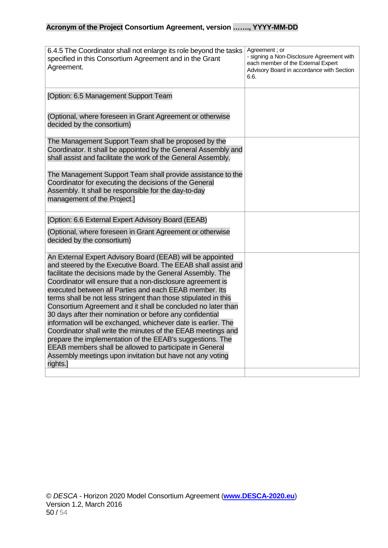| 6.4.5 The Coordinator shall not enlarge its role beyond the tasks<br>specified in this Consortium Agreement and in the Grant<br>Agreement.                                                                                                                                                                                                                                                                                                                                                                                                                                                                                                                                                                                                                                                                                                          | Agreement; or<br>- signing a Non-Disclosure Agreement with<br>each member of the External Expert<br>Advisory Board in accordance with Section<br>6.6. |
|-----------------------------------------------------------------------------------------------------------------------------------------------------------------------------------------------------------------------------------------------------------------------------------------------------------------------------------------------------------------------------------------------------------------------------------------------------------------------------------------------------------------------------------------------------------------------------------------------------------------------------------------------------------------------------------------------------------------------------------------------------------------------------------------------------------------------------------------------------|-------------------------------------------------------------------------------------------------------------------------------------------------------|
| [Option: 6.5 Management Support Team                                                                                                                                                                                                                                                                                                                                                                                                                                                                                                                                                                                                                                                                                                                                                                                                                |                                                                                                                                                       |
| (Optional, where foreseen in Grant Agreement or otherwise<br>decided by the consortium)                                                                                                                                                                                                                                                                                                                                                                                                                                                                                                                                                                                                                                                                                                                                                             |                                                                                                                                                       |
| The Management Support Team shall be proposed by the<br>Coordinator. It shall be appointed by the General Assembly and<br>shall assist and facilitate the work of the General Assembly.                                                                                                                                                                                                                                                                                                                                                                                                                                                                                                                                                                                                                                                             |                                                                                                                                                       |
| The Management Support Team shall provide assistance to the<br>Coordinator for executing the decisions of the General<br>Assembly. It shall be responsible for the day-to-day<br>management of the Project.]                                                                                                                                                                                                                                                                                                                                                                                                                                                                                                                                                                                                                                        |                                                                                                                                                       |
| [Option: 6.6 External Expert Advisory Board (EEAB)                                                                                                                                                                                                                                                                                                                                                                                                                                                                                                                                                                                                                                                                                                                                                                                                  |                                                                                                                                                       |
| (Optional, where foreseen in Grant Agreement or otherwise<br>decided by the consortium)                                                                                                                                                                                                                                                                                                                                                                                                                                                                                                                                                                                                                                                                                                                                                             |                                                                                                                                                       |
| An External Expert Advisory Board (EEAB) will be appointed<br>and steered by the Executive Board. The EEAB shall assist and<br>facilitate the decisions made by the General Assembly. The<br>Coordinator will ensure that a non-disclosure agreement is<br>executed between all Parties and each EEAB member. Its<br>terms shall be not less stringent than those stipulated in this<br>Consortium Agreement and it shall be concluded no later than<br>30 days after their nomination or before any confidential<br>information will be exchanged, whichever date is earlier. The<br>Coordinator shall write the minutes of the EEAB meetings and<br>prepare the implementation of the EEAB's suggestions. The<br>EEAB members shall be allowed to participate in General<br>Assembly meetings upon invitation but have not any voting<br>rights.] |                                                                                                                                                       |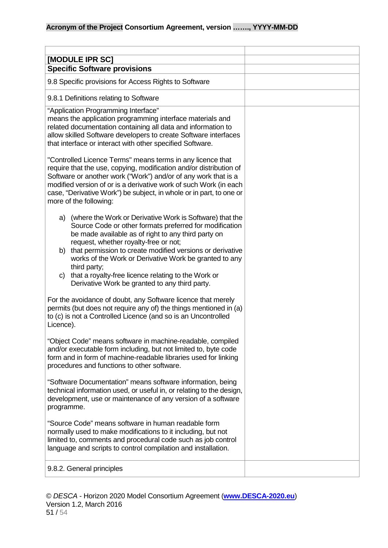<span id="page-50-1"></span><span id="page-50-0"></span>

| [MODULE IPR SC]                                                                                                                                                                                                                                                                                                                                                                                                                                                                       |  |
|---------------------------------------------------------------------------------------------------------------------------------------------------------------------------------------------------------------------------------------------------------------------------------------------------------------------------------------------------------------------------------------------------------------------------------------------------------------------------------------|--|
| <b>Specific Software provisions</b>                                                                                                                                                                                                                                                                                                                                                                                                                                                   |  |
| 9.8 Specific provisions for Access Rights to Software                                                                                                                                                                                                                                                                                                                                                                                                                                 |  |
| 9.8.1 Definitions relating to Software                                                                                                                                                                                                                                                                                                                                                                                                                                                |  |
| "Application Programming Interface"<br>means the application programming interface materials and<br>related documentation containing all data and information to<br>allow skilled Software developers to create Software interfaces<br>that interface or interact with other specified Software.                                                                                                                                                                                      |  |
| "Controlled Licence Terms" means terms in any licence that<br>require that the use, copying, modification and/or distribution of<br>Software or another work ("Work") and/or of any work that is a<br>modified version of or is a derivative work of such Work (in each<br>case, "Derivative Work") be subject, in whole or in part, to one or<br>more of the following:                                                                                                              |  |
| (where the Work or Derivative Work is Software) that the<br>a)<br>Source Code or other formats preferred for modification<br>be made available as of right to any third party on<br>request, whether royalty-free or not;<br>that permission to create modified versions or derivative<br>b)<br>works of the Work or Derivative Work be granted to any<br>third party;<br>that a royalty-free licence relating to the Work or<br>C)<br>Derivative Work be granted to any third party. |  |
| For the avoidance of doubt, any Software licence that merely<br>permits (but does not require any of) the things mentioned in (a)<br>to (c) is not a Controlled Licence (and so is an Uncontrolled<br>Licence).                                                                                                                                                                                                                                                                       |  |
| "Object Code" means software in machine-readable, compiled<br>and/or executable form including, but not limited to, byte code<br>form and in form of machine-readable libraries used for linking<br>procedures and functions to other software.                                                                                                                                                                                                                                       |  |
| "Software Documentation" means software information, being<br>technical information used, or useful in, or relating to the design,<br>development, use or maintenance of any version of a software<br>programme.                                                                                                                                                                                                                                                                      |  |
| "Source Code" means software in human readable form<br>normally used to make modifications to it including, but not<br>limited to, comments and procedural code such as job control<br>language and scripts to control compilation and installation.                                                                                                                                                                                                                                  |  |
| 9.8.2. General principles                                                                                                                                                                                                                                                                                                                                                                                                                                                             |  |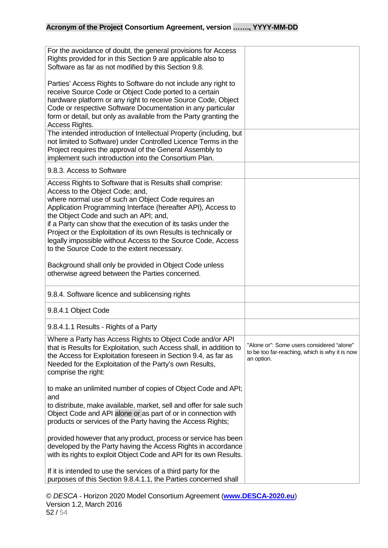| For the avoidance of doubt, the general provisions for Access<br>Rights provided for in this Section 9 are applicable also to<br>Software as far as not modified by this Section 9.8.                                                                                                                                                                                                                                                                                                                            |                                                                                                           |
|------------------------------------------------------------------------------------------------------------------------------------------------------------------------------------------------------------------------------------------------------------------------------------------------------------------------------------------------------------------------------------------------------------------------------------------------------------------------------------------------------------------|-----------------------------------------------------------------------------------------------------------|
| Parties' Access Rights to Software do not include any right to<br>receive Source Code or Object Code ported to a certain<br>hardware platform or any right to receive Source Code, Object<br>Code or respective Software Documentation in any particular<br>form or detail, but only as available from the Party granting the<br>Access Rights.                                                                                                                                                                  |                                                                                                           |
| The intended introduction of Intellectual Property (including, but<br>not limited to Software) under Controlled Licence Terms in the<br>Project requires the approval of the General Assembly to<br>implement such introduction into the Consortium Plan.                                                                                                                                                                                                                                                        |                                                                                                           |
| 9.8.3. Access to Software                                                                                                                                                                                                                                                                                                                                                                                                                                                                                        |                                                                                                           |
| Access Rights to Software that is Results shall comprise:<br>Access to the Object Code; and,<br>where normal use of such an Object Code requires an<br>Application Programming Interface (hereafter API), Access to<br>the Object Code and such an API; and,<br>if a Party can show that the execution of its tasks under the<br>Project or the Exploitation of its own Results is technically or<br>legally impossible without Access to the Source Code, Access<br>to the Source Code to the extent necessary. |                                                                                                           |
| Background shall only be provided in Object Code unless<br>otherwise agreed between the Parties concerned.                                                                                                                                                                                                                                                                                                                                                                                                       |                                                                                                           |
| 9.8.4. Software licence and sublicensing rights                                                                                                                                                                                                                                                                                                                                                                                                                                                                  |                                                                                                           |
| 9.8.4.1 Object Code                                                                                                                                                                                                                                                                                                                                                                                                                                                                                              |                                                                                                           |
| 9.8.4.1.1 Results - Rights of a Party                                                                                                                                                                                                                                                                                                                                                                                                                                                                            |                                                                                                           |
| Where a Party has Access Rights to Object Code and/or API<br>that is Results for Exploitation, such Access shall, in addition to<br>the Access for Exploitation foreseen in Section 9.4, as far as<br>Needed for the Exploitation of the Party's own Results,<br>comprise the right:                                                                                                                                                                                                                             | "Alone or": Some users considered "alone"<br>to be too far-reaching, which is why it is now<br>an option. |
| to make an unlimited number of copies of Object Code and API;<br>and<br>to distribute, make available, market, sell and offer for sale such<br>Object Code and API alone or as part of or in connection with<br>products or services of the Party having the Access Rights;                                                                                                                                                                                                                                      |                                                                                                           |
| provided however that any product, process or service has been<br>developed by the Party having the Access Rights in accordance<br>with its rights to exploit Object Code and API for its own Results.                                                                                                                                                                                                                                                                                                           |                                                                                                           |
| If it is intended to use the services of a third party for the<br>purposes of this Section 9.8.4.1.1, the Parties concerned shall                                                                                                                                                                                                                                                                                                                                                                                |                                                                                                           |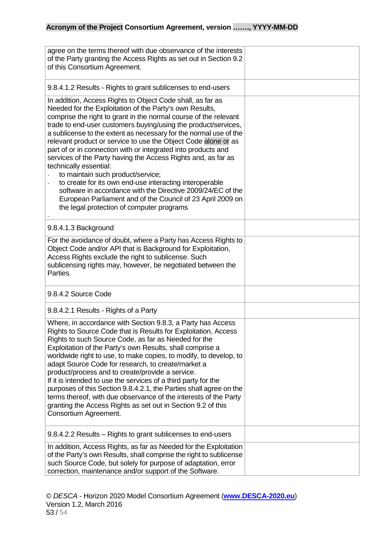| agree on the terms thereof with due observance of the interests<br>of the Party granting the Access Rights as set out in Section 9.2<br>of this Consortium Agreement.                                                                                                                                                                                                                                                                                                                                                                                                                                                                                                                                                                                                                                                                    |  |
|------------------------------------------------------------------------------------------------------------------------------------------------------------------------------------------------------------------------------------------------------------------------------------------------------------------------------------------------------------------------------------------------------------------------------------------------------------------------------------------------------------------------------------------------------------------------------------------------------------------------------------------------------------------------------------------------------------------------------------------------------------------------------------------------------------------------------------------|--|
| 9.8.4.1.2 Results - Rights to grant sublicenses to end-users                                                                                                                                                                                                                                                                                                                                                                                                                                                                                                                                                                                                                                                                                                                                                                             |  |
| In addition, Access Rights to Object Code shall, as far as<br>Needed for the Exploitation of the Party's own Results,<br>comprise the right to grant in the normal course of the relevant<br>trade to end-user customers buying/using the product/services,<br>a sublicense to the extent as necessary for the normal use of the<br>relevant product or service to use the Object Code alone or as<br>part of or in connection with or integrated into products and<br>services of the Party having the Access Rights and, as far as<br>technically essential:<br>to maintain such product/service;<br>to create for its own end-use interacting interoperable<br>software in accordance with the Directive 2009/24/EC of the<br>European Parliament and of the Council of 23 April 2009 on<br>the legal protection of computer programs |  |
| 9.8.4.1.3 Background                                                                                                                                                                                                                                                                                                                                                                                                                                                                                                                                                                                                                                                                                                                                                                                                                     |  |
| For the avoidance of doubt, where a Party has Access Rights to<br>Object Code and/or API that is Background for Exploitation,<br>Access Rights exclude the right to sublicense. Such<br>sublicensing rights may, however, be negotiated between the<br>Parties.                                                                                                                                                                                                                                                                                                                                                                                                                                                                                                                                                                          |  |
| 9.8.4.2 Source Code                                                                                                                                                                                                                                                                                                                                                                                                                                                                                                                                                                                                                                                                                                                                                                                                                      |  |
| 9.8.4.2.1 Results - Rights of a Party                                                                                                                                                                                                                                                                                                                                                                                                                                                                                                                                                                                                                                                                                                                                                                                                    |  |
| Where, in accordance with Section 9.8.3, a Party has Access<br>Rights to Source Code that is Results for Exploitation, Access<br>Rights to such Source Code, as far as Needed for the<br>Exploitation of the Party's own Results, shall comprise a<br>worldwide right to use, to make copies, to modify, to develop, to<br>adapt Source Code for research, to create/market a<br>product/process and to create/provide a service.<br>If it is intended to use the services of a third party for the<br>purposes of this Section 9.8.4.2.1, the Parties shall agree on the<br>terms thereof, with due observance of the interests of the Party<br>granting the Access Rights as set out in Section 9.2 of this<br>Consortium Agreement.                                                                                                   |  |
| 9.8.4.2.2 Results – Rights to grant sublicenses to end-users                                                                                                                                                                                                                                                                                                                                                                                                                                                                                                                                                                                                                                                                                                                                                                             |  |
| In addition, Access Rights, as far as Needed for the Exploitation<br>of the Party's own Results, shall comprise the right to sublicense<br>such Source Code, but solely for purpose of adaptation, error<br>correction, maintenance and/or support of the Software.                                                                                                                                                                                                                                                                                                                                                                                                                                                                                                                                                                      |  |